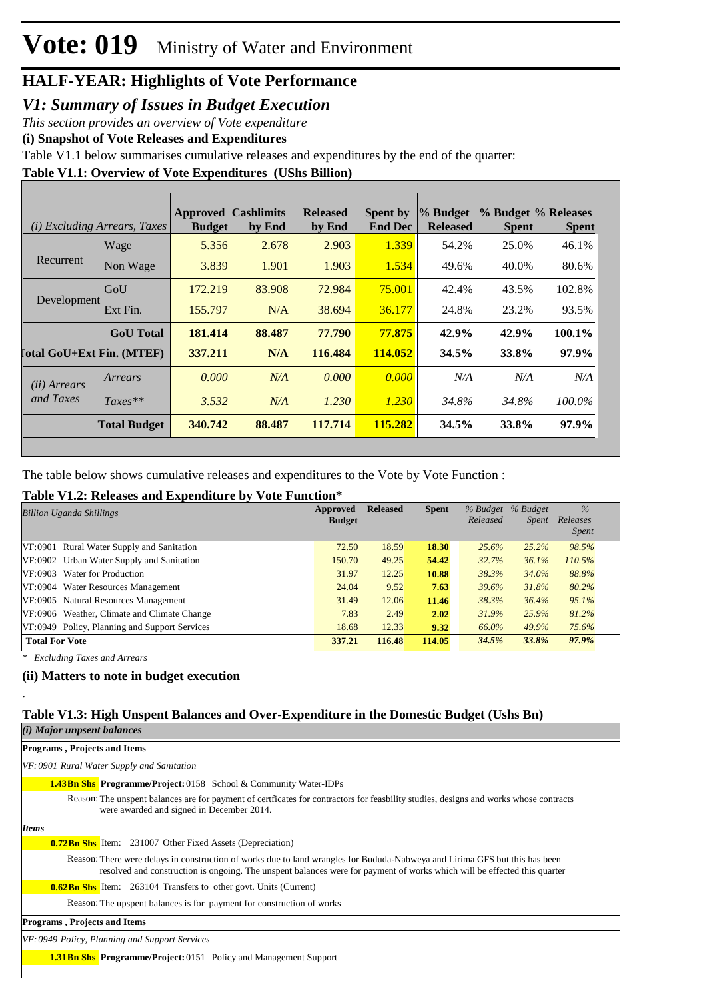#### *V1: Summary of Issues in Budget Execution*

*This section provides an overview of Vote expenditure* 

**(i) Snapshot of Vote Releases and Expenditures**

Table V1.1 below summarises cumulative releases and expenditures by the end of the quarter:

**Table V1.1: Overview of Vote Expenditures (UShs Billion)**

|                            | ( <i>i</i> ) Excluding Arrears, Taxes | <b>Approved</b><br><b>Budget</b> | <b>Cashlimits</b><br>by End | <b>Released</b><br>by End | Spent by<br><b>End Dec</b> | % Budget<br><b>Released</b> | % Budget % Releases<br><b>Spent</b> | <b>Spent</b> |
|----------------------------|---------------------------------------|----------------------------------|-----------------------------|---------------------------|----------------------------|-----------------------------|-------------------------------------|--------------|
|                            | Wage                                  | 5.356                            | 2.678                       | 2.903                     | 1.339                      | 54.2%                       | 25.0%                               | 46.1%        |
| Recurrent                  | Non Wage                              | 3.839                            | 1.901                       | 1.903                     | 1.534                      | 49.6%                       | 40.0%                               | 80.6%        |
|                            | GoU                                   | 172.219                          | 83.908                      | 72.984                    | 75.001                     | 42.4%                       | 43.5%                               | 102.8%       |
| Development                | Ext Fin.                              | 155.797                          | N/A                         | 38.694                    | 36.177                     | 24.8%                       | 23.2%                               | 93.5%        |
|                            | <b>GoU</b> Total                      | 181.414                          | 88.487                      | 77.790                    | 77.875                     | 42.9%                       | 42.9%                               | 100.1%       |
| [`otal GoU+Ext Fin. (MTEF) |                                       | 337.211                          | N/A                         | 116.484                   | 114.052                    | 34.5%                       | 33.8%                               | $97.9\%$     |
| (ii) Arrears               | Arrears                               | 0.000                            | N/A                         | 0.000                     | 0.000                      | N/A                         | N/A                                 | N/A          |
| and Taxes                  | $Taxes**$                             | 3.532                            | N/A                         | 1.230                     | 1.230                      | 34.8%                       | 34.8%                               | 100.0%       |
|                            | <b>Total Budget</b>                   | 340.742                          | 88.487                      | 117.714                   | 115.282                    | 34.5%                       | 33.8%                               | 97.9%        |

The table below shows cumulative releases and expenditures to the Vote by Vote Function :

#### **Table V1.2: Releases and Expenditure by Vote Function\***

| <b>Billion Uganda Shillings</b>               | Approved<br><b>Budget</b> | <b>Released</b> | <b>Spent</b> | % Budget<br>Released | % Budget<br><i>Spent</i> | $\frac{0}{6}$<br>Releases<br><i>Spent</i> |
|-----------------------------------------------|---------------------------|-----------------|--------------|----------------------|--------------------------|-------------------------------------------|
| VF:0901 Rural Water Supply and Sanitation     | 72.50                     | 18.59           | 18.30        | 25.6%                | 25.2%                    | 98.5%                                     |
| VF:0902 Urban Water Supply and Sanitation     | 150.70                    | 49.25           | 54.42        | 32.7%                | 36.1%                    | 110.5%                                    |
| VF:0903 Water for Production                  | 31.97                     | 12.25           | 10.88        | 38.3%                | 34.0%                    | 88.8%                                     |
| VF:0904 Water Resources Management            | 24.04                     | 9.52            | 7.63         | 39.6%                | 31.8%                    | 80.2%                                     |
| VF:0905 Natural Resources Management          | 31.49                     | 12.06           | 11.46        | 38.3%                | 36.4%                    | 95.1%                                     |
| VF:0906 Weather, Climate and Climate Change   | 7.83                      | 2.49            | 2.02         | 31.9%                | 25.9%                    | 81.2%                                     |
| VF:0949 Policy, Planning and Support Services | 18.68                     | 12.33           | 9.32         | 66.0%                | 49.9%                    | 75.6%                                     |
| <b>Total For Vote</b>                         | 337.21                    | 116.48          | 114.05       | 34.5%                | 33.8%                    | 97.9%                                     |

*\* Excluding Taxes and Arrears*

.

#### **(ii) Matters to note in budget execution**

#### **Table V1.3: High Unspent Balances and Over-Expenditure in the Domestic Budget (Ushs Bn)**

| (i) Major unpsent balances                                                                                                                                                                                                                              |
|---------------------------------------------------------------------------------------------------------------------------------------------------------------------------------------------------------------------------------------------------------|
| Programs, Projects and Items                                                                                                                                                                                                                            |
| VF: 0901 Rural Water Supply and Sanitation                                                                                                                                                                                                              |
| <b>1.43Bn Shs Programme/Project:</b> 0158 School & Community Water-IDPs                                                                                                                                                                                 |
| Reason: The unspent balances are for payment of certificates for contractors for feasbility studies, designs and works whose contracts<br>were awarded and signed in December 2014.                                                                     |
| <b>Items</b>                                                                                                                                                                                                                                            |
| <b>0.72 Bn Shs</b> Item: 231007 Other Fixed Assets (Depreciation)                                                                                                                                                                                       |
| Reason: There were delays in construction of works due to land wrangles for Bududa-Nabweya and Lirima GFS but this has been<br>resolved and construction is ongoing. The unspent balances were for payment of works which will be effected this quarter |
| <b>0.62Bn Shs</b> Item: 263104 Transfers to other govt. Units (Current)                                                                                                                                                                                 |
| Reason: The upspent balances is for payment for construction of works                                                                                                                                                                                   |
| <b>Programs, Projects and Items</b>                                                                                                                                                                                                                     |
| VF: 0949 Policy, Planning and Support Services                                                                                                                                                                                                          |
| <b>1.31 Bn Shs Programme/Project:</b> 0151 Policy and Management Support                                                                                                                                                                                |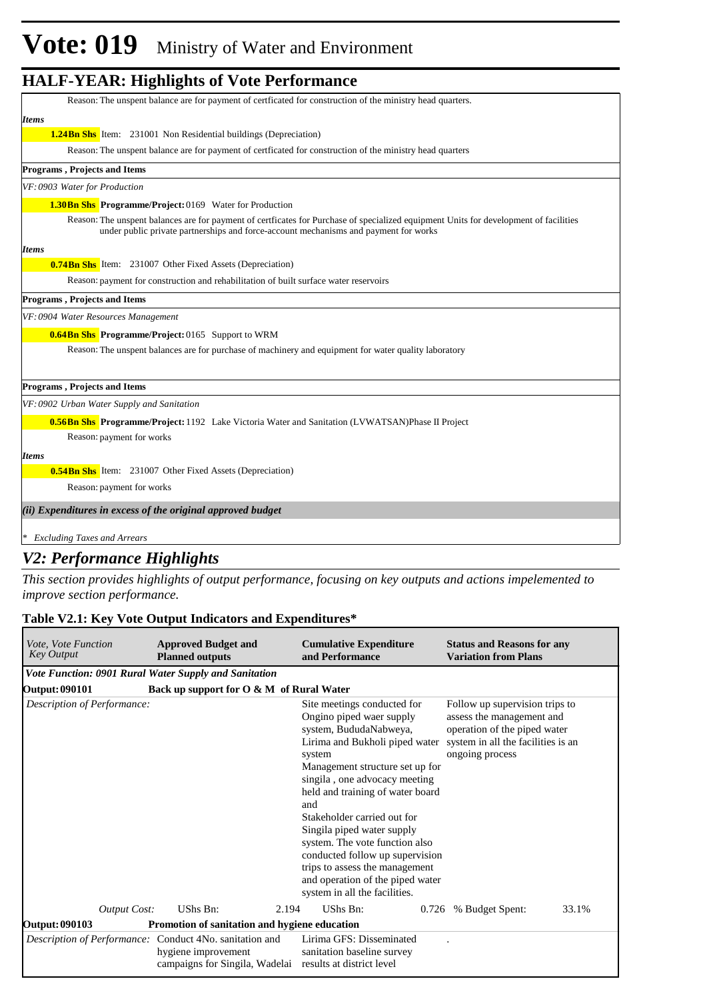| Reason: The unspent balance are for payment of certficated for construction of the ministry head quarters.                                                                                                                    |
|-------------------------------------------------------------------------------------------------------------------------------------------------------------------------------------------------------------------------------|
| <b>Items</b>                                                                                                                                                                                                                  |
| <b>1.24Bn Shs</b> Item: 231001 Non Residential buildings (Depreciation)                                                                                                                                                       |
| Reason: The unspent balance are for payment of certificated for construction of the ministry head quarters                                                                                                                    |
| <b>Programs, Projects and Items</b>                                                                                                                                                                                           |
| VF: 0903 Water for Production                                                                                                                                                                                                 |
| <b>1.30Bn Shs Programme/Project: 0169</b> Water for Production                                                                                                                                                                |
| Reason: The unspent balances are for payment of certficates for Purchase of specialized equipment Units for development of facilities<br>under public private partnerships and force-account mechanisms and payment for works |
| <b>Items</b>                                                                                                                                                                                                                  |
| <b>0.74Bn Shs</b> Item: 231007 Other Fixed Assets (Depreciation)                                                                                                                                                              |
| Reason: payment for construction and rehabilitation of built surface water reservoirs                                                                                                                                         |
| <b>Programs, Projects and Items</b>                                                                                                                                                                                           |
| VF: 0904 Water Resources Management                                                                                                                                                                                           |
| <b>0.64Bn Shs</b> Programme/Project: 0165 Support to WRM                                                                                                                                                                      |
| Reason: The unspent balances are for purchase of machinery and equipment for water quality laboratory                                                                                                                         |
| Programs, Projects and Items                                                                                                                                                                                                  |
| VF: 0902 Urban Water Supply and Sanitation                                                                                                                                                                                    |
| <b>0.56Bn Shs</b> Programme/Project: 1192 Lake Victoria Water and Sanitation (LVWATSAN)Phase II Project                                                                                                                       |
| Reason: payment for works                                                                                                                                                                                                     |
| <b>Items</b>                                                                                                                                                                                                                  |
| <b>0.54Bn Shs</b> Item: 231007 Other Fixed Assets (Depreciation)                                                                                                                                                              |
| Reason: payment for works                                                                                                                                                                                                     |
| (ii) Expenditures in excess of the original approved budget                                                                                                                                                                   |
| * Excluding Taxes and Arrears                                                                                                                                                                                                 |

#### *V2: Performance Highlights*

*This section provides highlights of output performance, focusing on key outputs and actions impelemented to improve section performance.*

#### **Table V2.1: Key Vote Output Indicators and Expenditures\***

| <i>Vote, Vote Function</i><br><b>Key Output</b>         | <b>Planned outputs</b> | <b>Approved Budget and</b>                    | <b>Cumulative Expenditure</b><br>and Performance                                                                                                                                                                                                                                                                                                                                                                                                                                      | <b>Status and Reasons for any</b><br><b>Variation from Plans</b>                                                                                     |       |
|---------------------------------------------------------|------------------------|-----------------------------------------------|---------------------------------------------------------------------------------------------------------------------------------------------------------------------------------------------------------------------------------------------------------------------------------------------------------------------------------------------------------------------------------------------------------------------------------------------------------------------------------------|------------------------------------------------------------------------------------------------------------------------------------------------------|-------|
| Vote Function: 0901 Rural Water Supply and Sanitation   |                        |                                               |                                                                                                                                                                                                                                                                                                                                                                                                                                                                                       |                                                                                                                                                      |       |
| <b>Output: 090101</b>                                   |                        | Back up support for O & M of Rural Water      |                                                                                                                                                                                                                                                                                                                                                                                                                                                                                       |                                                                                                                                                      |       |
| Description of Performance:                             |                        |                                               | Site meetings conducted for<br>Ongino piped waer supply<br>system, BududaNabweya,<br>Lirima and Bukholi piped water<br>system<br>Management structure set up for<br>singila, one advocacy meeting<br>held and training of water board<br>and<br>Stakeholder carried out for<br>Singila piped water supply<br>system. The vote function also<br>conducted follow up supervision<br>trips to assess the management<br>and operation of the piped water<br>system in all the facilities. | Follow up supervision trips to<br>assess the management and<br>operation of the piped water<br>system in all the facilities is an<br>ongoing process |       |
| <b>Output Cost:</b>                                     | UShs Bn:               | 2.194                                         | UShs Bn:<br>0.726                                                                                                                                                                                                                                                                                                                                                                                                                                                                     | % Budget Spent:                                                                                                                                      | 33.1% |
| <b>Output: 090103</b>                                   |                        | Promotion of sanitation and hygiene education |                                                                                                                                                                                                                                                                                                                                                                                                                                                                                       |                                                                                                                                                      |       |
| Description of Performance: Conduct 4No. sanitation and |                        | hygiene improvement                           | Lirima GFS: Disseminated<br>sanitation baseline survey<br>campaigns for Singila, Wadelai results at district level                                                                                                                                                                                                                                                                                                                                                                    |                                                                                                                                                      |       |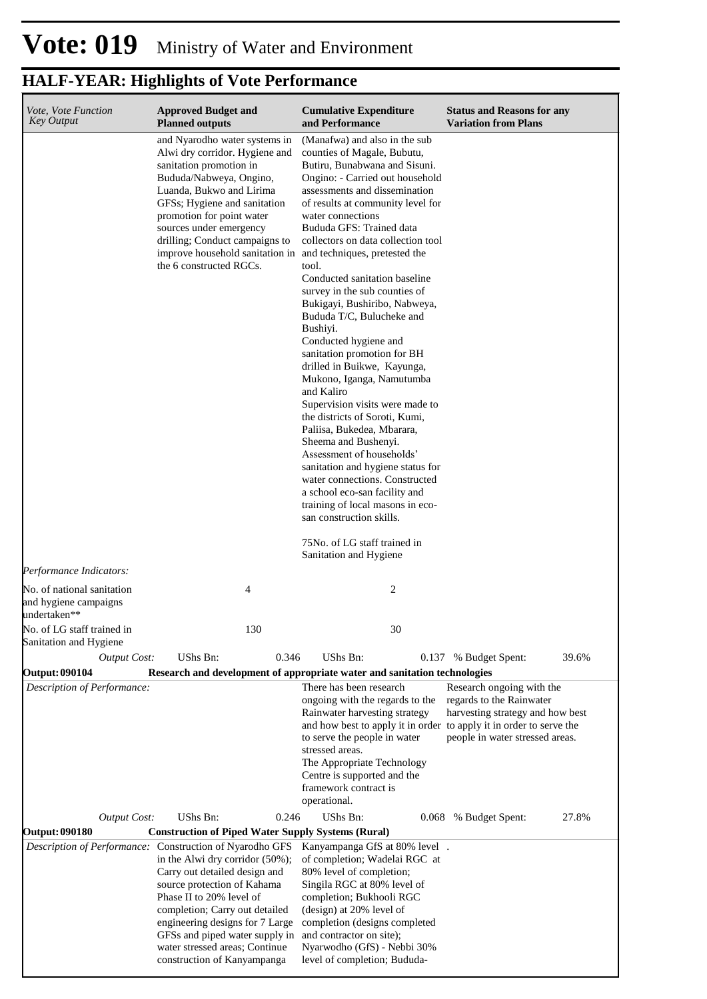| Vote, Vote Function<br><b>Key Output</b>                            | <b>Approved Budget and</b><br><b>Planned outputs</b>                                                                                                                                                                                                                                                                                                                | <b>Cumulative Expenditure</b><br>and Performance                                                                                                                                                                                                                                                                                                                                                                                                                                                                                                                                                                                                                                                                                                                                                                                                                                                                                                      | <b>Status and Reasons for any</b><br><b>Variation from Plans</b>                                                             |
|---------------------------------------------------------------------|---------------------------------------------------------------------------------------------------------------------------------------------------------------------------------------------------------------------------------------------------------------------------------------------------------------------------------------------------------------------|-------------------------------------------------------------------------------------------------------------------------------------------------------------------------------------------------------------------------------------------------------------------------------------------------------------------------------------------------------------------------------------------------------------------------------------------------------------------------------------------------------------------------------------------------------------------------------------------------------------------------------------------------------------------------------------------------------------------------------------------------------------------------------------------------------------------------------------------------------------------------------------------------------------------------------------------------------|------------------------------------------------------------------------------------------------------------------------------|
|                                                                     | and Nyarodho water systems in<br>Alwi dry corridor. Hygiene and<br>sanitation promotion in<br>Bududa/Nabweya, Ongino,<br>Luanda, Bukwo and Lirima<br>GFSs; Hygiene and sanitation<br>promotion for point water<br>sources under emergency<br>drilling; Conduct campaigns to<br>improve household sanitation in<br>the 6 constructed RGCs.                           | (Manafwa) and also in the sub<br>counties of Magale, Bubutu,<br>Butiru, Bunabwana and Sisuni.<br>Ongino: - Carried out household<br>assessments and dissemination<br>of results at community level for<br>water connections<br>Bududa GFS: Trained data<br>collectors on data collection tool<br>and techniques, pretested the<br>tool.<br>Conducted sanitation baseline<br>survey in the sub counties of<br>Bukigayi, Bushiribo, Nabweya,<br>Bududa T/C, Bulucheke and<br>Bushiyi.<br>Conducted hygiene and<br>sanitation promotion for BH<br>drilled in Buikwe, Kayunga,<br>Mukono, Iganga, Namutumba<br>and Kaliro<br>Supervision visits were made to<br>the districts of Soroti, Kumi,<br>Paliisa, Bukedea, Mbarara,<br>Sheema and Bushenyi.<br>Assessment of households'<br>sanitation and hygiene status for<br>water connections. Constructed<br>a school eco-san facility and<br>training of local masons in eco-<br>san construction skills. |                                                                                                                              |
| Performance Indicators:                                             |                                                                                                                                                                                                                                                                                                                                                                     | 75No. of LG staff trained in<br>Sanitation and Hygiene                                                                                                                                                                                                                                                                                                                                                                                                                                                                                                                                                                                                                                                                                                                                                                                                                                                                                                |                                                                                                                              |
| No. of national sanitation<br>and hygiene campaigns<br>undertaken** | 4                                                                                                                                                                                                                                                                                                                                                                   | 2                                                                                                                                                                                                                                                                                                                                                                                                                                                                                                                                                                                                                                                                                                                                                                                                                                                                                                                                                     |                                                                                                                              |
| No. of LG staff trained in<br>Sanitation and Hygiene                | 130                                                                                                                                                                                                                                                                                                                                                                 | 30                                                                                                                                                                                                                                                                                                                                                                                                                                                                                                                                                                                                                                                                                                                                                                                                                                                                                                                                                    |                                                                                                                              |
| <b>Output Cost:</b>                                                 | UShs Bn:<br>0.346                                                                                                                                                                                                                                                                                                                                                   | UShs Bn:                                                                                                                                                                                                                                                                                                                                                                                                                                                                                                                                                                                                                                                                                                                                                                                                                                                                                                                                              | 39.6%<br>0.137 % Budget Spent:                                                                                               |
| <b>Output: 090104</b><br>Description of Performance:                |                                                                                                                                                                                                                                                                                                                                                                     | Research and development of appropriate water and sanitation technologies<br>There has been research<br>ongoing with the regards to the<br>Rainwater harvesting strategy<br>and how best to apply it in order to apply it in order to serve the<br>to serve the people in water<br>stressed areas.<br>The Appropriate Technology<br>Centre is supported and the<br>framework contract is<br>operational.                                                                                                                                                                                                                                                                                                                                                                                                                                                                                                                                              | Research ongoing with the<br>regards to the Rainwater<br>harvesting strategy and how best<br>people in water stressed areas. |
| <b>Output Cost:</b>                                                 | UShs Bn:<br>0.246                                                                                                                                                                                                                                                                                                                                                   | UShs Bn:                                                                                                                                                                                                                                                                                                                                                                                                                                                                                                                                                                                                                                                                                                                                                                                                                                                                                                                                              | 0.068 % Budget Spent:<br>27.8%                                                                                               |
| <b>Output: 090180</b>                                               | <b>Construction of Piped Water Supply Systems (Rural)</b>                                                                                                                                                                                                                                                                                                           |                                                                                                                                                                                                                                                                                                                                                                                                                                                                                                                                                                                                                                                                                                                                                                                                                                                                                                                                                       |                                                                                                                              |
|                                                                     | Description of Performance: Construction of Nyarodho GFS<br>in the Alwi dry corridor $(50\%)$ ;<br>Carry out detailed design and<br>source protection of Kahama<br>Phase II to 20% level of<br>completion; Carry out detailed<br>engineering designs for 7 Large<br>GFSs and piped water supply in<br>water stressed areas; Continue<br>construction of Kanyampanga | Kanyampanga GfS at 80% level.<br>of completion; Wadelai RGC at<br>80% level of completion;<br>Singila RGC at 80% level of<br>completion; Bukhooli RGC<br>(design) at 20% level of<br>completion (designs completed<br>and contractor on site);<br>Nyarwodho (GfS) - Nebbi 30%<br>level of completion; Bududa-                                                                                                                                                                                                                                                                                                                                                                                                                                                                                                                                                                                                                                         |                                                                                                                              |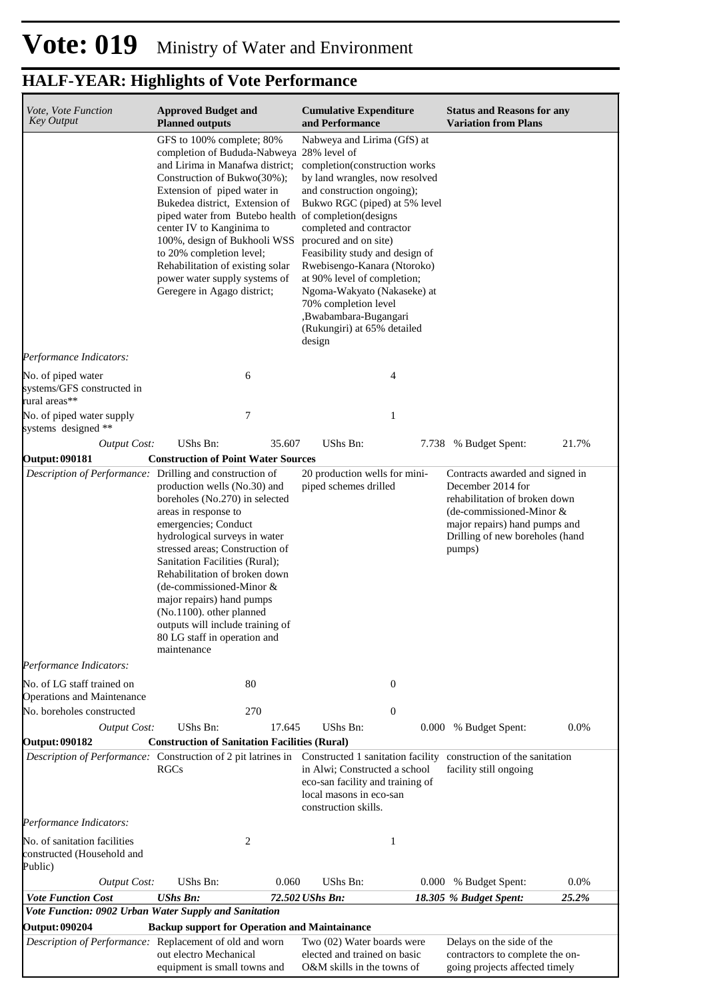| Vote, Vote Function<br><b>Key Output</b>                              | <b>Approved Budget and</b><br><b>Planned outputs</b>                                                                                                                                                                                                                                                                                                                                                                                                            | <b>Cumulative Expenditure</b><br>and Performance                                                                                                                                                                                                                                                                                                                                                                                             | <b>Status and Reasons for any</b><br><b>Variation from Plans</b>                                                                                                                                |
|-----------------------------------------------------------------------|-----------------------------------------------------------------------------------------------------------------------------------------------------------------------------------------------------------------------------------------------------------------------------------------------------------------------------------------------------------------------------------------------------------------------------------------------------------------|----------------------------------------------------------------------------------------------------------------------------------------------------------------------------------------------------------------------------------------------------------------------------------------------------------------------------------------------------------------------------------------------------------------------------------------------|-------------------------------------------------------------------------------------------------------------------------------------------------------------------------------------------------|
|                                                                       | GFS to 100% complete; 80%<br>completion of Bududa-Nabweya 28% level of<br>and Lirima in Manafwa district;<br>Construction of Bukwo(30%);<br>Extension of piped water in<br>Bukedea district, Extension of<br>piped water from Butebo health of completion (designs<br>center IV to Kanginima to<br>100%, design of Bukhooli WSS<br>to 20% completion level;<br>Rehabilitation of existing solar<br>power water supply systems of<br>Geregere in Agago district; | Nabweya and Lirima (GfS) at<br>completion(construction works<br>by land wrangles, now resolved<br>and construction ongoing);<br>Bukwo RGC (piped) at 5% level<br>completed and contractor<br>procured and on site)<br>Feasibility study and design of<br>Rwebisengo-Kanara (Ntoroko)<br>at 90% level of completion;<br>Ngoma-Wakyato (Nakaseke) at<br>70% completion level<br>,Bwabambara-Bugangari<br>(Rukungiri) at 65% detailed<br>design |                                                                                                                                                                                                 |
| Performance Indicators:                                               |                                                                                                                                                                                                                                                                                                                                                                                                                                                                 |                                                                                                                                                                                                                                                                                                                                                                                                                                              |                                                                                                                                                                                                 |
| No. of piped water<br>systems/GFS constructed in<br>rural areas**     | 6                                                                                                                                                                                                                                                                                                                                                                                                                                                               | 4                                                                                                                                                                                                                                                                                                                                                                                                                                            |                                                                                                                                                                                                 |
| No. of piped water supply<br>systems designed **                      | 7                                                                                                                                                                                                                                                                                                                                                                                                                                                               | 1                                                                                                                                                                                                                                                                                                                                                                                                                                            |                                                                                                                                                                                                 |
| <b>Output Cost:</b>                                                   | UShs Bn:<br>35.607                                                                                                                                                                                                                                                                                                                                                                                                                                              | UShs Bn:                                                                                                                                                                                                                                                                                                                                                                                                                                     | 21.7%<br>7.738 % Budget Spent:                                                                                                                                                                  |
| <b>Output: 090181</b>                                                 | <b>Construction of Point Water Sources</b>                                                                                                                                                                                                                                                                                                                                                                                                                      |                                                                                                                                                                                                                                                                                                                                                                                                                                              |                                                                                                                                                                                                 |
| Description of Performance: Drilling and construction of              | production wells (No.30) and<br>boreholes (No.270) in selected<br>areas in response to<br>emergencies; Conduct<br>hydrological surveys in water<br>stressed areas; Construction of<br>Sanitation Facilities (Rural);<br>Rehabilitation of broken down<br>(de-commissioned-Minor &<br>major repairs) hand pumps<br>(No.1100). other planned<br>outputs will include training of<br>80 LG staff in operation and<br>maintenance                                   | 20 production wells for mini-<br>piped schemes drilled                                                                                                                                                                                                                                                                                                                                                                                       | Contracts awarded and signed in<br>December 2014 for<br>rehabilitation of broken down<br>(de-commissioned-Minor &<br>major repairs) hand pumps and<br>Drilling of new boreholes (hand<br>pumps) |
| Performance Indicators:                                               |                                                                                                                                                                                                                                                                                                                                                                                                                                                                 |                                                                                                                                                                                                                                                                                                                                                                                                                                              |                                                                                                                                                                                                 |
| No. of LG staff trained on<br>Operations and Maintenance              | 80                                                                                                                                                                                                                                                                                                                                                                                                                                                              | $\theta$                                                                                                                                                                                                                                                                                                                                                                                                                                     |                                                                                                                                                                                                 |
| No. boreholes constructed                                             | 270                                                                                                                                                                                                                                                                                                                                                                                                                                                             | $\boldsymbol{0}$                                                                                                                                                                                                                                                                                                                                                                                                                             |                                                                                                                                                                                                 |
| <b>Output Cost:</b>                                                   | UShs Bn:<br>17.645                                                                                                                                                                                                                                                                                                                                                                                                                                              | UShs Bn:                                                                                                                                                                                                                                                                                                                                                                                                                                     | 0.0%<br>0.000 % Budget Spent:                                                                                                                                                                   |
| <b>Output: 090182</b>                                                 | <b>Construction of Sanitation Facilities (Rural)</b><br>Description of Performance: Construction of 2 pit latrines in<br><b>RGCs</b>                                                                                                                                                                                                                                                                                                                            | Constructed 1 sanitation facility<br>in Alwi; Constructed a school<br>eco-san facility and training of<br>local masons in eco-san<br>construction skills.                                                                                                                                                                                                                                                                                    | construction of the sanitation<br>facility still ongoing                                                                                                                                        |
| Performance Indicators:                                               |                                                                                                                                                                                                                                                                                                                                                                                                                                                                 |                                                                                                                                                                                                                                                                                                                                                                                                                                              |                                                                                                                                                                                                 |
| No. of sanitation facilities<br>constructed (Household and<br>Public) | 2                                                                                                                                                                                                                                                                                                                                                                                                                                                               | 1                                                                                                                                                                                                                                                                                                                                                                                                                                            |                                                                                                                                                                                                 |
| <b>Output Cost:</b>                                                   | UShs Bn:<br>0.060                                                                                                                                                                                                                                                                                                                                                                                                                                               | UShs Bn:<br>0.000                                                                                                                                                                                                                                                                                                                                                                                                                            | 0.0%<br>% Budget Spent:                                                                                                                                                                         |
| <b>Vote Function Cost</b>                                             | <b>UShs Bn:</b>                                                                                                                                                                                                                                                                                                                                                                                                                                                 | 72.502 UShs Bn:                                                                                                                                                                                                                                                                                                                                                                                                                              | 25.2%<br>18.305 % Budget Spent:                                                                                                                                                                 |
|                                                                       | Vote Function: 0902 Urban Water Supply and Sanitation                                                                                                                                                                                                                                                                                                                                                                                                           |                                                                                                                                                                                                                                                                                                                                                                                                                                              |                                                                                                                                                                                                 |
| <b>Output: 090204</b>                                                 | <b>Backup support for Operation and Maintainance</b>                                                                                                                                                                                                                                                                                                                                                                                                            |                                                                                                                                                                                                                                                                                                                                                                                                                                              |                                                                                                                                                                                                 |
|                                                                       | Description of Performance: Replacement of old and worn<br>out electro Mechanical<br>equipment is small towns and                                                                                                                                                                                                                                                                                                                                               | Two (02) Water boards were<br>elected and trained on basic<br>O&M skills in the towns of                                                                                                                                                                                                                                                                                                                                                     | Delays on the side of the<br>contractors to complete the on-<br>going projects affected timely                                                                                                  |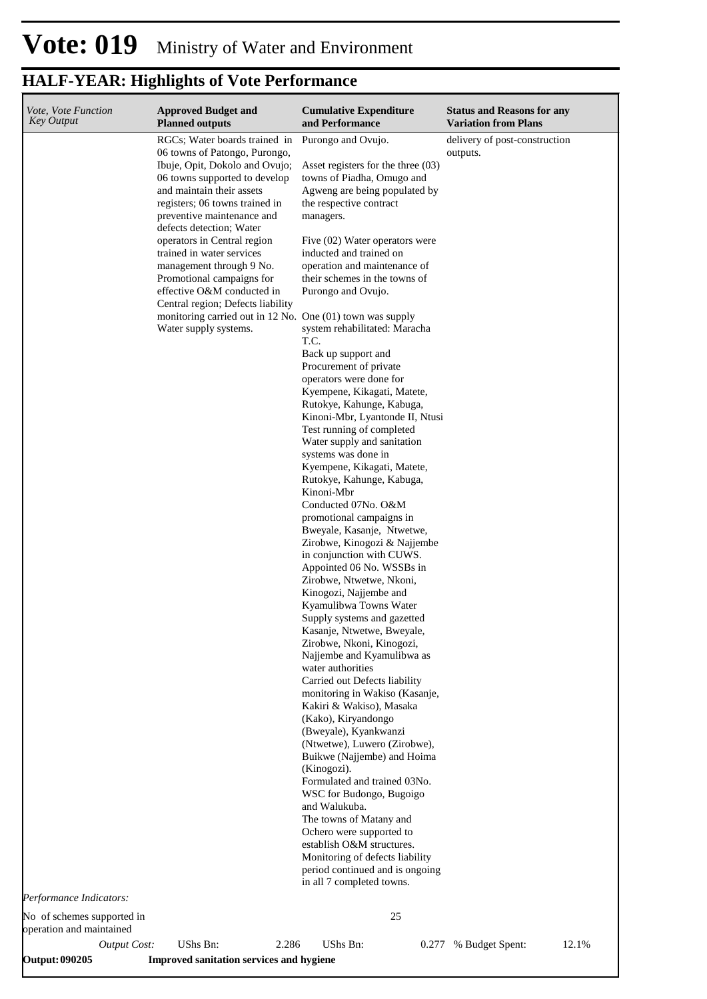| Vote, Vote Function<br><b>Key Output</b>               | <b>Approved Budget and</b><br><b>Planned outputs</b>                                                                           | <b>Cumulative Expenditure</b><br>and Performance                                                                               | <b>Status and Reasons for any</b><br><b>Variation from Plans</b> |
|--------------------------------------------------------|--------------------------------------------------------------------------------------------------------------------------------|--------------------------------------------------------------------------------------------------------------------------------|------------------------------------------------------------------|
|                                                        | RGCs; Water boards trained in<br>06 towns of Patongo, Purongo,                                                                 | Purongo and Ovujo.                                                                                                             | delivery of post-construction<br>outputs.                        |
|                                                        | Ibuje, Opit, Dokolo and Ovujo;<br>06 towns supported to develop<br>and maintain their assets<br>registers; 06 towns trained in | Asset registers for the three $(03)$<br>towns of Piadha, Omugo and<br>Agweng are being populated by<br>the respective contract |                                                                  |
|                                                        | preventive maintenance and<br>defects detection; Water                                                                         | managers.                                                                                                                      |                                                                  |
|                                                        | operators in Central region<br>trained in water services                                                                       | Five (02) Water operators were<br>inducted and trained on                                                                      |                                                                  |
|                                                        | management through 9 No.<br>Promotional campaigns for<br>effective O&M conducted in<br>Central region; Defects liability       | operation and maintenance of<br>their schemes in the towns of<br>Purongo and Ovujo.                                            |                                                                  |
|                                                        | monitoring carried out in 12 No. One (01) town was supply<br>Water supply systems.                                             | system rehabilitated: Maracha                                                                                                  |                                                                  |
|                                                        |                                                                                                                                | T.C.<br>Back up support and                                                                                                    |                                                                  |
|                                                        |                                                                                                                                | Procurement of private<br>operators were done for                                                                              |                                                                  |
|                                                        |                                                                                                                                | Kyempene, Kikagati, Matete,<br>Rutokye, Kahunge, Kabuga,                                                                       |                                                                  |
|                                                        |                                                                                                                                | Kinoni-Mbr, Lyantonde II, Ntusi<br>Test running of completed                                                                   |                                                                  |
|                                                        |                                                                                                                                | Water supply and sanitation<br>systems was done in                                                                             |                                                                  |
|                                                        |                                                                                                                                | Kyempene, Kikagati, Matete,<br>Rutokye, Kahunge, Kabuga,                                                                       |                                                                  |
|                                                        |                                                                                                                                | Kinoni-Mbr<br>Conducted 07No. O&M                                                                                              |                                                                  |
|                                                        |                                                                                                                                | promotional campaigns in<br>Bweyale, Kasanje, Ntwetwe,                                                                         |                                                                  |
|                                                        |                                                                                                                                | Zirobwe, Kinogozi & Najjembe<br>in conjunction with CUWS.                                                                      |                                                                  |
|                                                        |                                                                                                                                | Appointed 06 No. WSSBs in<br>Zirobwe, Ntwetwe, Nkoni,                                                                          |                                                                  |
|                                                        |                                                                                                                                | Kinogozi, Najjembe and<br>Kyamulibwa Towns Water                                                                               |                                                                  |
|                                                        |                                                                                                                                | Supply systems and gazetted<br>Kasanje, Ntwetwe, Bweyale,                                                                      |                                                                  |
|                                                        |                                                                                                                                | Zirobwe, Nkoni, Kinogozi,<br>Najjembe and Kyamulibwa as                                                                        |                                                                  |
|                                                        |                                                                                                                                | water authorities<br>Carried out Defects liability                                                                             |                                                                  |
|                                                        |                                                                                                                                | monitoring in Wakiso (Kasanje,<br>Kakiri & Wakiso), Masaka                                                                     |                                                                  |
|                                                        |                                                                                                                                | (Kako), Kiryandongo<br>(Bweyale), Kyankwanzi                                                                                   |                                                                  |
|                                                        |                                                                                                                                | (Ntwetwe), Luwero (Zirobwe),<br>Buikwe (Najjembe) and Hoima                                                                    |                                                                  |
|                                                        |                                                                                                                                | (Kinogozi).<br>Formulated and trained 03No.                                                                                    |                                                                  |
|                                                        |                                                                                                                                | WSC for Budongo, Bugoigo<br>and Walukuba.                                                                                      |                                                                  |
|                                                        |                                                                                                                                | The towns of Matany and<br>Ochero were supported to                                                                            |                                                                  |
|                                                        |                                                                                                                                | establish O&M structures.<br>Monitoring of defects liability<br>period continued and is ongoing<br>in all 7 completed towns.   |                                                                  |
| Performance Indicators:                                |                                                                                                                                |                                                                                                                                |                                                                  |
| No of schemes supported in<br>operation and maintained |                                                                                                                                | 25                                                                                                                             |                                                                  |
| <b>Output Cost:</b>                                    | UShs Bn:<br>2.286                                                                                                              | UShs Bn:<br>0.277                                                                                                              | % Budget Spent:<br>12.1%                                         |

**Output: 090205 Improved sanitation services and hygiene**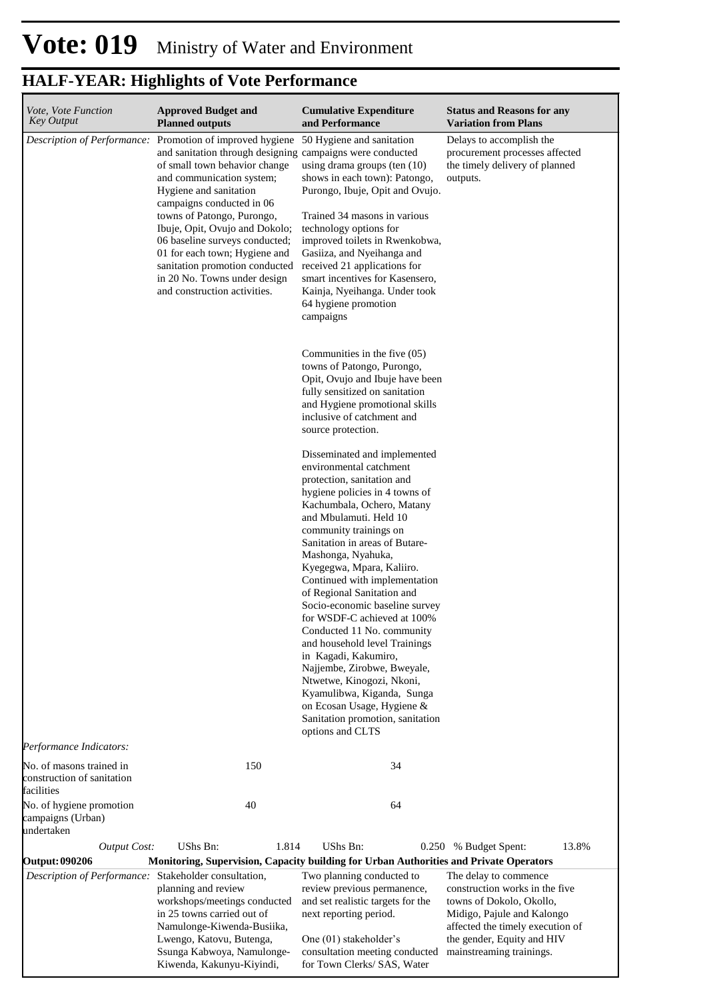| Vote, Vote Function<br><b>Key Output</b>                                       | <b>Approved Budget and</b><br><b>Planned outputs</b>                                                                                                                                                                                                                                                                                                                                                                                                 | <b>Cumulative Expenditure</b><br>and Performance                                                                                                                                                                                                                                                                                                                                                                                                                                                                                                                                                                                                                                                      | <b>Status and Reasons for any</b><br><b>Variation from Plans</b>                                                                                                                                                |
|--------------------------------------------------------------------------------|------------------------------------------------------------------------------------------------------------------------------------------------------------------------------------------------------------------------------------------------------------------------------------------------------------------------------------------------------------------------------------------------------------------------------------------------------|-------------------------------------------------------------------------------------------------------------------------------------------------------------------------------------------------------------------------------------------------------------------------------------------------------------------------------------------------------------------------------------------------------------------------------------------------------------------------------------------------------------------------------------------------------------------------------------------------------------------------------------------------------------------------------------------------------|-----------------------------------------------------------------------------------------------------------------------------------------------------------------------------------------------------------------|
| Description of Performance:                                                    | Promotion of improved hygiene<br>and sanitation through designing campaigns were conducted<br>of small town behavior change<br>and communication system;<br>Hygiene and sanitation<br>campaigns conducted in 06<br>towns of Patongo, Purongo,<br>Ibuje, Opit, Ovujo and Dokolo;<br>06 baseline surveys conducted;<br>01 for each town; Hygiene and<br>sanitation promotion conducted<br>in 20 No. Towns under design<br>and construction activities. | 50 Hygiene and sanitation<br>using drama groups (ten $(10)$<br>shows in each town): Patongo,<br>Purongo, Ibuje, Opit and Ovujo.<br>Trained 34 masons in various<br>technology options for<br>improved toilets in Rwenkobwa,<br>Gasiiza, and Nyeihanga and<br>received 21 applications for<br>smart incentives for Kasensero,<br>Kainja, Nyeihanga. Under took<br>64 hygiene promotion<br>campaigns                                                                                                                                                                                                                                                                                                    | Delays to accomplish the<br>procurement processes affected<br>the timely delivery of planned<br>outputs.                                                                                                        |
|                                                                                |                                                                                                                                                                                                                                                                                                                                                                                                                                                      | Communities in the five (05)<br>towns of Patongo, Purongo,<br>Opit, Ovujo and Ibuje have been<br>fully sensitized on sanitation<br>and Hygiene promotional skills<br>inclusive of catchment and<br>source protection.                                                                                                                                                                                                                                                                                                                                                                                                                                                                                 |                                                                                                                                                                                                                 |
|                                                                                |                                                                                                                                                                                                                                                                                                                                                                                                                                                      | Disseminated and implemented<br>environmental catchment<br>protection, sanitation and<br>hygiene policies in 4 towns of<br>Kachumbala, Ochero, Matany<br>and Mbulamuti. Held 10<br>community trainings on<br>Sanitation in areas of Butare-<br>Mashonga, Nyahuka,<br>Kyegegwa, Mpara, Kaliiro.<br>Continued with implementation<br>of Regional Sanitation and<br>Socio-economic baseline survey<br>for WSDF-C achieved at 100%<br>Conducted 11 No. community<br>and household level Trainings<br>in Kagadi, Kakumiro,<br>Najjembe, Zirobwe, Bweyale,<br>Ntwetwe, Kinogozi, Nkoni,<br>Kyamulibwa, Kiganda, Sunga<br>on Ecosan Usage, Hygiene &<br>Sanitation promotion, sanitation<br>options and CLTS |                                                                                                                                                                                                                 |
| Performance Indicators:                                                        |                                                                                                                                                                                                                                                                                                                                                                                                                                                      |                                                                                                                                                                                                                                                                                                                                                                                                                                                                                                                                                                                                                                                                                                       |                                                                                                                                                                                                                 |
| No. of masons trained in<br>construction of sanitation<br>facilities           | 150                                                                                                                                                                                                                                                                                                                                                                                                                                                  | 34                                                                                                                                                                                                                                                                                                                                                                                                                                                                                                                                                                                                                                                                                                    |                                                                                                                                                                                                                 |
| No. of hygiene promotion<br>campaigns (Urban)<br>undertaken                    | 40                                                                                                                                                                                                                                                                                                                                                                                                                                                   | 64                                                                                                                                                                                                                                                                                                                                                                                                                                                                                                                                                                                                                                                                                                    |                                                                                                                                                                                                                 |
| <b>Output Cost:</b>                                                            | UShs Bn:<br>1.814                                                                                                                                                                                                                                                                                                                                                                                                                                    | UShs Bn:                                                                                                                                                                                                                                                                                                                                                                                                                                                                                                                                                                                                                                                                                              | 13.8%<br>0.250 % Budget Spent:                                                                                                                                                                                  |
| <b>Output: 090206</b><br>Description of Performance: Stakeholder consultation, | Monitoring, Supervision, Capacity building for Urban Authorities and Private Operators<br>planning and review<br>workshops/meetings conducted<br>in 25 towns carried out of<br>Namulonge-Kiwenda-Busiika,<br>Lwengo, Katovu, Butenga,<br>Ssunga Kabwoya, Namulonge-<br>Kiwenda, Kakunyu-Kiyindi,                                                                                                                                                     | Two planning conducted to<br>review previous permanence,<br>and set realistic targets for the<br>next reporting period.<br>One (01) stakeholder's<br>consultation meeting conducted<br>for Town Clerks/ SAS, Water                                                                                                                                                                                                                                                                                                                                                                                                                                                                                    | The delay to commence<br>construction works in the five<br>towns of Dokolo, Okollo,<br>Midigo, Pajule and Kalongo<br>affected the timely execution of<br>the gender, Equity and HIV<br>mainstreaming trainings. |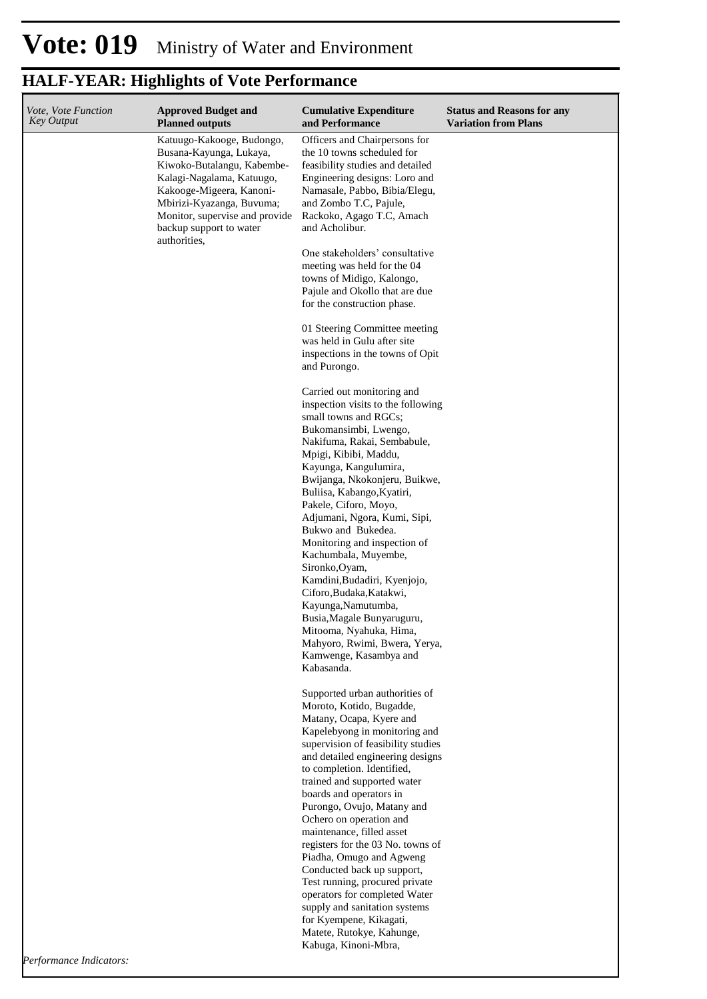| <i>Vote. Vote Function</i><br><b>Key Output</b> | <b>Approved Budget and</b><br><b>Planned outputs</b>                                                                                                                                                                                                  | <b>Cumulative Expenditure</b><br>and Performance                                                                                                                                                                                                                                                                                                                                                                                                                                                                                                                                                                                                                   | <b>Status and Reasons for any</b><br><b>Variation from Plans</b> |
|-------------------------------------------------|-------------------------------------------------------------------------------------------------------------------------------------------------------------------------------------------------------------------------------------------------------|--------------------------------------------------------------------------------------------------------------------------------------------------------------------------------------------------------------------------------------------------------------------------------------------------------------------------------------------------------------------------------------------------------------------------------------------------------------------------------------------------------------------------------------------------------------------------------------------------------------------------------------------------------------------|------------------------------------------------------------------|
|                                                 | Katuugo-Kakooge, Budongo,<br>Busana-Kayunga, Lukaya,<br>Kiwoko-Butalangu, Kabembe-<br>Kalagi-Nagalama, Katuugo,<br>Kakooge-Migeera, Kanoni-<br>Mbirizi-Kyazanga, Buvuma;<br>Monitor, supervise and provide<br>backup support to water<br>authorities. | Officers and Chairpersons for<br>the 10 towns scheduled for<br>feasibility studies and detailed<br>Engineering designs: Loro and<br>Namasale, Pabbo, Bibia/Elegu,<br>and Zombo T.C, Pajule,<br>Rackoko, Agago T.C, Amach<br>and Acholibur.                                                                                                                                                                                                                                                                                                                                                                                                                         |                                                                  |
|                                                 |                                                                                                                                                                                                                                                       | One stakeholders' consultative<br>meeting was held for the 04<br>towns of Midigo, Kalongo,<br>Pajule and Okollo that are due<br>for the construction phase.                                                                                                                                                                                                                                                                                                                                                                                                                                                                                                        |                                                                  |
|                                                 |                                                                                                                                                                                                                                                       | 01 Steering Committee meeting<br>was held in Gulu after site<br>inspections in the towns of Opit<br>and Purongo.                                                                                                                                                                                                                                                                                                                                                                                                                                                                                                                                                   |                                                                  |
|                                                 |                                                                                                                                                                                                                                                       | Carried out monitoring and<br>inspection visits to the following<br>small towns and RGCs;<br>Bukomansimbi, Lwengo,<br>Nakifuma, Rakai, Sembabule,<br>Mpigi, Kibibi, Maddu,<br>Kayunga, Kangulumira,<br>Bwijanga, Nkokonjeru, Buikwe,<br>Buliisa, Kabango, Kyatiri,<br>Pakele, Ciforo, Moyo,<br>Adjumani, Ngora, Kumi, Sipi,<br>Bukwo and Bukedea.<br>Monitoring and inspection of<br>Kachumbala, Muyembe,<br>Sironko, Oyam,<br>Kamdini, Budadiri, Kyenjojo,<br>Ciforo, Budaka, Katakwi,<br>Kayunga, Namutumba,<br>Busia, Magale Bunyaruguru,<br>Mitooma, Nyahuka, Hima,<br>Mahyoro, Rwimi, Bwera, Yerya,<br>Kamwenge, Kasambya and<br>Kabasanda.                   |                                                                  |
|                                                 |                                                                                                                                                                                                                                                       | Supported urban authorities of<br>Moroto, Kotido, Bugadde,<br>Matany, Ocapa, Kyere and<br>Kapelebyong in monitoring and<br>supervision of feasibility studies<br>and detailed engineering designs<br>to completion. Identified,<br>trained and supported water<br>boards and operators in<br>Purongo, Ovujo, Matany and<br>Ochero on operation and<br>maintenance, filled asset<br>registers for the 03 No. towns of<br>Piadha, Omugo and Agweng<br>Conducted back up support,<br>Test running, procured private<br>operators for completed Water<br>supply and sanitation systems<br>for Kyempene, Kikagati,<br>Matete, Rutokye, Kahunge,<br>Kabuga, Kinoni-Mbra, |                                                                  |
|                                                 |                                                                                                                                                                                                                                                       |                                                                                                                                                                                                                                                                                                                                                                                                                                                                                                                                                                                                                                                                    |                                                                  |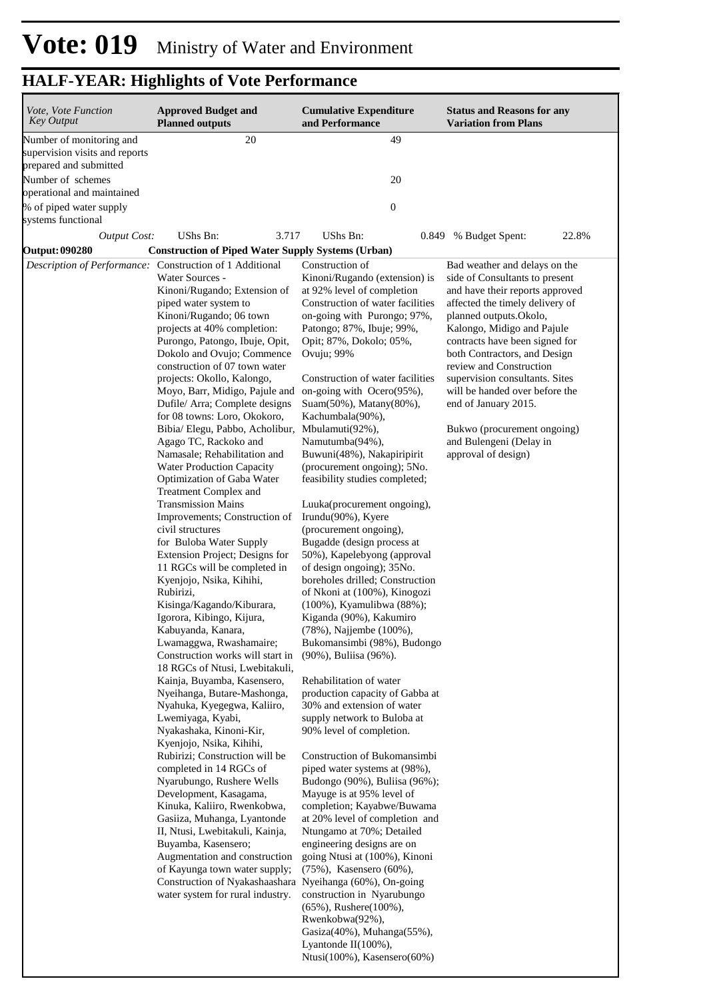| Vote, Vote Function<br><b>Key Output</b>                                             | <b>Approved Budget and</b><br><b>Planned outputs</b>                                                                                                                                                                                                                                                                                                                                                                                                                                                                                                                                                                                                                                                                                                                                                                                                                                                                                                                                                                                                                                                                                                                                                                                                                                                                                                                                                                                                                                                                                                                                                               | <b>Cumulative Expenditure</b><br>and Performance                                                                                                                                                                                                                                                                                                                                                                                                                                                                                                                                                                                                                                                                                                                                                                                                                                                                                                                                                                                                                                                                                                                                                                                                                                                                                                                                                                                        | <b>Status and Reasons for any</b><br><b>Variation from Plans</b>                                                                                                                                                                                                                                                                                                                                                                                                        |
|--------------------------------------------------------------------------------------|--------------------------------------------------------------------------------------------------------------------------------------------------------------------------------------------------------------------------------------------------------------------------------------------------------------------------------------------------------------------------------------------------------------------------------------------------------------------------------------------------------------------------------------------------------------------------------------------------------------------------------------------------------------------------------------------------------------------------------------------------------------------------------------------------------------------------------------------------------------------------------------------------------------------------------------------------------------------------------------------------------------------------------------------------------------------------------------------------------------------------------------------------------------------------------------------------------------------------------------------------------------------------------------------------------------------------------------------------------------------------------------------------------------------------------------------------------------------------------------------------------------------------------------------------------------------------------------------------------------------|-----------------------------------------------------------------------------------------------------------------------------------------------------------------------------------------------------------------------------------------------------------------------------------------------------------------------------------------------------------------------------------------------------------------------------------------------------------------------------------------------------------------------------------------------------------------------------------------------------------------------------------------------------------------------------------------------------------------------------------------------------------------------------------------------------------------------------------------------------------------------------------------------------------------------------------------------------------------------------------------------------------------------------------------------------------------------------------------------------------------------------------------------------------------------------------------------------------------------------------------------------------------------------------------------------------------------------------------------------------------------------------------------------------------------------------------|-------------------------------------------------------------------------------------------------------------------------------------------------------------------------------------------------------------------------------------------------------------------------------------------------------------------------------------------------------------------------------------------------------------------------------------------------------------------------|
| Number of monitoring and<br>supervision visits and reports<br>prepared and submitted | 20                                                                                                                                                                                                                                                                                                                                                                                                                                                                                                                                                                                                                                                                                                                                                                                                                                                                                                                                                                                                                                                                                                                                                                                                                                                                                                                                                                                                                                                                                                                                                                                                                 | 49                                                                                                                                                                                                                                                                                                                                                                                                                                                                                                                                                                                                                                                                                                                                                                                                                                                                                                                                                                                                                                                                                                                                                                                                                                                                                                                                                                                                                                      |                                                                                                                                                                                                                                                                                                                                                                                                                                                                         |
| Number of schemes<br>operational and maintained                                      |                                                                                                                                                                                                                                                                                                                                                                                                                                                                                                                                                                                                                                                                                                                                                                                                                                                                                                                                                                                                                                                                                                                                                                                                                                                                                                                                                                                                                                                                                                                                                                                                                    | 20                                                                                                                                                                                                                                                                                                                                                                                                                                                                                                                                                                                                                                                                                                                                                                                                                                                                                                                                                                                                                                                                                                                                                                                                                                                                                                                                                                                                                                      |                                                                                                                                                                                                                                                                                                                                                                                                                                                                         |
| % of piped water supply<br>systems functional                                        |                                                                                                                                                                                                                                                                                                                                                                                                                                                                                                                                                                                                                                                                                                                                                                                                                                                                                                                                                                                                                                                                                                                                                                                                                                                                                                                                                                                                                                                                                                                                                                                                                    | $\boldsymbol{0}$                                                                                                                                                                                                                                                                                                                                                                                                                                                                                                                                                                                                                                                                                                                                                                                                                                                                                                                                                                                                                                                                                                                                                                                                                                                                                                                                                                                                                        |                                                                                                                                                                                                                                                                                                                                                                                                                                                                         |
|                                                                                      | UShs Bn:<br>3.717                                                                                                                                                                                                                                                                                                                                                                                                                                                                                                                                                                                                                                                                                                                                                                                                                                                                                                                                                                                                                                                                                                                                                                                                                                                                                                                                                                                                                                                                                                                                                                                                  | UShs Bn:<br>0.849                                                                                                                                                                                                                                                                                                                                                                                                                                                                                                                                                                                                                                                                                                                                                                                                                                                                                                                                                                                                                                                                                                                                                                                                                                                                                                                                                                                                                       | 22.8%<br>% Budget Spent:                                                                                                                                                                                                                                                                                                                                                                                                                                                |
| <b>Output: 090280</b>                                                                |                                                                                                                                                                                                                                                                                                                                                                                                                                                                                                                                                                                                                                                                                                                                                                                                                                                                                                                                                                                                                                                                                                                                                                                                                                                                                                                                                                                                                                                                                                                                                                                                                    |                                                                                                                                                                                                                                                                                                                                                                                                                                                                                                                                                                                                                                                                                                                                                                                                                                                                                                                                                                                                                                                                                                                                                                                                                                                                                                                                                                                                                                         |                                                                                                                                                                                                                                                                                                                                                                                                                                                                         |
| <b>Output Cost:</b><br>Description of Performance: Construction of 1 Additional      | <b>Construction of Piped Water Supply Systems (Urban)</b><br>Water Sources -<br>Kinoni/Rugando; Extension of<br>piped water system to<br>Kinoni/Rugando; 06 town<br>projects at 40% completion:<br>Purongo, Patongo, Ibuje, Opit,<br>Dokolo and Ovujo; Commence<br>construction of 07 town water<br>projects: Okollo, Kalongo,<br>Moyo, Barr, Midigo, Pajule and<br>Dufile/ Arra; Complete designs<br>for 08 towns: Loro, Okokoro,<br>Bibia/ Elegu, Pabbo, Acholibur,<br>Agago TC, Rackoko and<br>Namasale; Rehabilitation and<br>Water Production Capacity<br>Optimization of Gaba Water<br>Treatment Complex and<br><b>Transmission Mains</b><br>Improvements; Construction of<br>civil structures<br>for Buloba Water Supply<br>Extension Project; Designs for<br>11 RGCs will be completed in<br>Kyenjojo, Nsika, Kihihi,<br>Rubirizi,<br>Kisinga/Kagando/Kiburara,<br>Igorora, Kibingo, Kijura,<br>Kabuyanda, Kanara,<br>Lwamaggwa, Rwashamaire;<br>Construction works will start in<br>18 RGCs of Ntusi, Lwebitakuli,<br>Kainja, Buyamba, Kasensero,<br>Nyeihanga, Butare-Mashonga,<br>Nyahuka, Kyegegwa, Kaliiro,<br>Lwemiyaga, Kyabi,<br>Nyakashaka, Kinoni-Kir,<br>Kyenjojo, Nsika, Kihihi,<br>Rubirizi; Construction will be<br>completed in 14 RGCs of<br>Nyarubungo, Rushere Wells<br>Development, Kasagama,<br>Kinuka, Kaliiro, Rwenkobwa,<br>Gasiiza, Muhanga, Lyantonde<br>II, Ntusi, Lwebitakuli, Kainja,<br>Buyamba, Kasensero;<br>Augmentation and construction<br>of Kayunga town water supply;<br>Construction of Nyakashaashara Nyeihanga (60%), On-going<br>water system for rural industry. | Construction of<br>Kinoni/Rugando (extension) is<br>at 92% level of completion<br>Construction of water facilities<br>on-going with Purongo; 97%,<br>Patongo; 87%, Ibuje; 99%,<br>Opit; 87%, Dokolo; 05%,<br>Ovuju; 99%<br>Construction of water facilities<br>on-going with Ocero(95%),<br>Suam(50%), Matany(80%),<br>Kachumbala(90%),<br>Mbulamuti(92%),<br>Namutumba(94%),<br>Buwuni(48%), Nakapiripirit<br>(procurement ongoing); 5No.<br>feasibility studies completed;<br>Luuka(procurement ongoing),<br>Irundu(90%), Kyere<br>(procurement ongoing),<br>Bugadde (design process at<br>50%), Kapelebyong (approval<br>of design ongoing); 35No.<br>boreholes drilled; Construction<br>of Nkoni at (100%), Kinogozi<br>(100%), Kyamulibwa (88%);<br>Kiganda (90%), Kakumiro<br>(78%), Najjembe (100%),<br>Bukomansimbi (98%), Budongo<br>(90%), Buliisa (96%).<br>Rehabilitation of water<br>production capacity of Gabba at<br>30% and extension of water<br>supply network to Buloba at<br>90% level of completion.<br>Construction of Bukomansimbi<br>piped water systems at $(98\%)$ ,<br>Budongo (90%), Buliisa (96%);<br>Mayuge is at 95% level of<br>completion; Kayabwe/Buwama<br>at 20% level of completion and<br>Ntungamo at 70%; Detailed<br>engineering designs are on<br>going Ntusi at (100%), Kinoni<br>(75%), Kasensero (60%),<br>construction in Nyarubungo<br>$(65\%)$ , Rushere $(100\%)$ ,<br>Rwenkobwa(92%), | Bad weather and delays on the<br>side of Consultants to present<br>and have their reports approved<br>affected the timely delivery of<br>planned outputs.Okolo,<br>Kalongo, Midigo and Pajule<br>contracts have been signed for<br>both Contractors, and Design<br>review and Construction<br>supervision consultants. Sites<br>will be handed over before the<br>end of January 2015.<br>Bukwo (procurement ongoing)<br>and Bulengeni (Delay in<br>approval of design) |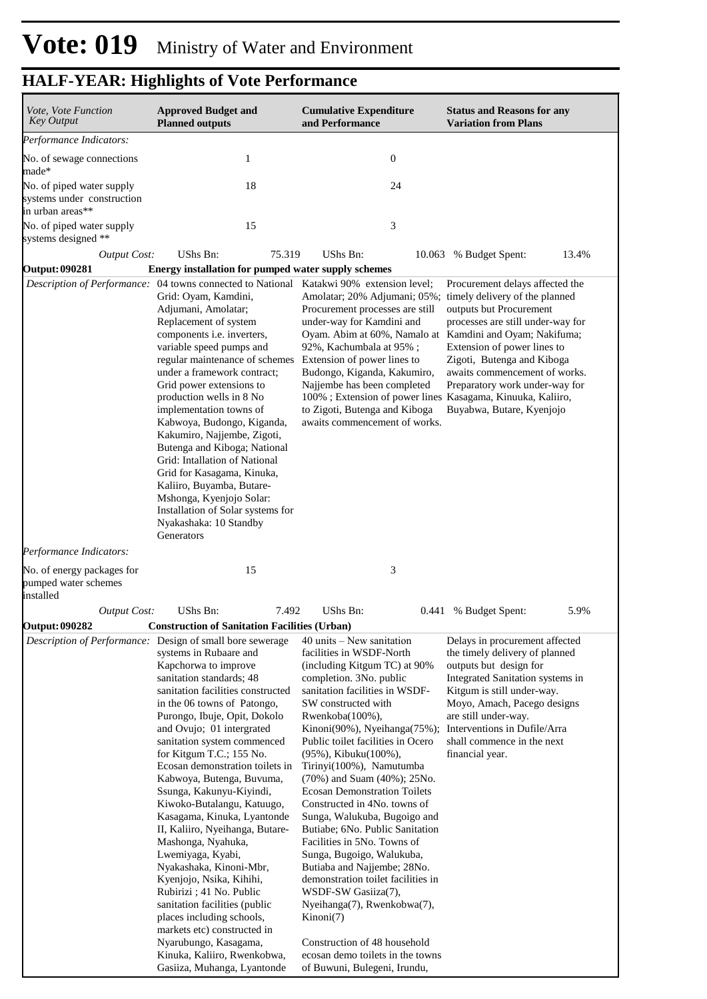| Vote, Vote Function<br><b>Key Output</b>                                                   | <b>Approved Budget and</b><br><b>Planned outputs</b>                                                                                                                                                                                                                                                                                                                                                                                                                                                                                                                                                                                                                                                                                                                                                                                                     | <b>Cumulative Expenditure</b><br>and Performance                                                                                                                                                                                                                                                                                                                                                                                                                                                                                                                                                                                                                                                                                                                                                                  | <b>Status and Reasons for any</b><br><b>Variation from Plans</b>                                                                                                                                                                                                                                     |
|--------------------------------------------------------------------------------------------|----------------------------------------------------------------------------------------------------------------------------------------------------------------------------------------------------------------------------------------------------------------------------------------------------------------------------------------------------------------------------------------------------------------------------------------------------------------------------------------------------------------------------------------------------------------------------------------------------------------------------------------------------------------------------------------------------------------------------------------------------------------------------------------------------------------------------------------------------------|-------------------------------------------------------------------------------------------------------------------------------------------------------------------------------------------------------------------------------------------------------------------------------------------------------------------------------------------------------------------------------------------------------------------------------------------------------------------------------------------------------------------------------------------------------------------------------------------------------------------------------------------------------------------------------------------------------------------------------------------------------------------------------------------------------------------|------------------------------------------------------------------------------------------------------------------------------------------------------------------------------------------------------------------------------------------------------------------------------------------------------|
| Performance Indicators:                                                                    |                                                                                                                                                                                                                                                                                                                                                                                                                                                                                                                                                                                                                                                                                                                                                                                                                                                          |                                                                                                                                                                                                                                                                                                                                                                                                                                                                                                                                                                                                                                                                                                                                                                                                                   |                                                                                                                                                                                                                                                                                                      |
| No. of sewage connections<br>made*                                                         | $\mathbf{1}$                                                                                                                                                                                                                                                                                                                                                                                                                                                                                                                                                                                                                                                                                                                                                                                                                                             | $\boldsymbol{0}$                                                                                                                                                                                                                                                                                                                                                                                                                                                                                                                                                                                                                                                                                                                                                                                                  |                                                                                                                                                                                                                                                                                                      |
| No. of piped water supply<br>systems under construction<br>in urban areas**                | 18                                                                                                                                                                                                                                                                                                                                                                                                                                                                                                                                                                                                                                                                                                                                                                                                                                                       | 24                                                                                                                                                                                                                                                                                                                                                                                                                                                                                                                                                                                                                                                                                                                                                                                                                |                                                                                                                                                                                                                                                                                                      |
| No. of piped water supply<br>systems designed **                                           | 15                                                                                                                                                                                                                                                                                                                                                                                                                                                                                                                                                                                                                                                                                                                                                                                                                                                       | 3                                                                                                                                                                                                                                                                                                                                                                                                                                                                                                                                                                                                                                                                                                                                                                                                                 |                                                                                                                                                                                                                                                                                                      |
| <b>Output Cost:</b>                                                                        | UShs Bn:<br>75.319                                                                                                                                                                                                                                                                                                                                                                                                                                                                                                                                                                                                                                                                                                                                                                                                                                       | UShs Bn:<br>10.063                                                                                                                                                                                                                                                                                                                                                                                                                                                                                                                                                                                                                                                                                                                                                                                                | 13.4%<br>% Budget Spent:                                                                                                                                                                                                                                                                             |
| <b>Output: 090281</b>                                                                      | Energy installation for pumped water supply schemes                                                                                                                                                                                                                                                                                                                                                                                                                                                                                                                                                                                                                                                                                                                                                                                                      |                                                                                                                                                                                                                                                                                                                                                                                                                                                                                                                                                                                                                                                                                                                                                                                                                   |                                                                                                                                                                                                                                                                                                      |
|                                                                                            | Description of Performance: 04 towns connected to National Katakwi 90% extension level;<br>Grid: Oyam, Kamdini,<br>Adjumani, Amolatar;<br>Replacement of system<br>components i.e. inverters,<br>variable speed pumps and<br>regular maintenance of schemes<br>under a framework contract;<br>Grid power extensions to<br>production wells in 8 No<br>implementation towns of<br>Kabwoya, Budongo, Kiganda,<br>Kakumiro, Najjembe, Zigoti,<br>Butenga and Kiboga; National<br>Grid: Intallation of National<br>Grid for Kasagama, Kinuka,<br>Kaliiro, Buyamba, Butare-<br>Mshonga, Kyenjojo Solar:<br>Installation of Solar systems for<br>Nyakashaka: 10 Standby<br>Generators                                                                                                                                                                          | Amolatar; 20% Adjumani; 05%; timely delivery of the planned<br>Procurement processes are still<br>under-way for Kamdini and<br>Oyam. Abim at 60%, Namalo at Kamdini and Oyam; Nakifuma;<br>92%, Kachumbala at 95%;<br>Extension of power lines to<br>Budongo, Kiganda, Kakumiro,<br>Najjembe has been completed<br>100%; Extension of power lines Kasagama, Kinuuka, Kaliiro,<br>to Zigoti, Butenga and Kiboga<br>awaits commencement of works.                                                                                                                                                                                                                                                                                                                                                                   | Procurement delays affected the<br>outputs but Procurement<br>processes are still under-way for<br>Extension of power lines to<br>Zigoti, Butenga and Kiboga<br>awaits commencement of works.<br>Preparatory work under-way for<br>Buyabwa, Butare, Kyenjojo                                         |
|                                                                                            |                                                                                                                                                                                                                                                                                                                                                                                                                                                                                                                                                                                                                                                                                                                                                                                                                                                          |                                                                                                                                                                                                                                                                                                                                                                                                                                                                                                                                                                                                                                                                                                                                                                                                                   |                                                                                                                                                                                                                                                                                                      |
| Performance Indicators:<br>No. of energy packages for<br>pumped water schemes<br>installed | 15                                                                                                                                                                                                                                                                                                                                                                                                                                                                                                                                                                                                                                                                                                                                                                                                                                                       | 3                                                                                                                                                                                                                                                                                                                                                                                                                                                                                                                                                                                                                                                                                                                                                                                                                 |                                                                                                                                                                                                                                                                                                      |
| <b>Output Cost:</b>                                                                        | UShs Bn:<br>7.492                                                                                                                                                                                                                                                                                                                                                                                                                                                                                                                                                                                                                                                                                                                                                                                                                                        | UShs Bn:<br>0.441                                                                                                                                                                                                                                                                                                                                                                                                                                                                                                                                                                                                                                                                                                                                                                                                 | 5.9%<br>% Budget Spent:                                                                                                                                                                                                                                                                              |
| <b>Output: 090282</b>                                                                      | <b>Construction of Sanitation Facilities (Urban)</b>                                                                                                                                                                                                                                                                                                                                                                                                                                                                                                                                                                                                                                                                                                                                                                                                     |                                                                                                                                                                                                                                                                                                                                                                                                                                                                                                                                                                                                                                                                                                                                                                                                                   |                                                                                                                                                                                                                                                                                                      |
|                                                                                            | <i>Description of Performance:</i> Design of small bore sewerage<br>systems in Rubaare and<br>Kapchorwa to improve<br>sanitation standards; 48<br>sanitation facilities constructed<br>in the 06 towns of Patongo,<br>Purongo, Ibuje, Opit, Dokolo<br>and Ovujo; 01 intergrated<br>sanitation system commenced<br>for Kitgum T.C.; 155 No.<br>Ecosan demonstration toilets in<br>Kabwoya, Butenga, Buvuma,<br>Ssunga, Kakunyu-Kiyindi,<br>Kiwoko-Butalangu, Katuugo,<br>Kasagama, Kinuka, Lyantonde<br>II, Kaliiro, Nyeihanga, Butare-<br>Mashonga, Nyahuka,<br>Lwemiyaga, Kyabi,<br>Nyakashaka, Kinoni-Mbr,<br>Kyenjojo, Nsika, Kihihi,<br>Rubirizi ; 41 No. Public<br>sanitation facilities (public<br>places including schools,<br>markets etc) constructed in<br>Nyarubungo, Kasagama,<br>Kinuka, Kaliiro, Rwenkobwa,<br>Gasiiza, Muhanga, Lyantonde | $40$ units $-$ New sanitation<br>facilities in WSDF-North<br>(including Kitgum TC) at 90%<br>completion. 3No. public<br>sanitation facilities in WSDF-<br>SW constructed with<br>Rwenkoba(100%),<br>Kinoni(90%), Nyeihanga(75%);<br>Public toilet facilities in Ocero<br>(95%), Kibuku(100%),<br>Tirinyi(100%), Namutumba<br>$(70\%)$ and Suam $(40\%)$ ; 25No.<br><b>Ecosan Demonstration Toilets</b><br>Constructed in 4No. towns of<br>Sunga, Walukuba, Bugoigo and<br>Butiabe; 6No. Public Sanitation<br>Facilities in 5No. Towns of<br>Sunga, Bugoigo, Walukuba,<br>Butiaba and Najjembe; 28No.<br>demonstration toilet facilities in<br>WSDF-SW Gasiiza(7),<br>Nyeihanga(7), Rwenkobwa(7),<br>Kinoni(7)<br>Construction of 48 household<br>ecosan demo toilets in the towns<br>of Buwuni, Bulegeni, Irundu, | Delays in procurement affected<br>the timely delivery of planned<br>outputs but design for<br>Integrated Sanitation systems in<br>Kitgum is still under-way.<br>Moyo, Amach, Pacego designs<br>are still under-way.<br>Interventions in Dufile/Arra<br>shall commence in the next<br>financial year. |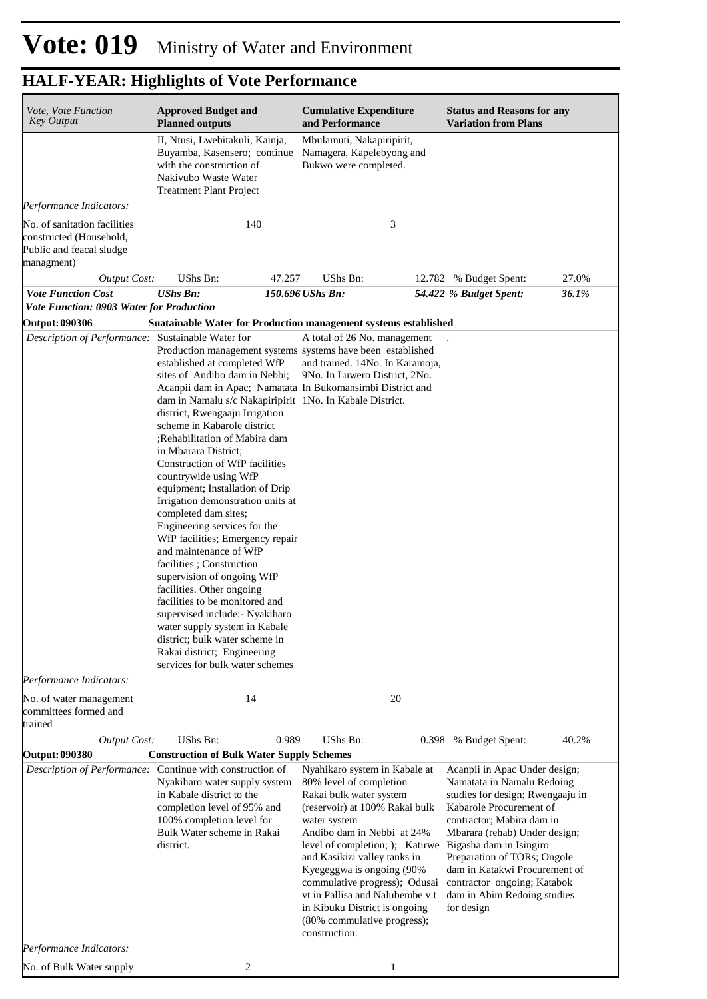| Vote, Vote Function<br><b>Key Output</b>                                                          | <b>Approved Budget and</b><br><b>Planned outputs</b>                                                                                                                                                                                                                                                                                                                                                                                                                                                                                                                                                                                                                                                                                                                                                                                                                                                                                     | <b>Cumulative Expenditure</b><br>and Performance                                                                                                                                                                                                                                                                                                                                                                         | <b>Status and Reasons for any</b><br><b>Variation from Plans</b>                                                                                                                                                                                                                                                                                                |  |
|---------------------------------------------------------------------------------------------------|------------------------------------------------------------------------------------------------------------------------------------------------------------------------------------------------------------------------------------------------------------------------------------------------------------------------------------------------------------------------------------------------------------------------------------------------------------------------------------------------------------------------------------------------------------------------------------------------------------------------------------------------------------------------------------------------------------------------------------------------------------------------------------------------------------------------------------------------------------------------------------------------------------------------------------------|--------------------------------------------------------------------------------------------------------------------------------------------------------------------------------------------------------------------------------------------------------------------------------------------------------------------------------------------------------------------------------------------------------------------------|-----------------------------------------------------------------------------------------------------------------------------------------------------------------------------------------------------------------------------------------------------------------------------------------------------------------------------------------------------------------|--|
|                                                                                                   | II, Ntusi, Lwebitakuli, Kainja,<br>Buyamba, Kasensero; continue<br>with the construction of<br>Nakivubo Waste Water<br><b>Treatment Plant Project</b>                                                                                                                                                                                                                                                                                                                                                                                                                                                                                                                                                                                                                                                                                                                                                                                    | Mbulamuti, Nakapiripirit,<br>Namagera, Kapelebyong and<br>Bukwo were completed.                                                                                                                                                                                                                                                                                                                                          |                                                                                                                                                                                                                                                                                                                                                                 |  |
| Performance Indicators:                                                                           |                                                                                                                                                                                                                                                                                                                                                                                                                                                                                                                                                                                                                                                                                                                                                                                                                                                                                                                                          |                                                                                                                                                                                                                                                                                                                                                                                                                          |                                                                                                                                                                                                                                                                                                                                                                 |  |
| No. of sanitation facilities<br>constructed (Household,<br>Public and feacal sludge<br>managment) | 140                                                                                                                                                                                                                                                                                                                                                                                                                                                                                                                                                                                                                                                                                                                                                                                                                                                                                                                                      | 3                                                                                                                                                                                                                                                                                                                                                                                                                        |                                                                                                                                                                                                                                                                                                                                                                 |  |
| <b>Output Cost:</b>                                                                               | UShs Bn:<br>47.257                                                                                                                                                                                                                                                                                                                                                                                                                                                                                                                                                                                                                                                                                                                                                                                                                                                                                                                       | UShs Bn:                                                                                                                                                                                                                                                                                                                                                                                                                 | 27.0%<br>12.782 % Budget Spent:                                                                                                                                                                                                                                                                                                                                 |  |
| <b>Vote Function Cost</b>                                                                         | <b>UShs Bn:</b>                                                                                                                                                                                                                                                                                                                                                                                                                                                                                                                                                                                                                                                                                                                                                                                                                                                                                                                          | 150.696 UShs Bn:                                                                                                                                                                                                                                                                                                                                                                                                         | 36.1%<br>54.422 % Budget Spent:                                                                                                                                                                                                                                                                                                                                 |  |
| <b>Vote Function: 0903 Water for Production</b><br><b>Output: 090306</b>                          | Suatainable Water for Production management systems established                                                                                                                                                                                                                                                                                                                                                                                                                                                                                                                                                                                                                                                                                                                                                                                                                                                                          |                                                                                                                                                                                                                                                                                                                                                                                                                          |                                                                                                                                                                                                                                                                                                                                                                 |  |
| Description of Performance: Sustainable Water for                                                 |                                                                                                                                                                                                                                                                                                                                                                                                                                                                                                                                                                                                                                                                                                                                                                                                                                                                                                                                          | A total of 26 No. management                                                                                                                                                                                                                                                                                                                                                                                             |                                                                                                                                                                                                                                                                                                                                                                 |  |
|                                                                                                   | Production management systems systems have been established<br>established at completed WfP<br>sites of Andibo dam in Nebbi;<br>Acanpii dam in Apac; Namatata In Bukomansimbi District and<br>dam in Namalu s/c Nakapiripirit 1No. In Kabale District.<br>district, Rwengaaju Irrigation<br>scheme in Kabarole district<br>;Rehabilitation of Mabira dam<br>in Mbarara District;<br>Construction of WfP facilities<br>countrywide using WfP<br>equipment; Installation of Drip<br>Irrigation demonstration units at<br>completed dam sites;<br>Engineering services for the<br>WfP facilities; Emergency repair<br>and maintenance of WfP<br>facilities; Construction<br>supervision of ongoing WfP<br>facilities. Other ongoing<br>facilities to be monitored and<br>supervised include: Nyakiharo<br>water supply system in Kabale<br>district; bulk water scheme in<br>Rakai district; Engineering<br>services for bulk water schemes | and trained. 14No. In Karamoja,<br>9No. In Luwero District, 2No.                                                                                                                                                                                                                                                                                                                                                         |                                                                                                                                                                                                                                                                                                                                                                 |  |
| Performance Indicators:                                                                           |                                                                                                                                                                                                                                                                                                                                                                                                                                                                                                                                                                                                                                                                                                                                                                                                                                                                                                                                          |                                                                                                                                                                                                                                                                                                                                                                                                                          |                                                                                                                                                                                                                                                                                                                                                                 |  |
| No. of water management<br>committees formed and<br>trained                                       | 14                                                                                                                                                                                                                                                                                                                                                                                                                                                                                                                                                                                                                                                                                                                                                                                                                                                                                                                                       | 20                                                                                                                                                                                                                                                                                                                                                                                                                       |                                                                                                                                                                                                                                                                                                                                                                 |  |
| <b>Output Cost:</b>                                                                               | 0.989<br>UShs Bn:                                                                                                                                                                                                                                                                                                                                                                                                                                                                                                                                                                                                                                                                                                                                                                                                                                                                                                                        | UShs Bn:                                                                                                                                                                                                                                                                                                                                                                                                                 | 40.2%<br>0.398 % Budget Spent:                                                                                                                                                                                                                                                                                                                                  |  |
| <b>Output: 090380</b>                                                                             | <b>Construction of Bulk Water Supply Schemes</b><br>Description of Performance: Continue with construction of<br>Nyakiharo water supply system<br>in Kabale district to the<br>completion level of 95% and<br>100% completion level for<br>Bulk Water scheme in Rakai<br>district.                                                                                                                                                                                                                                                                                                                                                                                                                                                                                                                                                                                                                                                       | Nyahikaro system in Kabale at<br>80% level of completion<br>Rakai bulk water system<br>(reservoir) at 100% Rakai bulk<br>water system<br>Andibo dam in Nebbi at 24%<br>level of completion; ); Katirwe<br>and Kasikizi valley tanks in<br>Kyegeggwa is ongoing (90%<br>commulative progress); Odusai<br>vt in Pallisa and Nalubembe v.t<br>in Kibuku District is ongoing<br>(80% commulative progress);<br>construction. | Acanpii in Apac Under design;<br>Namatata in Namalu Redoing<br>studies for design; Rwengaaju in<br>Kabarole Procurement of<br>contractor; Mabira dam in<br>Mbarara (rehab) Under design;<br>Bigasha dam in Isingiro<br>Preparation of TORs; Ongole<br>dam in Katakwi Procurement of<br>contractor ongoing; Katabok<br>dam in Abim Redoing studies<br>for design |  |
| Performance Indicators:                                                                           |                                                                                                                                                                                                                                                                                                                                                                                                                                                                                                                                                                                                                                                                                                                                                                                                                                                                                                                                          |                                                                                                                                                                                                                                                                                                                                                                                                                          |                                                                                                                                                                                                                                                                                                                                                                 |  |
| No. of Bulk Water supply                                                                          | 2                                                                                                                                                                                                                                                                                                                                                                                                                                                                                                                                                                                                                                                                                                                                                                                                                                                                                                                                        | 1                                                                                                                                                                                                                                                                                                                                                                                                                        |                                                                                                                                                                                                                                                                                                                                                                 |  |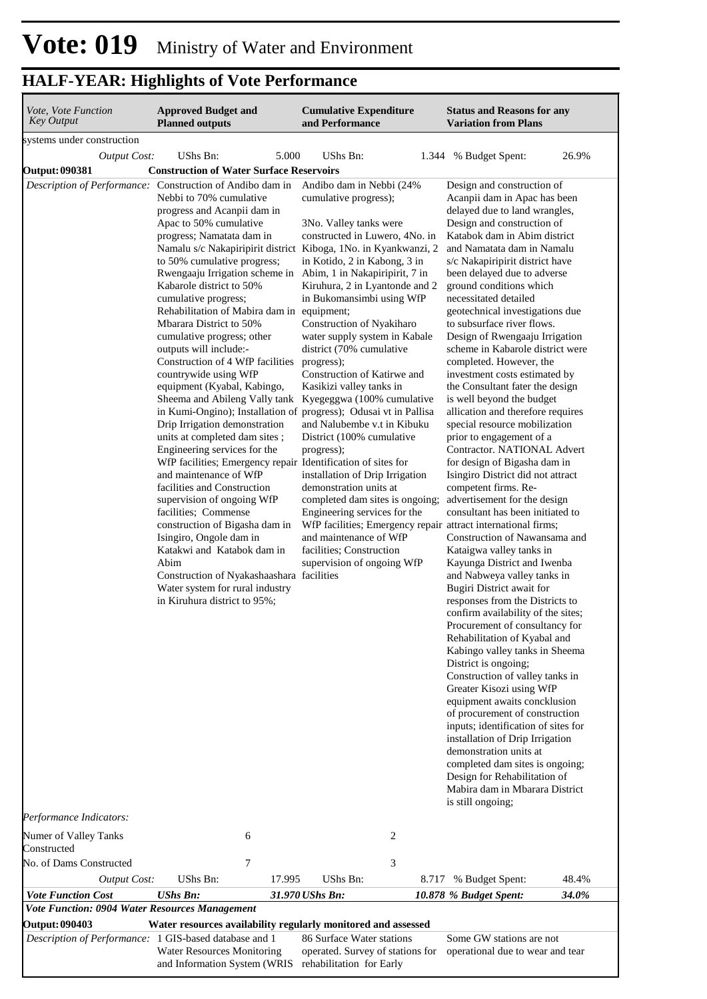| Vote, Vote Function<br><b>Key Output</b>                                           | <b>Approved Budget and</b><br><b>Planned outputs</b>                                                                                                                                                                                                                                                                                                                                                                                                                                                                                                                                                                                                                                                                                                                                                                                                                                                                                                                                                                                                                                                                                                                                                                                                     |        | <b>Cumulative Expenditure</b><br>and Performance                                                                                                                                                                                                                                                                                                                                                                                                                                                                                                                                                                                                                              |       | <b>Status and Reasons for any</b><br><b>Variation from Plans</b>                                                                                                                                                                                                                                                                                                                                                                                                                                                                                                                                                                                                                                                                                                                                                                                                                                                                                                                                                                                                                                                                                                                                                                                                                                                                                                                                                                                                                                                                                                                                                                                           |       |  |
|------------------------------------------------------------------------------------|----------------------------------------------------------------------------------------------------------------------------------------------------------------------------------------------------------------------------------------------------------------------------------------------------------------------------------------------------------------------------------------------------------------------------------------------------------------------------------------------------------------------------------------------------------------------------------------------------------------------------------------------------------------------------------------------------------------------------------------------------------------------------------------------------------------------------------------------------------------------------------------------------------------------------------------------------------------------------------------------------------------------------------------------------------------------------------------------------------------------------------------------------------------------------------------------------------------------------------------------------------|--------|-------------------------------------------------------------------------------------------------------------------------------------------------------------------------------------------------------------------------------------------------------------------------------------------------------------------------------------------------------------------------------------------------------------------------------------------------------------------------------------------------------------------------------------------------------------------------------------------------------------------------------------------------------------------------------|-------|------------------------------------------------------------------------------------------------------------------------------------------------------------------------------------------------------------------------------------------------------------------------------------------------------------------------------------------------------------------------------------------------------------------------------------------------------------------------------------------------------------------------------------------------------------------------------------------------------------------------------------------------------------------------------------------------------------------------------------------------------------------------------------------------------------------------------------------------------------------------------------------------------------------------------------------------------------------------------------------------------------------------------------------------------------------------------------------------------------------------------------------------------------------------------------------------------------------------------------------------------------------------------------------------------------------------------------------------------------------------------------------------------------------------------------------------------------------------------------------------------------------------------------------------------------------------------------------------------------------------------------------------------------|-------|--|
| systems under construction                                                         |                                                                                                                                                                                                                                                                                                                                                                                                                                                                                                                                                                                                                                                                                                                                                                                                                                                                                                                                                                                                                                                                                                                                                                                                                                                          |        |                                                                                                                                                                                                                                                                                                                                                                                                                                                                                                                                                                                                                                                                               |       |                                                                                                                                                                                                                                                                                                                                                                                                                                                                                                                                                                                                                                                                                                                                                                                                                                                                                                                                                                                                                                                                                                                                                                                                                                                                                                                                                                                                                                                                                                                                                                                                                                                            |       |  |
| <b>Output Cost:</b>                                                                | UShs Bn:                                                                                                                                                                                                                                                                                                                                                                                                                                                                                                                                                                                                                                                                                                                                                                                                                                                                                                                                                                                                                                                                                                                                                                                                                                                 | 5.000  | UShs Bn:                                                                                                                                                                                                                                                                                                                                                                                                                                                                                                                                                                                                                                                                      |       | 1.344 % Budget Spent:                                                                                                                                                                                                                                                                                                                                                                                                                                                                                                                                                                                                                                                                                                                                                                                                                                                                                                                                                                                                                                                                                                                                                                                                                                                                                                                                                                                                                                                                                                                                                                                                                                      | 26.9% |  |
| <b>Output: 090381</b><br>Description of Performance: Construction of Andibo dam in | <b>Construction of Water Surface Reservoirs</b><br>Nebbi to 70% cumulative<br>progress and Acanpii dam in<br>Apac to 50% cumulative<br>progress; Namatata dam in<br>Namalu s/c Nakapiripirit district Kiboga, 1No. in Kyankwanzi, 2<br>to 50% cumulative progress;<br>Rwengaaju Irrigation scheme in Abim, 1 in Nakapiripirit, 7 in<br>Kabarole district to 50%<br>cumulative progress;<br>Rehabilitation of Mabira dam in equipment;<br>Mbarara District to 50%<br>cumulative progress; other<br>outputs will include:-<br>Construction of 4 WfP facilities<br>countrywide using WfP<br>equipment (Kyabal, Kabingo,<br>Sheema and Abileng Vally tank Kyegeggwa (100% cumulative<br>in Kumi-Ongino); Installation of progress); Odusai vt in Pallisa<br>Drip Irrigation demonstration<br>units at completed dam sites;<br>Engineering services for the<br>WfP facilities; Emergency repair Identification of sites for<br>and maintenance of WfP<br>facilities and Construction<br>supervision of ongoing WfP<br>facilities; Commense<br>construction of Bigasha dam in<br>Isingiro, Ongole dam in<br>Katakwi and Katabok dam in<br>Abim<br>Construction of Nyakashaashara facilities<br>Water system for rural industry<br>in Kiruhura district to 95%; |        | Andibo dam in Nebbi (24%<br>cumulative progress);<br>3No. Valley tanks were<br>constructed in Luwero, 4No. in<br>in Kotido, 2 in Kabong, 3 in<br>Kiruhura, 2 in Lyantonde and 2<br>in Bukomansimbi using WfP<br>Construction of Nyakiharo<br>water supply system in Kabale<br>district (70% cumulative<br>progress);<br>Construction of Katirwe and<br>Kasikizi valley tanks in<br>and Nalubembe v.t in Kibuku<br>District (100% cumulative<br>progress);<br>installation of Drip Irrigation<br>demonstration units at<br>completed dam sites is ongoing;<br>Engineering services for the<br>and maintenance of WfP<br>facilities; Construction<br>supervision of ongoing WfP |       | Design and construction of<br>Acanpii dam in Apac has been<br>delayed due to land wrangles,<br>Design and construction of<br>Katabok dam in Abim district<br>and Namatata dam in Namalu<br>s/c Nakapiripirit district have<br>been delayed due to adverse<br>ground conditions which<br>necessitated detailed<br>geotechnical investigations due<br>to subsurface river flows.<br>Design of Rwengaaju Irrigation<br>scheme in Kabarole district were<br>completed. However, the<br>investment costs estimated by<br>the Consultant fater the design<br>is well beyond the budget<br>allication and therefore requires<br>special resource mobilization<br>prior to engagement of a<br>Contractor. NATIONAL Advert<br>for design of Bigasha dam in<br>Isingiro District did not attract<br>competent firms. Re-<br>advertisement for the design<br>consultant has been initiated to<br>WfP facilities; Emergency repair attract international firms;<br>Construction of Nawansama and<br>Kataigwa valley tanks in<br>Kayunga District and Iwenba<br>and Nabweya valley tanks in<br>Bugiri District await for<br>responses from the Districts to<br>confirm availability of the sites;<br>Procurement of consultancy for<br>Rehabilitation of Kyabal and<br>Kabingo valley tanks in Sheema<br>District is ongoing;<br>Construction of valley tanks in<br>Greater Kisozi using WfP<br>equipment awaits concklusion<br>of procurement of construction<br>inputs; identification of sites for<br>installation of Drip Irrigation<br>demonstration units at<br>completed dam sites is ongoing;<br>Design for Rehabilitation of<br>Mabira dam in Mbarara District |       |  |
| Performance Indicators:                                                            |                                                                                                                                                                                                                                                                                                                                                                                                                                                                                                                                                                                                                                                                                                                                                                                                                                                                                                                                                                                                                                                                                                                                                                                                                                                          |        |                                                                                                                                                                                                                                                                                                                                                                                                                                                                                                                                                                                                                                                                               |       | is still ongoing;                                                                                                                                                                                                                                                                                                                                                                                                                                                                                                                                                                                                                                                                                                                                                                                                                                                                                                                                                                                                                                                                                                                                                                                                                                                                                                                                                                                                                                                                                                                                                                                                                                          |       |  |
| Numer of Valley Tanks<br>Constructed                                               |                                                                                                                                                                                                                                                                                                                                                                                                                                                                                                                                                                                                                                                                                                                                                                                                                                                                                                                                                                                                                                                                                                                                                                                                                                                          | 6      |                                                                                                                                                                                                                                                                                                                                                                                                                                                                                                                                                                                                                                                                               | 2     |                                                                                                                                                                                                                                                                                                                                                                                                                                                                                                                                                                                                                                                                                                                                                                                                                                                                                                                                                                                                                                                                                                                                                                                                                                                                                                                                                                                                                                                                                                                                                                                                                                                            |       |  |
| No. of Dams Constructed                                                            |                                                                                                                                                                                                                                                                                                                                                                                                                                                                                                                                                                                                                                                                                                                                                                                                                                                                                                                                                                                                                                                                                                                                                                                                                                                          | 7      |                                                                                                                                                                                                                                                                                                                                                                                                                                                                                                                                                                                                                                                                               | 3     |                                                                                                                                                                                                                                                                                                                                                                                                                                                                                                                                                                                                                                                                                                                                                                                                                                                                                                                                                                                                                                                                                                                                                                                                                                                                                                                                                                                                                                                                                                                                                                                                                                                            |       |  |
| <b>Output Cost:</b>                                                                | UShs Bn:                                                                                                                                                                                                                                                                                                                                                                                                                                                                                                                                                                                                                                                                                                                                                                                                                                                                                                                                                                                                                                                                                                                                                                                                                                                 | 17.995 | UShs Bn:                                                                                                                                                                                                                                                                                                                                                                                                                                                                                                                                                                                                                                                                      | 8.717 | % Budget Spent:                                                                                                                                                                                                                                                                                                                                                                                                                                                                                                                                                                                                                                                                                                                                                                                                                                                                                                                                                                                                                                                                                                                                                                                                                                                                                                                                                                                                                                                                                                                                                                                                                                            | 48.4% |  |
| <b>Vote Function Cost</b>                                                          | <b>UShs Bn:</b>                                                                                                                                                                                                                                                                                                                                                                                                                                                                                                                                                                                                                                                                                                                                                                                                                                                                                                                                                                                                                                                                                                                                                                                                                                          |        | 31.970 UShs Bn:                                                                                                                                                                                                                                                                                                                                                                                                                                                                                                                                                                                                                                                               |       | 10.878 % Budget Spent:                                                                                                                                                                                                                                                                                                                                                                                                                                                                                                                                                                                                                                                                                                                                                                                                                                                                                                                                                                                                                                                                                                                                                                                                                                                                                                                                                                                                                                                                                                                                                                                                                                     | 34.0% |  |
| Vote Function: 0904 Water Resources Management                                     |                                                                                                                                                                                                                                                                                                                                                                                                                                                                                                                                                                                                                                                                                                                                                                                                                                                                                                                                                                                                                                                                                                                                                                                                                                                          |        |                                                                                                                                                                                                                                                                                                                                                                                                                                                                                                                                                                                                                                                                               |       |                                                                                                                                                                                                                                                                                                                                                                                                                                                                                                                                                                                                                                                                                                                                                                                                                                                                                                                                                                                                                                                                                                                                                                                                                                                                                                                                                                                                                                                                                                                                                                                                                                                            |       |  |
| <b>Output: 090403</b><br>Description of Performance: 1 GIS-based database and 1    | Water resources availability regularly monitored and assessed<br>Water Resources Monitoring                                                                                                                                                                                                                                                                                                                                                                                                                                                                                                                                                                                                                                                                                                                                                                                                                                                                                                                                                                                                                                                                                                                                                              |        | 86 Surface Water stations<br>operated. Survey of stations for                                                                                                                                                                                                                                                                                                                                                                                                                                                                                                                                                                                                                 |       | Some GW stations are not<br>operational due to wear and tear                                                                                                                                                                                                                                                                                                                                                                                                                                                                                                                                                                                                                                                                                                                                                                                                                                                                                                                                                                                                                                                                                                                                                                                                                                                                                                                                                                                                                                                                                                                                                                                               |       |  |

and Information System (WRIS

rehabilitation for Early

operational due to wear and tear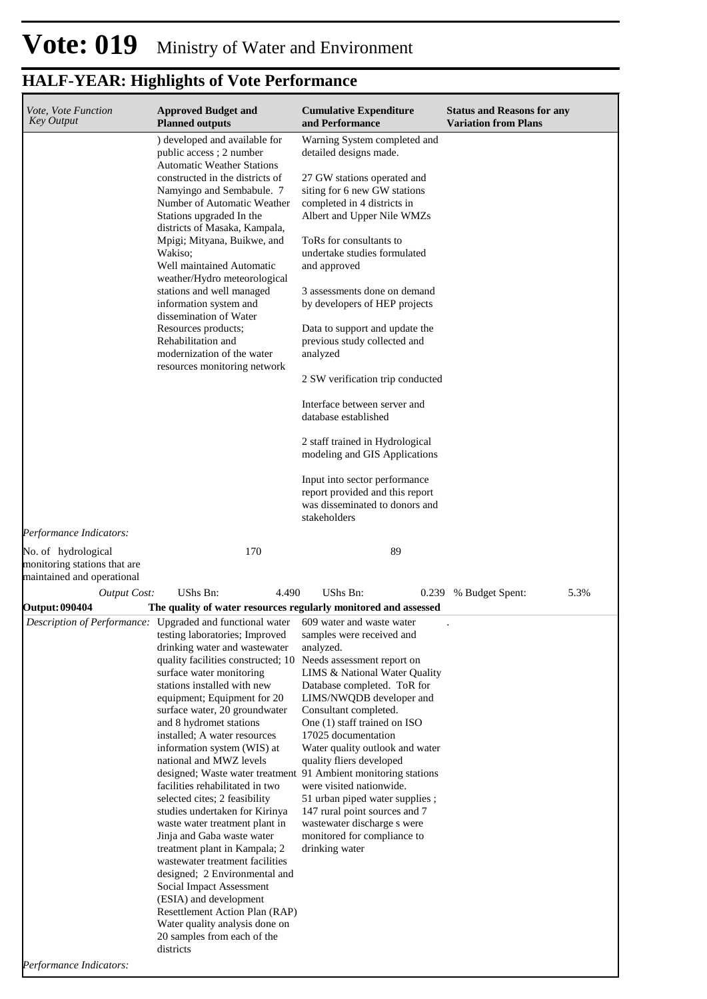| Vote, Vote Function<br><b>Key Output</b>                                          | <b>Approved Budget and</b><br><b>Planned outputs</b>                                                                                                                                                                                                                                                                                                                                                                                                                                                                                                                                                                                                                                                                                                                                                                                                                                                                                                                   | <b>Cumulative Expenditure</b><br>and Performance                                                                                                                                                                                                                                                                                                                                                                                                                                                                                                                                                                                                                                                   | <b>Status and Reasons for any</b><br><b>Variation from Plans</b> |
|-----------------------------------------------------------------------------------|------------------------------------------------------------------------------------------------------------------------------------------------------------------------------------------------------------------------------------------------------------------------------------------------------------------------------------------------------------------------------------------------------------------------------------------------------------------------------------------------------------------------------------------------------------------------------------------------------------------------------------------------------------------------------------------------------------------------------------------------------------------------------------------------------------------------------------------------------------------------------------------------------------------------------------------------------------------------|----------------------------------------------------------------------------------------------------------------------------------------------------------------------------------------------------------------------------------------------------------------------------------------------------------------------------------------------------------------------------------------------------------------------------------------------------------------------------------------------------------------------------------------------------------------------------------------------------------------------------------------------------------------------------------------------------|------------------------------------------------------------------|
| Performance Indicators:                                                           | ) developed and available for<br>public access; 2 number<br><b>Automatic Weather Stations</b><br>constructed in the districts of<br>Namyingo and Sembabule. 7<br>Number of Automatic Weather<br>Stations upgraded In the<br>districts of Masaka, Kampala,<br>Mpigi; Mityana, Buikwe, and<br>Wakiso;<br>Well maintained Automatic<br>weather/Hydro meteorological<br>stations and well managed<br>information system and<br>dissemination of Water<br>Resources products;<br>Rehabilitation and<br>modernization of the water<br>resources monitoring network                                                                                                                                                                                                                                                                                                                                                                                                           | Warning System completed and<br>detailed designs made.<br>27 GW stations operated and<br>siting for 6 new GW stations<br>completed in 4 districts in<br>Albert and Upper Nile WMZs<br>ToRs for consultants to<br>undertake studies formulated<br>and approved<br>3 assessments done on demand<br>by developers of HEP projects<br>Data to support and update the<br>previous study collected and<br>analyzed<br>2 SW verification trip conducted<br>Interface between server and<br>database established<br>2 staff trained in Hydrological<br>modeling and GIS Applications<br>Input into sector performance<br>report provided and this report<br>was disseminated to donors and<br>stakeholders |                                                                  |
| No. of hydrological<br>monitoring stations that are<br>maintained and operational | 170                                                                                                                                                                                                                                                                                                                                                                                                                                                                                                                                                                                                                                                                                                                                                                                                                                                                                                                                                                    | 89                                                                                                                                                                                                                                                                                                                                                                                                                                                                                                                                                                                                                                                                                                 |                                                                  |
| <b>Output Cost:</b>                                                               | UShs Bn:<br>4.490                                                                                                                                                                                                                                                                                                                                                                                                                                                                                                                                                                                                                                                                                                                                                                                                                                                                                                                                                      | UShs Bn:<br>0.239                                                                                                                                                                                                                                                                                                                                                                                                                                                                                                                                                                                                                                                                                  | 5.3%<br>% Budget Spent:                                          |
| <b>Output: 090404</b>                                                             | The quality of water resources regularly monitored and assessed                                                                                                                                                                                                                                                                                                                                                                                                                                                                                                                                                                                                                                                                                                                                                                                                                                                                                                        |                                                                                                                                                                                                                                                                                                                                                                                                                                                                                                                                                                                                                                                                                                    |                                                                  |
| Performance Indicators:                                                           | <i>Description of Performance:</i> Upgraded and functional water 609 water and waste water<br>testing laboratories; Improved<br>drinking water and wastewater<br>quality facilities constructed; 10<br>surface water monitoring<br>stations installed with new<br>equipment; Equipment for 20<br>surface water, 20 groundwater<br>and 8 hydromet stations<br>installed; A water resources<br>information system (WIS) at<br>national and MWZ levels<br>designed; Waste water treatment 91 Ambient monitoring stations<br>facilities rehabilitated in two<br>selected cites; 2 feasibility<br>studies undertaken for Kirinya<br>waste water treatment plant in<br>Jinja and Gaba waste water<br>treatment plant in Kampala; 2<br>wastewater treatment facilities<br>designed; 2 Environmental and<br>Social Impact Assessment<br>(ESIA) and development<br>Resettlement Action Plan (RAP)<br>Water quality analysis done on<br>20 samples from each of the<br>districts | samples were received and<br>analyzed.<br>Needs assessment report on<br>LIMS & National Water Quality<br>Database completed. ToR for<br>LIMS/NWQDB developer and<br>Consultant completed.<br>One (1) staff trained on ISO<br>17025 documentation<br>Water quality outlook and water<br>quality fliers developed<br>were visited nationwide.<br>51 urban piped water supplies;<br>147 rural point sources and 7<br>wastewater discharge s were<br>monitored for compliance to<br>drinking water                                                                                                                                                                                                     |                                                                  |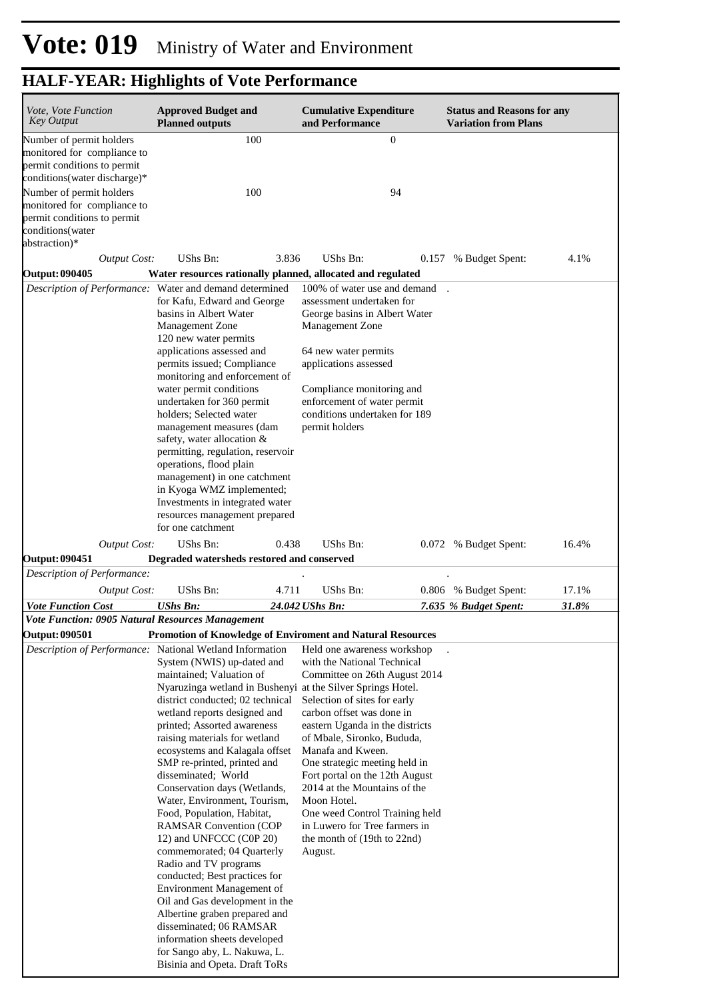| <i>Vote, Vote Function</i><br><b>Key Output</b>                                                                                                                                    | <b>Approved Budget and</b><br><b>Planned outputs</b>                                                                                                                                                                                                                                                                                                                                                                                                                                                                                                                                                                                                                                                                                                                                                                                                                                        | <b>Cumulative Expenditure</b><br>and Performance                                                                                                                                                                                                                                                                                                                                                                                                                              | <b>Status and Reasons for any</b><br><b>Variation from Plans</b> |
|------------------------------------------------------------------------------------------------------------------------------------------------------------------------------------|---------------------------------------------------------------------------------------------------------------------------------------------------------------------------------------------------------------------------------------------------------------------------------------------------------------------------------------------------------------------------------------------------------------------------------------------------------------------------------------------------------------------------------------------------------------------------------------------------------------------------------------------------------------------------------------------------------------------------------------------------------------------------------------------------------------------------------------------------------------------------------------------|-------------------------------------------------------------------------------------------------------------------------------------------------------------------------------------------------------------------------------------------------------------------------------------------------------------------------------------------------------------------------------------------------------------------------------------------------------------------------------|------------------------------------------------------------------|
| Number of permit holders<br>monitored for compliance to<br>permit conditions to permit<br>conditions (water discharge)*<br>Number of permit holders<br>monitored for compliance to | 100<br>100                                                                                                                                                                                                                                                                                                                                                                                                                                                                                                                                                                                                                                                                                                                                                                                                                                                                                  | $\boldsymbol{0}$<br>94                                                                                                                                                                                                                                                                                                                                                                                                                                                        |                                                                  |
| permit conditions to permit<br>conditions(water<br>abstraction)*                                                                                                                   |                                                                                                                                                                                                                                                                                                                                                                                                                                                                                                                                                                                                                                                                                                                                                                                                                                                                                             |                                                                                                                                                                                                                                                                                                                                                                                                                                                                               |                                                                  |
| <b>Output Cost:</b>                                                                                                                                                                | UShs Bn:<br>3.836                                                                                                                                                                                                                                                                                                                                                                                                                                                                                                                                                                                                                                                                                                                                                                                                                                                                           | UShs Bn:                                                                                                                                                                                                                                                                                                                                                                                                                                                                      | 4.1%<br>0.157 % Budget Spent:                                    |
| <b>Output: 090405</b>                                                                                                                                                              | Water resources rationally planned, allocated and regulated                                                                                                                                                                                                                                                                                                                                                                                                                                                                                                                                                                                                                                                                                                                                                                                                                                 |                                                                                                                                                                                                                                                                                                                                                                                                                                                                               |                                                                  |
|                                                                                                                                                                                    | Description of Performance: Water and demand determined<br>for Kafu, Edward and George<br>basins in Albert Water<br><b>Management Zone</b><br>120 new water permits<br>applications assessed and<br>permits issued; Compliance<br>monitoring and enforcement of<br>water permit conditions<br>undertaken for 360 permit<br>holders; Selected water<br>management measures (dam<br>safety, water allocation $&$<br>permitting, regulation, reservoir<br>operations, flood plain<br>management) in one catchment<br>in Kyoga WMZ implemented;<br>Investments in integrated water<br>resources management prepared<br>for one catchment                                                                                                                                                                                                                                                        | 100% of water use and demand<br>assessment undertaken for<br>George basins in Albert Water<br>Management Zone<br>64 new water permits<br>applications assessed<br>Compliance monitoring and<br>enforcement of water permit<br>conditions undertaken for 189<br>permit holders                                                                                                                                                                                                 |                                                                  |
| <b>Output Cost:</b>                                                                                                                                                                | UShs Bn:<br>0.438                                                                                                                                                                                                                                                                                                                                                                                                                                                                                                                                                                                                                                                                                                                                                                                                                                                                           | UShs Bn:                                                                                                                                                                                                                                                                                                                                                                                                                                                                      | 16.4%<br>0.072 % Budget Spent:                                   |
| <b>Output: 090451</b>                                                                                                                                                              | Degraded watersheds restored and conserved                                                                                                                                                                                                                                                                                                                                                                                                                                                                                                                                                                                                                                                                                                                                                                                                                                                  |                                                                                                                                                                                                                                                                                                                                                                                                                                                                               |                                                                  |
| Description of Performance:                                                                                                                                                        |                                                                                                                                                                                                                                                                                                                                                                                                                                                                                                                                                                                                                                                                                                                                                                                                                                                                                             |                                                                                                                                                                                                                                                                                                                                                                                                                                                                               |                                                                  |
| <b>Output Cost:</b>                                                                                                                                                                | UShs Bn:<br>4.711                                                                                                                                                                                                                                                                                                                                                                                                                                                                                                                                                                                                                                                                                                                                                                                                                                                                           | UShs Bn:                                                                                                                                                                                                                                                                                                                                                                                                                                                                      | 0.806 % Budget Spent:<br>17.1%                                   |
| <b>Vote Function Cost</b><br><b>Vote Function: 0905 Natural Resources Management</b>                                                                                               | <b>UShs Bn:</b>                                                                                                                                                                                                                                                                                                                                                                                                                                                                                                                                                                                                                                                                                                                                                                                                                                                                             | 24.042 UShs Bn:                                                                                                                                                                                                                                                                                                                                                                                                                                                               | 31.8%<br>7.635 % Budget Spent:                                   |
| <b>Output: 090501</b>                                                                                                                                                              | <b>Promotion of Knowledge of Enviroment and Natural Resources</b>                                                                                                                                                                                                                                                                                                                                                                                                                                                                                                                                                                                                                                                                                                                                                                                                                           |                                                                                                                                                                                                                                                                                                                                                                                                                                                                               |                                                                  |
|                                                                                                                                                                                    | Description of Performance: National Wetland Information<br>System (NWIS) up-dated and<br>maintained; Valuation of<br>Nyaruzinga wetland in Bushenyi at the Silver Springs Hotel.<br>district conducted; 02 technical<br>wetland reports designed and<br>printed; Assorted awareness<br>raising materials for wetland<br>ecosystems and Kalagala offset<br>SMP re-printed, printed and<br>disseminated; World<br>Conservation days (Wetlands,<br>Water, Environment, Tourism,<br>Food, Population, Habitat,<br><b>RAMSAR Convention (COP</b><br>12) and UNFCCC (C0P 20)<br>commemorated; 04 Quarterly<br>Radio and TV programs<br>conducted; Best practices for<br>Environment Management of<br>Oil and Gas development in the<br>Albertine graben prepared and<br>disseminated; 06 RAMSAR<br>information sheets developed<br>for Sango aby, L. Nakuwa, L.<br>Bisinia and Opeta. Draft ToRs | Held one awareness workshop<br>with the National Technical<br>Committee on 26th August 2014<br>Selection of sites for early<br>carbon offset was done in<br>eastern Uganda in the districts<br>of Mbale, Sironko, Bududa,<br>Manafa and Kween.<br>One strategic meeting held in<br>Fort portal on the 12th August<br>2014 at the Mountains of the<br>Moon Hotel.<br>One weed Control Training held<br>in Luwero for Tree farmers in<br>the month of (19th to 22nd)<br>August. |                                                                  |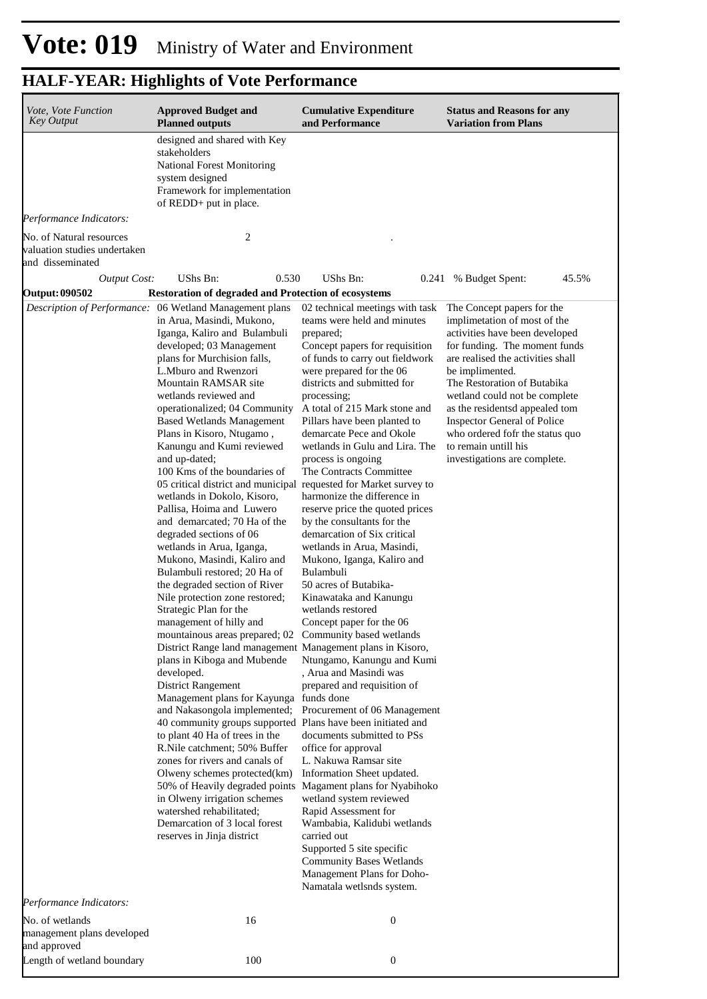| Vote, Vote Function<br><b>Key Output</b>                                     | <b>Approved Budget and</b><br><b>Planned outputs</b>                                                                                                                                                                                                                                                                                                                                                                                                                                                                                                                                                                                                                                                                                                                                                                                                                                                                                                                                                                                                                                                                                                                                                                                                                                                                                                                                                                                                                                         | <b>Cumulative Expenditure</b><br>and Performance                                                                                                                                                                                                                                                                                                                                                                                                                                                                                                                                                                                                                                                                                                                                                                                                                                                                                                                                                                                                                                                                                                                                                                   | <b>Status and Reasons for any</b><br><b>Variation from Plans</b>                                                                                                                                                                                                                                                                                                                                                         |
|------------------------------------------------------------------------------|----------------------------------------------------------------------------------------------------------------------------------------------------------------------------------------------------------------------------------------------------------------------------------------------------------------------------------------------------------------------------------------------------------------------------------------------------------------------------------------------------------------------------------------------------------------------------------------------------------------------------------------------------------------------------------------------------------------------------------------------------------------------------------------------------------------------------------------------------------------------------------------------------------------------------------------------------------------------------------------------------------------------------------------------------------------------------------------------------------------------------------------------------------------------------------------------------------------------------------------------------------------------------------------------------------------------------------------------------------------------------------------------------------------------------------------------------------------------------------------------|--------------------------------------------------------------------------------------------------------------------------------------------------------------------------------------------------------------------------------------------------------------------------------------------------------------------------------------------------------------------------------------------------------------------------------------------------------------------------------------------------------------------------------------------------------------------------------------------------------------------------------------------------------------------------------------------------------------------------------------------------------------------------------------------------------------------------------------------------------------------------------------------------------------------------------------------------------------------------------------------------------------------------------------------------------------------------------------------------------------------------------------------------------------------------------------------------------------------|--------------------------------------------------------------------------------------------------------------------------------------------------------------------------------------------------------------------------------------------------------------------------------------------------------------------------------------------------------------------------------------------------------------------------|
|                                                                              | designed and shared with Key<br>stakeholders<br><b>National Forest Monitoring</b><br>system designed<br>Framework for implementation<br>of REDD+ put in place.                                                                                                                                                                                                                                                                                                                                                                                                                                                                                                                                                                                                                                                                                                                                                                                                                                                                                                                                                                                                                                                                                                                                                                                                                                                                                                                               |                                                                                                                                                                                                                                                                                                                                                                                                                                                                                                                                                                                                                                                                                                                                                                                                                                                                                                                                                                                                                                                                                                                                                                                                                    |                                                                                                                                                                                                                                                                                                                                                                                                                          |
| Performance Indicators:                                                      |                                                                                                                                                                                                                                                                                                                                                                                                                                                                                                                                                                                                                                                                                                                                                                                                                                                                                                                                                                                                                                                                                                                                                                                                                                                                                                                                                                                                                                                                                              |                                                                                                                                                                                                                                                                                                                                                                                                                                                                                                                                                                                                                                                                                                                                                                                                                                                                                                                                                                                                                                                                                                                                                                                                                    |                                                                                                                                                                                                                                                                                                                                                                                                                          |
| No. of Natural resources<br>valuation studies undertaken<br>and disseminated | 2                                                                                                                                                                                                                                                                                                                                                                                                                                                                                                                                                                                                                                                                                                                                                                                                                                                                                                                                                                                                                                                                                                                                                                                                                                                                                                                                                                                                                                                                                            |                                                                                                                                                                                                                                                                                                                                                                                                                                                                                                                                                                                                                                                                                                                                                                                                                                                                                                                                                                                                                                                                                                                                                                                                                    |                                                                                                                                                                                                                                                                                                                                                                                                                          |
| <b>Output Cost:</b>                                                          | 0.530<br>UShs Bn:                                                                                                                                                                                                                                                                                                                                                                                                                                                                                                                                                                                                                                                                                                                                                                                                                                                                                                                                                                                                                                                                                                                                                                                                                                                                                                                                                                                                                                                                            | <b>UShs Bn:</b><br>0.241                                                                                                                                                                                                                                                                                                                                                                                                                                                                                                                                                                                                                                                                                                                                                                                                                                                                                                                                                                                                                                                                                                                                                                                           | 45.5%<br>% Budget Spent:                                                                                                                                                                                                                                                                                                                                                                                                 |
| <b>Output: 090502</b>                                                        | Restoration of degraded and Protection of ecosystems                                                                                                                                                                                                                                                                                                                                                                                                                                                                                                                                                                                                                                                                                                                                                                                                                                                                                                                                                                                                                                                                                                                                                                                                                                                                                                                                                                                                                                         |                                                                                                                                                                                                                                                                                                                                                                                                                                                                                                                                                                                                                                                                                                                                                                                                                                                                                                                                                                                                                                                                                                                                                                                                                    |                                                                                                                                                                                                                                                                                                                                                                                                                          |
|                                                                              | Description of Performance: 06 Wetland Management plans<br>in Arua, Masindi, Mukono,<br>Iganga, Kaliro and Bulambuli<br>developed; 03 Management<br>plans for Murchision falls,<br>L.Mburo and Rwenzori<br>Mountain RAMSAR site<br>wetlands reviewed and<br>operationalized; 04 Community<br><b>Based Wetlands Management</b><br>Plans in Kisoro, Ntugamo,<br>Kanungu and Kumi reviewed<br>and up-dated;<br>100 Kms of the boundaries of<br>05 critical district and municipal requested for Market survey to<br>wetlands in Dokolo, Kisoro,<br>Pallisa, Hoima and Luwero<br>and demarcated; 70 Ha of the<br>degraded sections of 06<br>wetlands in Arua, Iganga,<br>Mukono, Masindi, Kaliro and<br>Bulambuli restored; 20 Ha of<br>the degraded section of River<br>Nile protection zone restored;<br>Strategic Plan for the<br>management of hilly and<br>mountainous areas prepared; 02 Community based wetlands<br>District Range land management Management plans in Kisoro,<br>plans in Kiboga and Mubende<br>developed.<br>District Rangement<br>Management plans for Kayunga funds done<br>40 community groups supported Plans have been initiated and<br>to plant 40 Ha of trees in the<br>R.Nile catchment; 50% Buffer<br>zones for rivers and canals of<br>Olweny schemes protected(km)<br>50% of Heavily degraded points Magament plans for Nyabihoko<br>in Olweny irrigation schemes<br>watershed rehabilitated;<br>Demarcation of 3 local forest<br>reserves in Jinja district | 02 technical meetings with task<br>teams were held and minutes<br>prepared;<br>Concept papers for requisition<br>of funds to carry out fieldwork<br>were prepared for the 06<br>districts and submitted for<br>processing;<br>A total of 215 Mark stone and<br>Pillars have been planted to<br>demarcate Pece and Okole<br>wetlands in Gulu and Lira. The<br>process is ongoing<br>The Contracts Committee<br>harmonize the difference in<br>reserve price the quoted prices<br>by the consultants for the<br>demarcation of Six critical<br>wetlands in Arua, Masindi,<br>Mukono, Iganga, Kaliro and<br>Bulambuli<br>50 acres of Butabika-<br>Kinawataka and Kanungu<br>wetlands restored<br>Concept paper for the 06<br>Ntungamo, Kanungu and Kumi<br>, Arua and Masindi was<br>prepared and requisition of<br>and Nakasongola implemented; Procurement of 06 Management<br>documents submitted to PSs<br>office for approval<br>L. Nakuwa Ramsar site<br>Information Sheet updated.<br>wetland system reviewed<br>Rapid Assessment for<br>Wambabia, Kalidubi wetlands<br>carried out<br>Supported 5 site specific<br><b>Community Bases Wetlands</b><br>Management Plans for Doho-<br>Namatala wetlsnds system. | The Concept papers for the<br>implimetation of most of the<br>activities have been developed<br>for funding. The moment funds<br>are realised the activities shall<br>be implimented.<br>The Restoration of Butabika<br>wetland could not be complete<br>as the residentsd appealed tom<br><b>Inspector General of Police</b><br>who ordered fofr the status quo<br>to remain untill his<br>investigations are complete. |
| Performance Indicators:                                                      |                                                                                                                                                                                                                                                                                                                                                                                                                                                                                                                                                                                                                                                                                                                                                                                                                                                                                                                                                                                                                                                                                                                                                                                                                                                                                                                                                                                                                                                                                              |                                                                                                                                                                                                                                                                                                                                                                                                                                                                                                                                                                                                                                                                                                                                                                                                                                                                                                                                                                                                                                                                                                                                                                                                                    |                                                                                                                                                                                                                                                                                                                                                                                                                          |
| No. of wetlands<br>management plans developed<br>and approved                | 16                                                                                                                                                                                                                                                                                                                                                                                                                                                                                                                                                                                                                                                                                                                                                                                                                                                                                                                                                                                                                                                                                                                                                                                                                                                                                                                                                                                                                                                                                           | $\boldsymbol{0}$                                                                                                                                                                                                                                                                                                                                                                                                                                                                                                                                                                                                                                                                                                                                                                                                                                                                                                                                                                                                                                                                                                                                                                                                   |                                                                                                                                                                                                                                                                                                                                                                                                                          |
| Length of wetland boundary                                                   | 100                                                                                                                                                                                                                                                                                                                                                                                                                                                                                                                                                                                                                                                                                                                                                                                                                                                                                                                                                                                                                                                                                                                                                                                                                                                                                                                                                                                                                                                                                          | $\boldsymbol{0}$                                                                                                                                                                                                                                                                                                                                                                                                                                                                                                                                                                                                                                                                                                                                                                                                                                                                                                                                                                                                                                                                                                                                                                                                   |                                                                                                                                                                                                                                                                                                                                                                                                                          |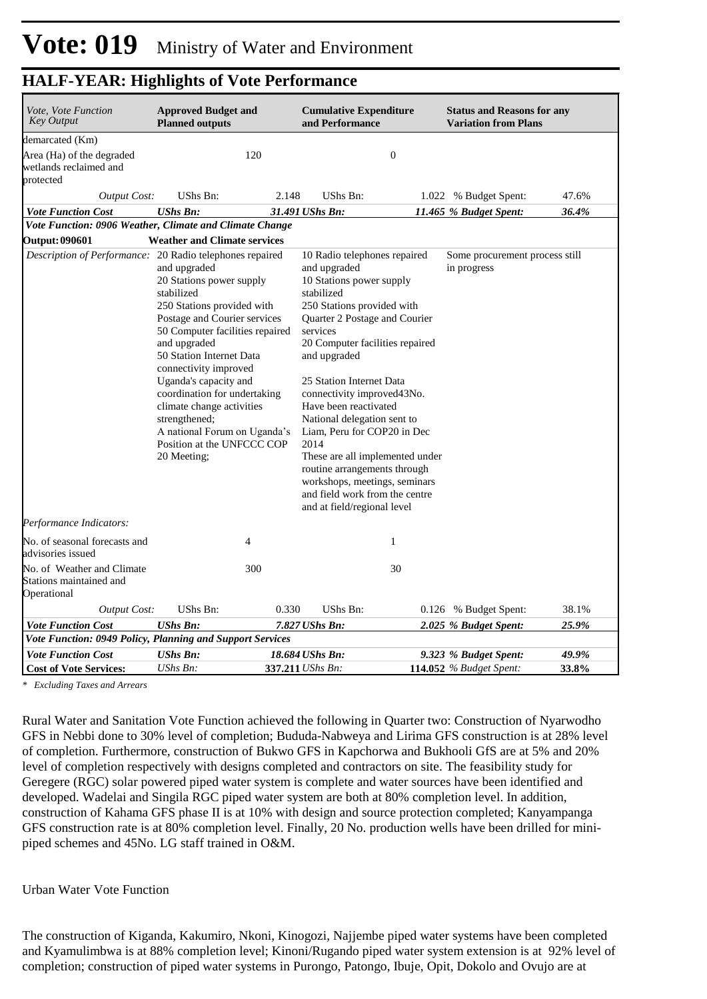| <i>Vote, Vote Function</i><br><b>Key Output</b>                      | <b>Approved Budget and</b><br><b>Planned outputs</b>                                                                                                                                                                                                                                                                                                                                                             |       | <b>Cumulative Expenditure</b><br>and Performance                                                                                                                                                                                                                                                                                                                                                                                                                                                                                                    |                | <b>Status and Reasons for any</b><br><b>Variation from Plans</b> |                |
|----------------------------------------------------------------------|------------------------------------------------------------------------------------------------------------------------------------------------------------------------------------------------------------------------------------------------------------------------------------------------------------------------------------------------------------------------------------------------------------------|-------|-----------------------------------------------------------------------------------------------------------------------------------------------------------------------------------------------------------------------------------------------------------------------------------------------------------------------------------------------------------------------------------------------------------------------------------------------------------------------------------------------------------------------------------------------------|----------------|------------------------------------------------------------------|----------------|
| demarcated (Km)                                                      |                                                                                                                                                                                                                                                                                                                                                                                                                  |       |                                                                                                                                                                                                                                                                                                                                                                                                                                                                                                                                                     |                |                                                                  |                |
| Area (Ha) of the degraded<br>wetlands reclaimed and<br>protected     |                                                                                                                                                                                                                                                                                                                                                                                                                  | 120   |                                                                                                                                                                                                                                                                                                                                                                                                                                                                                                                                                     | $\overline{0}$ |                                                                  |                |
| <b>Output Cost:</b>                                                  | UShs Bn:                                                                                                                                                                                                                                                                                                                                                                                                         | 2.148 | UShs Bn:                                                                                                                                                                                                                                                                                                                                                                                                                                                                                                                                            |                | 1.022 % Budget Spent:                                            | 47.6%          |
| <b>Vote Function Cost</b>                                            | <b>UShs Bn:</b>                                                                                                                                                                                                                                                                                                                                                                                                  |       | 31.491 UShs Bn:                                                                                                                                                                                                                                                                                                                                                                                                                                                                                                                                     |                | 11.465 % Budget Spent:                                           | 36.4%          |
| Vote Function: 0906 Weather, Climate and Climate Change              |                                                                                                                                                                                                                                                                                                                                                                                                                  |       |                                                                                                                                                                                                                                                                                                                                                                                                                                                                                                                                                     |                |                                                                  |                |
| <b>Output: 090601</b>                                                | <b>Weather and Climate services</b>                                                                                                                                                                                                                                                                                                                                                                              |       |                                                                                                                                                                                                                                                                                                                                                                                                                                                                                                                                                     |                |                                                                  |                |
| Description of Performance: 20 Radio telephones repaired             | and upgraded<br>20 Stations power supply<br>stabilized<br>250 Stations provided with<br>Postage and Courier services<br>50 Computer facilities repaired<br>and upgraded<br>50 Station Internet Data<br>connectivity improved<br>Uganda's capacity and<br>coordination for undertaking<br>climate change activities<br>strengthened;<br>A national Forum on Uganda's<br>Position at the UNFCCC COP<br>20 Meeting; |       | 10 Radio telephones repaired<br>and upgraded<br>10 Stations power supply<br>stabilized<br>250 Stations provided with<br>Quarter 2 Postage and Courier<br>services<br>20 Computer facilities repaired<br>and upgraded<br>25 Station Internet Data<br>connectivity improved 43No.<br>Have been reactivated<br>National delegation sent to<br>Liam, Peru for COP20 in Dec<br>2014<br>These are all implemented under<br>routine arrangements through<br>workshops, meetings, seminars<br>and field work from the centre<br>and at field/regional level |                | Some procurement process still<br>in progress                    |                |
| Performance Indicators:                                              |                                                                                                                                                                                                                                                                                                                                                                                                                  |       |                                                                                                                                                                                                                                                                                                                                                                                                                                                                                                                                                     |                |                                                                  |                |
| No. of seasonal forecasts and<br>advisories issued                   |                                                                                                                                                                                                                                                                                                                                                                                                                  | 4     |                                                                                                                                                                                                                                                                                                                                                                                                                                                                                                                                                     | 1              |                                                                  |                |
| No. of Weather and Climate<br>Stations maintained and<br>Operational |                                                                                                                                                                                                                                                                                                                                                                                                                  | 300   |                                                                                                                                                                                                                                                                                                                                                                                                                                                                                                                                                     | 30             |                                                                  |                |
| <b>Output Cost:</b>                                                  | UShs Bn:                                                                                                                                                                                                                                                                                                                                                                                                         | 0.330 | <b>UShs Bn:</b>                                                                                                                                                                                                                                                                                                                                                                                                                                                                                                                                     |                | 0.126 % Budget Spent:                                            | 38.1%          |
| <b>Vote Function Cost</b>                                            | <b>UShs Bn:</b>                                                                                                                                                                                                                                                                                                                                                                                                  |       | 7.827 UShs Bn:                                                                                                                                                                                                                                                                                                                                                                                                                                                                                                                                      |                | 2.025 % Budget Spent:                                            | 25.9%          |
| Vote Function: 0949 Policy, Planning and Support Services            |                                                                                                                                                                                                                                                                                                                                                                                                                  |       |                                                                                                                                                                                                                                                                                                                                                                                                                                                                                                                                                     |                |                                                                  |                |
| <b>Vote Function Cost</b><br><b>Cost of Vote Services:</b>           | <b>UShs Bn:</b><br>UShs Bn:                                                                                                                                                                                                                                                                                                                                                                                      |       | 18.684 UShs Bn:<br>337.211 UShs Bn:                                                                                                                                                                                                                                                                                                                                                                                                                                                                                                                 |                | 9.323 % Budget Spent:<br><b>114.052</b> % Budget Spent:          | 49.9%<br>33.8% |

*\* Excluding Taxes and Arrears*

Rural Water and Sanitation Vote Function achieved the following in Quarter two: Construction of Nyarwodho GFS in Nebbi done to 30% level of completion; Bududa-Nabweya and Lirima GFS construction is at 28% level of completion. Furthermore, construction of Bukwo GFS in Kapchorwa and Bukhooli GfS are at 5% and 20% level of completion respectively with designs completed and contractors on site. The feasibility study for Geregere (RGC) solar powered piped water system is complete and water sources have been identified and developed. Wadelai and Singila RGC piped water system are both at 80% completion level. In addition, construction of Kahama GFS phase II is at 10% with design and source protection completed; Kanyampanga GFS construction rate is at 80% completion level. Finally, 20 No. production wells have been drilled for minipiped schemes and 45No. LG staff trained in O&M.

#### Urban Water Vote Function

The construction of Kiganda, Kakumiro, Nkoni, Kinogozi, Najjembe piped water systems have been completed and Kyamulimbwa is at 88% completion level; Kinoni/Rugando piped water system extension is at 92% level of completion; construction of piped water systems in Purongo, Patongo, Ibuje, Opit, Dokolo and Ovujo are at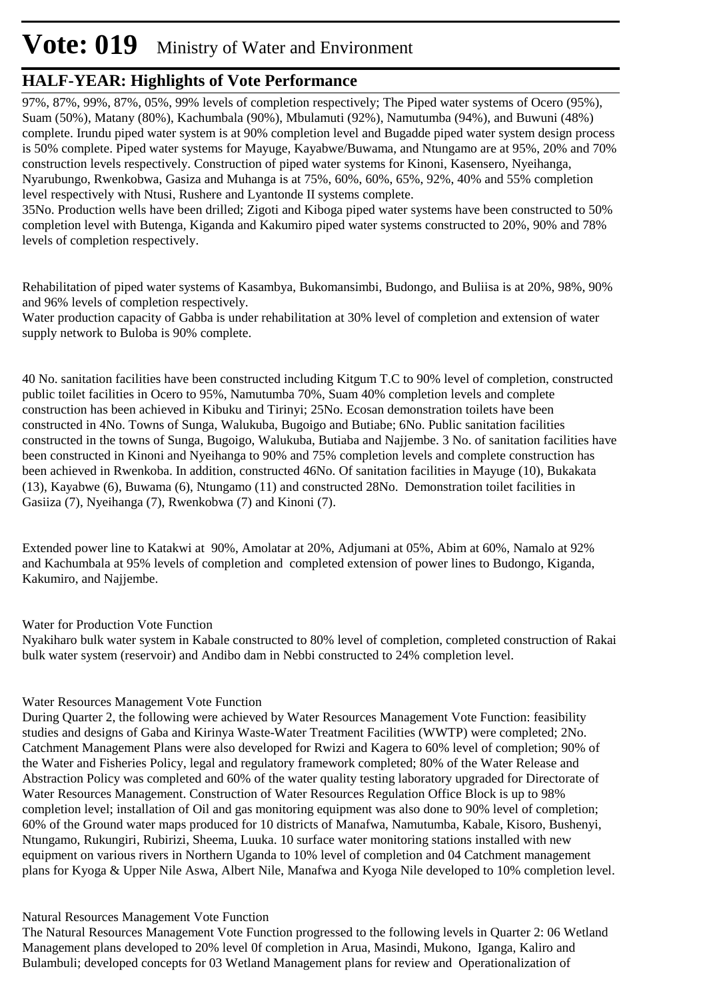# **Vote: 019** Ministry of Water and Environment

### **HALF-YEAR: Highlights of Vote Performance**

97%, 87%, 99%, 87%, 05%, 99% levels of completion respectively; The Piped water systems of Ocero (95%), Suam (50%), Matany (80%), Kachumbala (90%), Mbulamuti (92%), Namutumba (94%), and Buwuni (48%) complete. Irundu piped water system is at 90% completion level and Bugadde piped water system design process is 50% complete. Piped water systems for Mayuge, Kayabwe/Buwama, and Ntungamo are at 95%, 20% and 70% construction levels respectively. Construction of piped water systems for Kinoni, Kasensero, Nyeihanga, Nyarubungo, Rwenkobwa, Gasiza and Muhanga is at 75%, 60%, 60%, 65%, 92%, 40% and 55% completion level respectively with Ntusi, Rushere and Lyantonde II systems complete.

35No. Production wells have been drilled; Zigoti and Kiboga piped water systems have been constructed to 50% completion level with Butenga, Kiganda and Kakumiro piped water systems constructed to 20%, 90% and 78% levels of completion respectively.

Rehabilitation of piped water systems of Kasambya, Bukomansimbi, Budongo, and Buliisa is at 20%, 98%, 90% and 96% levels of completion respectively.

Water production capacity of Gabba is under rehabilitation at 30% level of completion and extension of water supply network to Buloba is 90% complete.

40 No. sanitation facilities have been constructed including Kitgum T.C to 90% level of completion, constructed public toilet facilities in Ocero to 95%, Namutumba 70%, Suam 40% completion levels and complete construction has been achieved in Kibuku and Tirinyi; 25No. Ecosan demonstration toilets have been constructed in 4No. Towns of Sunga, Walukuba, Bugoigo and Butiabe; 6No. Public sanitation facilities constructed in the towns of Sunga, Bugoigo, Walukuba, Butiaba and Najjembe. 3 No. of sanitation facilities have been constructed in Kinoni and Nyeihanga to 90% and 75% completion levels and complete construction has been achieved in Rwenkoba. In addition, constructed 46No. Of sanitation facilities in Mayuge (10), Bukakata (13), Kayabwe (6), Buwama (6), Ntungamo (11) and constructed 28No. Demonstration toilet facilities in Gasiiza (7), Nyeihanga (7), Rwenkobwa (7) and Kinoni (7).

Extended power line to Katakwi at 90%, Amolatar at 20%, Adjumani at 05%, Abim at 60%, Namalo at 92% and Kachumbala at 95% levels of completion and completed extension of power lines to Budongo, Kiganda, Kakumiro, and Najjembe.

#### Water for Production Vote Function

Nyakiharo bulk water system in Kabale constructed to 80% level of completion, completed construction of Rakai bulk water system (reservoir) and Andibo dam in Nebbi constructed to 24% completion level.

#### Water Resources Management Vote Function

During Quarter 2, the following were achieved by Water Resources Management Vote Function: feasibility studies and designs of Gaba and Kirinya Waste-Water Treatment Facilities (WWTP) were completed; 2No. Catchment Management Plans were also developed for Rwizi and Kagera to 60% level of completion; 90% of the Water and Fisheries Policy, legal and regulatory framework completed; 80% of the Water Release and Abstraction Policy was completed and 60% of the water quality testing laboratory upgraded for Directorate of Water Resources Management. Construction of Water Resources Regulation Office Block is up to 98% completion level; installation of Oil and gas monitoring equipment was also done to 90% level of completion; 60% of the Ground water maps produced for 10 districts of Manafwa, Namutumba, Kabale, Kisoro, Bushenyi, Ntungamo, Rukungiri, Rubirizi, Sheema, Luuka. 10 surface water monitoring stations installed with new equipment on various rivers in Northern Uganda to 10% level of completion and 04 Catchment management plans for Kyoga & Upper Nile Aswa, Albert Nile, Manafwa and Kyoga Nile developed to 10% completion level.

#### Natural Resources Management Vote Function

The Natural Resources Management Vote Function progressed to the following levels in Quarter 2: 06 Wetland Management plans developed to 20% level 0f completion in Arua, Masindi, Mukono, Iganga, Kaliro and Bulambuli; developed concepts for 03 Wetland Management plans for review and Operationalization of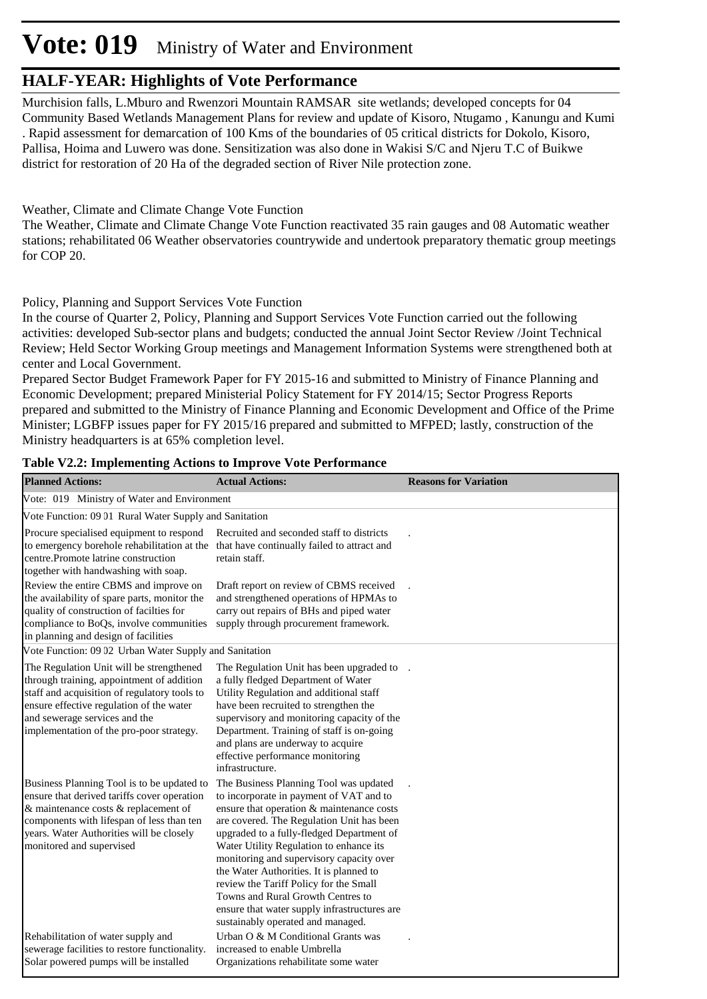# **Vote: 019** Ministry of Water and Environment

### **HALF-YEAR: Highlights of Vote Performance**

Murchision falls, L.Mburo and Rwenzori Mountain RAMSAR site wetlands; developed concepts for 04 Community Based Wetlands Management Plans for review and update of Kisoro, Ntugamo , Kanungu and Kumi . Rapid assessment for demarcation of 100 Kms of the boundaries of 05 critical districts for Dokolo, Kisoro, Pallisa, Hoima and Luwero was done. Sensitization was also done in Wakisi S/C and Njeru T.C of Buikwe district for restoration of 20 Ha of the degraded section of River Nile protection zone.

#### Weather, Climate and Climate Change Vote Function

The Weather, Climate and Climate Change Vote Function reactivated 35 rain gauges and 08 Automatic weather stations; rehabilitated 06 Weather observatories countrywide and undertook preparatory thematic group meetings for COP 20.

#### Policy, Planning and Support Services Vote Function

In the course of Quarter 2, Policy, Planning and Support Services Vote Function carried out the following activities: developed Sub-sector plans and budgets; conducted the annual Joint Sector Review /Joint Technical Review; Held Sector Working Group meetings and Management Information Systems were strengthened both at center and Local Government.

Prepared Sector Budget Framework Paper for FY 2015-16 and submitted to Ministry of Finance Planning and Economic Development; prepared Ministerial Policy Statement for FY 2014/15; Sector Progress Reports prepared and submitted to the Ministry of Finance Planning and Economic Development and Office of the Prime Minister; LGBFP issues paper for FY 2015/16 prepared and submitted to MFPED; lastly, construction of the Ministry headquarters is at 65% completion level.

| <b>Planned Actions:</b>                                                                                                                                                                                                                                        | <b>Actual Actions:</b>                                                                                                                                                                                                                                                                                                                                                                                                                                                                                                         | <b>Reasons for Variation</b> |
|----------------------------------------------------------------------------------------------------------------------------------------------------------------------------------------------------------------------------------------------------------------|--------------------------------------------------------------------------------------------------------------------------------------------------------------------------------------------------------------------------------------------------------------------------------------------------------------------------------------------------------------------------------------------------------------------------------------------------------------------------------------------------------------------------------|------------------------------|
| Vote: 019 Ministry of Water and Environment                                                                                                                                                                                                                    |                                                                                                                                                                                                                                                                                                                                                                                                                                                                                                                                |                              |
| Vote Function: 09 01 Rural Water Supply and Sanitation                                                                                                                                                                                                         |                                                                                                                                                                                                                                                                                                                                                                                                                                                                                                                                |                              |
| Procure specialised equipment to respond<br>to emergency borehole rehabilitation at the<br>centre.Promote latrine construction<br>together with handwashing with soap.                                                                                         | Recruited and seconded staff to districts<br>that have continually failed to attract and<br>retain staff.                                                                                                                                                                                                                                                                                                                                                                                                                      |                              |
| Review the entire CBMS and improve on<br>the availability of spare parts, monitor the<br>quality of construction of facilties for<br>compliance to BoQs, involve communities<br>in planning and design of facilities                                           | Draft report on review of CBMS received<br>and strengthened operations of HPMAs to<br>carry out repairs of BHs and piped water<br>supply through procurement framework.                                                                                                                                                                                                                                                                                                                                                        |                              |
| Vote Function: 09 02 Urban Water Supply and Sanitation                                                                                                                                                                                                         |                                                                                                                                                                                                                                                                                                                                                                                                                                                                                                                                |                              |
| The Regulation Unit will be strengthened<br>through training, appointment of addition<br>staff and acquisition of regulatory tools to<br>ensure effective regulation of the water<br>and sewerage services and the<br>implementation of the pro-poor strategy. | The Regulation Unit has been upgraded to<br>a fully fledged Department of Water<br>Utility Regulation and additional staff<br>have been recruited to strengthen the<br>supervisory and monitoring capacity of the<br>Department. Training of staff is on-going<br>and plans are underway to acquire<br>effective performance monitoring<br>infrastructure.                                                                                                                                                                     |                              |
| Business Planning Tool is to be updated to<br>ensure that derived tariffs cover operation<br>& maintenance costs & replacement of<br>components with lifespan of less than ten<br>years. Water Authorities will be closely<br>monitored and supervised         | The Business Planning Tool was updated<br>to incorporate in payment of VAT and to<br>ensure that operation & maintenance costs<br>are covered. The Regulation Unit has been<br>upgraded to a fully-fledged Department of<br>Water Utility Regulation to enhance its<br>monitoring and supervisory capacity over<br>the Water Authorities. It is planned to<br>review the Tariff Policy for the Small<br>Towns and Rural Growth Centres to<br>ensure that water supply infrastructures are<br>sustainably operated and managed. |                              |
| Rehabilitation of water supply and<br>sewerage facilities to restore functionality.<br>Solar powered pumps will be installed                                                                                                                                   | Urban O & M Conditional Grants was<br>increased to enable Umbrella<br>Organizations rehabilitate some water                                                                                                                                                                                                                                                                                                                                                                                                                    |                              |

#### **Table V2.2: Implementing Actions to Improve Vote Performance**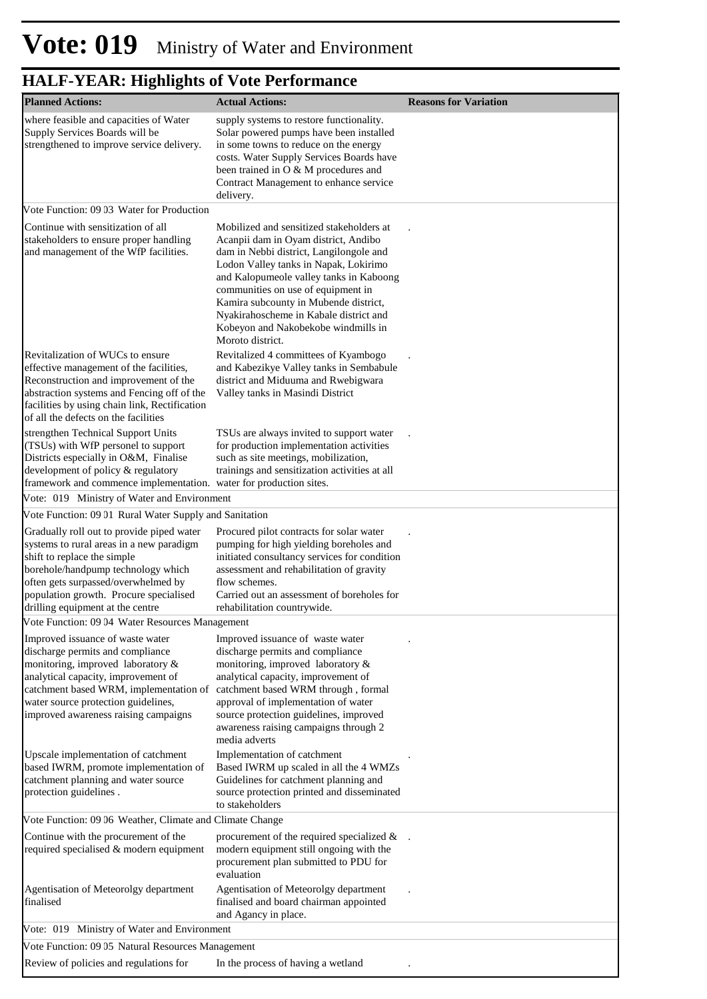| <b>Planned Actions:</b>                                                                                                                                                                                                                                                         | <b>Actual Actions:</b>                                                                                                                                                                                                                                                                                                                                                                              | <b>Reasons for Variation</b> |
|---------------------------------------------------------------------------------------------------------------------------------------------------------------------------------------------------------------------------------------------------------------------------------|-----------------------------------------------------------------------------------------------------------------------------------------------------------------------------------------------------------------------------------------------------------------------------------------------------------------------------------------------------------------------------------------------------|------------------------------|
| where feasible and capacities of Water<br>Supply Services Boards will be<br>strengthened to improve service delivery.                                                                                                                                                           | supply systems to restore functionality.<br>Solar powered pumps have been installed<br>in some towns to reduce on the energy<br>costs. Water Supply Services Boards have<br>been trained in O & M procedures and<br>Contract Management to enhance service<br>delivery.                                                                                                                             |                              |
| Vote Function: 09 03 Water for Production                                                                                                                                                                                                                                       |                                                                                                                                                                                                                                                                                                                                                                                                     |                              |
| Continue with sensitization of all<br>stakeholders to ensure proper handling<br>and management of the WfP facilities.                                                                                                                                                           | Mobilized and sensitized stakeholders at<br>Acanpii dam in Oyam district, Andibo<br>dam in Nebbi district, Langilongole and<br>Lodon Valley tanks in Napak, Lokirimo<br>and Kalopumeole valley tanks in Kaboong<br>communities on use of equipment in<br>Kamira subcounty in Mubende district,<br>Nyakirahoscheme in Kabale district and<br>Kobeyon and Nakobekobe windmills in<br>Moroto district. |                              |
| Revitalization of WUCs to ensure<br>effective management of the facilities,<br>Reconstruction and improvement of the<br>abstraction systems and Fencing off of the<br>facilities by using chain link, Rectification<br>of all the defects on the facilities                     | Revitalized 4 committees of Kyambogo<br>and Kabezikye Valley tanks in Sembabule<br>district and Miduuma and Rwebigwara<br>Valley tanks in Masindi District                                                                                                                                                                                                                                          |                              |
| strengthen Technical Support Units<br>(TSUs) with WfP personel to support<br>Districts especially in O&M, Finalise<br>development of policy & regulatory<br>framework and commence implementation. water for production sites.<br>Vote: 019 Ministry of Water and Environment   | TSUs are always invited to support water<br>for production implementation activities<br>such as site meetings, mobilization,<br>trainings and sensitization activities at all                                                                                                                                                                                                                       |                              |
| Vote Function: 09 01 Rural Water Supply and Sanitation                                                                                                                                                                                                                          |                                                                                                                                                                                                                                                                                                                                                                                                     |                              |
| Gradually roll out to provide piped water<br>systems to rural areas in a new paradigm<br>shift to replace the simple<br>borehole/handpump technology which<br>often gets surpassed/overwhelmed by<br>population growth. Procure specialised<br>drilling equipment at the centre | Procured pilot contracts for solar water<br>pumping for high yielding boreholes and<br>initiated consultancy services for condition<br>assessment and rehabilitation of gravity<br>flow schemes.<br>Carried out an assessment of boreholes for<br>rehabilitation countrywide.                                                                                                                       |                              |
| Vote Function: 09 04 Water Resources Management                                                                                                                                                                                                                                 |                                                                                                                                                                                                                                                                                                                                                                                                     |                              |
| Improved issuance of waste water<br>discharge permits and compliance<br>monitoring, improved laboratory &<br>analytical capacity, improvement of<br>catchment based WRM, implementation of<br>water source protection guidelines,<br>improved awareness raising campaigns       | Improved issuance of waste water<br>discharge permits and compliance<br>monitoring, improved laboratory &<br>analytical capacity, improvement of<br>catchment based WRM through, formal<br>approval of implementation of water<br>source protection guidelines, improved<br>awareness raising campaigns through 2<br>media adverts                                                                  |                              |
| Upscale implementation of catchment<br>based IWRM, promote implementation of<br>catchment planning and water source<br>protection guidelines.                                                                                                                                   | Implementation of catchment<br>Based IWRM up scaled in all the 4 WMZs<br>Guidelines for catchment planning and<br>source protection printed and disseminated<br>to stakeholders                                                                                                                                                                                                                     |                              |
| Vote Function: 09 06 Weather, Climate and Climate Change                                                                                                                                                                                                                        |                                                                                                                                                                                                                                                                                                                                                                                                     |                              |
| Continue with the procurement of the<br>required specialised & modern equipment                                                                                                                                                                                                 | procurement of the required specialized $\&$<br>modern equipment still ongoing with the<br>procurement plan submitted to PDU for<br>evaluation                                                                                                                                                                                                                                                      |                              |
| Agentisation of Meteorolgy department<br>finalised                                                                                                                                                                                                                              | Agentisation of Meteorolgy department<br>finalised and board chairman appointed<br>and Agancy in place.                                                                                                                                                                                                                                                                                             |                              |
| Vote: 019 Ministry of Water and Environment                                                                                                                                                                                                                                     |                                                                                                                                                                                                                                                                                                                                                                                                     |                              |
| Vote Function: 09 05 Natural Resources Management                                                                                                                                                                                                                               |                                                                                                                                                                                                                                                                                                                                                                                                     |                              |
| Review of policies and regulations for                                                                                                                                                                                                                                          | In the process of having a wetland                                                                                                                                                                                                                                                                                                                                                                  |                              |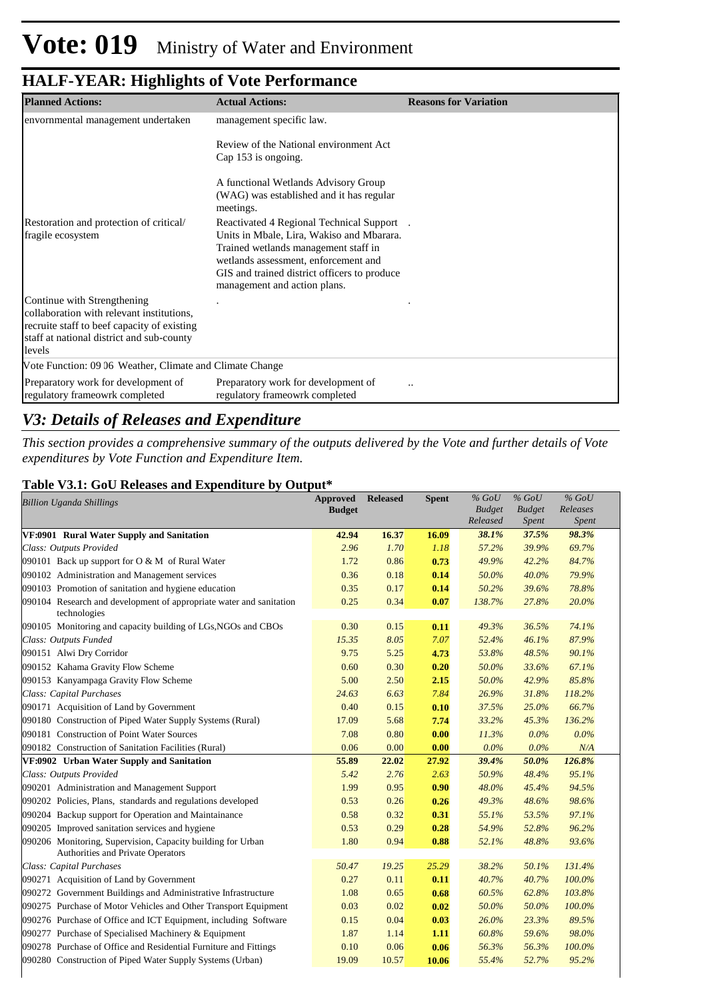| <b>Planned Actions:</b>                                                                  | <b>Actual Actions:</b>                                                       | <b>Reasons for Variation</b> |
|------------------------------------------------------------------------------------------|------------------------------------------------------------------------------|------------------------------|
| envornmental management undertaken                                                       | management specific law.                                                     |                              |
|                                                                                          | Review of the National environment Act                                       |                              |
|                                                                                          | Cap 153 is ongoing.                                                          |                              |
|                                                                                          | A functional Wetlands Advisory Group                                         |                              |
|                                                                                          | (WAG) was established and it has regular<br>meetings.                        |                              |
| Restoration and protection of critical/                                                  | Reactivated 4 Regional Technical Support                                     |                              |
| fragile ecosystem                                                                        | Units in Mbale, Lira, Wakiso and Mbarara.                                    |                              |
|                                                                                          | Trained wetlands management staff in<br>wetlands assessment, enforcement and |                              |
|                                                                                          | GIS and trained district officers to produce                                 |                              |
|                                                                                          | management and action plans.                                                 |                              |
| Continue with Strengthening                                                              |                                                                              |                              |
| collaboration with relevant institutions.                                                |                                                                              |                              |
| recruite staff to beef capacity of existing<br>staff at national district and sub-county |                                                                              |                              |
| levels                                                                                   |                                                                              |                              |
| Vote Function: 09 06 Weather, Climate and Climate Change                                 |                                                                              |                              |
| Preparatory work for development of                                                      | Preparatory work for development of                                          |                              |
| regulatory frameowrk completed                                                           | regulatory frameowrk completed                                               |                              |

### *V3: Details of Releases and Expenditure*

*This section provides a comprehensive summary of the outputs delivered by the Vote and further details of Vote expenditures by Vote Function and Expenditure Item.*

#### **Table V3.1: GoU Releases and Expenditure by Output\***

| <b>Billion Uganda Shillings</b>                                                                  | <b>Approved</b><br><b>Budget</b> | <b>Released</b> | <b>Spent</b> | $%$ GoU<br><b>Budget</b><br>Released | $%$ GoU<br><b>Budget</b><br><b>Spent</b> | $%$ GoU<br>Releases<br>Spent |  |
|--------------------------------------------------------------------------------------------------|----------------------------------|-----------------|--------------|--------------------------------------|------------------------------------------|------------------------------|--|
| VF:0901 Rural Water Supply and Sanitation                                                        | 42.94                            | 16.37           | 16.09        | 38.1%                                | 37.5%                                    | 98.3%                        |  |
| Class: Outputs Provided                                                                          | 2.96                             | 1.70            | 1.18         | 57.2%                                | 39.9%                                    | 69.7%                        |  |
| 090101 Back up support for O & M of Rural Water                                                  | 1.72                             | 0.86            | 0.73         | 49.9%                                | 42.2%                                    | 84.7%                        |  |
| 090102 Administration and Management services                                                    | 0.36                             | 0.18            | 0.14         | 50.0%                                | 40.0%                                    | 79.9%                        |  |
| 090103 Promotion of sanitation and hygiene education                                             | 0.35                             | 0.17            | 0.14         | 50.2%                                | 39.6%                                    | 78.8%                        |  |
| 090104 Research and development of appropriate water and sanitation<br>technologies              | 0.25                             | 0.34            | 0.07         | 138.7%                               | 27.8%                                    | 20.0%                        |  |
| 090105 Monitoring and capacity building of LGs, NGOs and CBOs                                    | 0.30                             | 0.15            | 0.11         | 49.3%                                | 36.5%                                    | 74.1%                        |  |
| Class: Outputs Funded                                                                            | 15.35                            | 8.05            | 7.07         | 52.4%                                | 46.1%                                    | 87.9%                        |  |
| 090151 Alwi Dry Corridor                                                                         | 9.75                             | 5.25            | 4.73         | 53.8%                                | 48.5%                                    | 90.1%                        |  |
| 090152 Kahama Gravity Flow Scheme                                                                | 0.60                             | 0.30            | 0.20         | 50.0%                                | 33.6%                                    | 67.1%                        |  |
| 090153 Kanyampaga Gravity Flow Scheme                                                            | 5.00                             | 2.50            | 2.15         | 50.0%                                | 42.9%                                    | 85.8%                        |  |
| Class: Capital Purchases                                                                         | 24.63                            | 6.63            | 7.84         | 26.9%                                | 31.8%                                    | 118.2%                       |  |
| 090171 Acquisition of Land by Government                                                         | 0.40                             | 0.15            | 0.10         | 37.5%                                | 25.0%                                    | 66.7%                        |  |
| 090180 Construction of Piped Water Supply Systems (Rural)                                        | 17.09                            | 5.68            | 7.74         | 33.2%                                | 45.3%                                    | 136.2%                       |  |
| 090181 Construction of Point Water Sources                                                       | 7.08                             | 0.80            | 0.00         | 11.3%                                | 0.0%                                     | $0.0\%$                      |  |
| 090182 Construction of Sanitation Facilities (Rural)                                             | 0.06                             | 0.00            | 0.00         | $0.0\%$                              | $0.0\%$                                  | N/A                          |  |
| VF:0902 Urban Water Supply and Sanitation                                                        | 55.89                            | 22.02           | 27.92        | 39.4%                                | 50.0%                                    | 126.8%                       |  |
| Class: Outputs Provided                                                                          | 5.42                             | 2.76            | 2.63         | 50.9%                                | 48.4%                                    | 95.1%                        |  |
| 090201 Administration and Management Support                                                     | 1.99                             | 0.95            | 0.90         | 48.0%                                | 45.4%                                    | 94.5%                        |  |
| 090202 Policies, Plans, standards and regulations developed                                      | 0.53                             | 0.26            | 0.26         | 49.3%                                | 48.6%                                    | 98.6%                        |  |
| 090204 Backup support for Operation and Maintainance                                             | 0.58                             | 0.32            | 0.31         | 55.1%                                | 53.5%                                    | 97.1%                        |  |
| 090205 Improved sanitation services and hygiene                                                  | 0.53                             | 0.29            | 0.28         | 54.9%                                | 52.8%                                    | 96.2%                        |  |
| 090206 Monitoring, Supervision, Capacity building for Urban<br>Authorities and Private Operators | 1.80                             | 0.94            | 0.88         | 52.1%                                | 48.8%                                    | 93.6%                        |  |
| Class: Capital Purchases                                                                         | 50.47                            | 19.25           | 25.29        | 38.2%                                | 50.1%                                    | 131.4%                       |  |
| 090271 Acquisition of Land by Government                                                         | 0.27                             | 0.11            | 0.11         | 40.7%                                | 40.7%                                    | 100.0%                       |  |
| 090272 Government Buildings and Administrative Infrastructure                                    | 1.08                             | 0.65            | 0.68         | 60.5%                                | 62.8%                                    | 103.8%                       |  |
| 090275 Purchase of Motor Vehicles and Other Transport Equipment                                  | 0.03                             | 0.02            | 0.02         | 50.0%                                | 50.0%                                    | 100.0%                       |  |
| 090276 Purchase of Office and ICT Equipment, including Software                                  | 0.15                             | 0.04            | 0.03         | 26.0%                                | 23.3%                                    | 89.5%                        |  |
| 090277 Purchase of Specialised Machinery & Equipment                                             | 1.87                             | 1.14            | 1.11         | 60.8%                                | 59.6%                                    | 98.0%                        |  |
| 090278 Purchase of Office and Residential Furniture and Fittings                                 | 0.10                             | 0.06            | 0.06         | 56.3%                                | 56.3%                                    | 100.0%                       |  |
| 090280 Construction of Piped Water Supply Systems (Urban)                                        | 19.09                            | 10.57           | 10.06        | 55.4%                                | 52.7%                                    | 95.2%                        |  |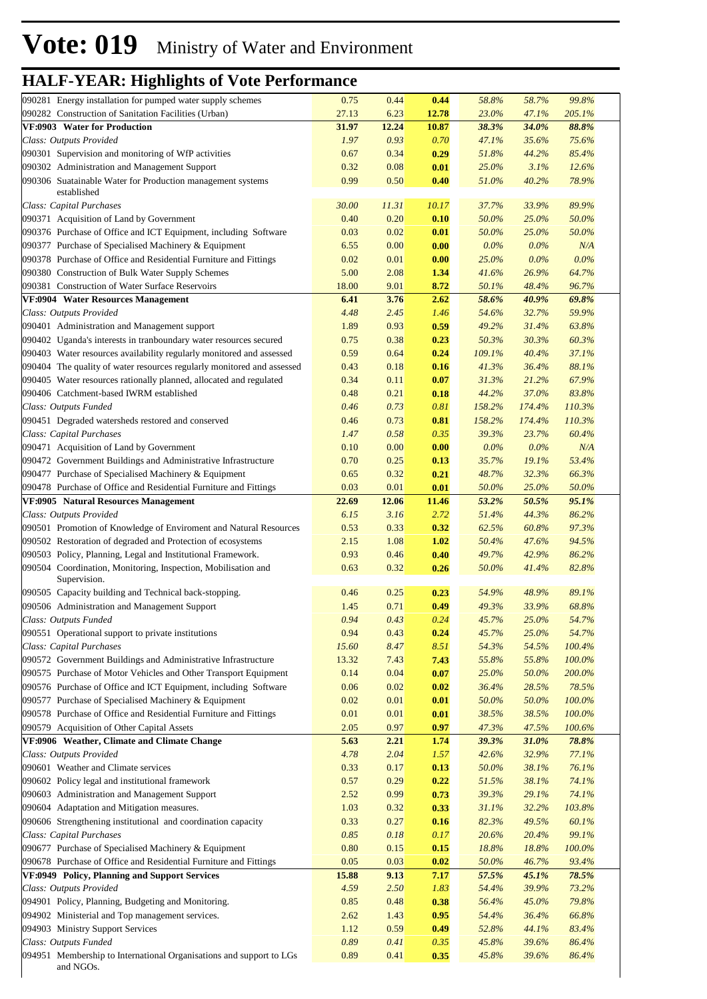| 090281 Energy installation for pumped water supply schemes                                            | 0.75         | 0.44         | 0.44         | 58.8%          | 58.7%          | 99.8%          |
|-------------------------------------------------------------------------------------------------------|--------------|--------------|--------------|----------------|----------------|----------------|
| 090282 Construction of Sanitation Facilities (Urban)                                                  | 27.13        | 6.23         | 12.78        | 23.0%          | 47.1%          | 205.1%         |
| VF:0903 Water for Production                                                                          | 31.97        | 12.24        | 10.87        | 38.3%          | 34.0%          | 88.8%          |
| Class: Outputs Provided                                                                               | 1.97         | 0.93         | 0.70         | 47.1%          | 35.6%          | 75.6%          |
| 090301 Supervision and monitoring of WfP activities                                                   | 0.67         | 0.34         | 0.29         | 51.8%          | 44.2%          | 85.4%          |
| 090302 Administration and Management Support                                                          | 0.32         | 0.08         | 0.01         | 25.0%          | 3.1%           | 12.6%          |
| 090306 Suatainable Water for Production management systems                                            | 0.99         | 0.50         | 0.40         | 51.0%          | 40.2%          | 78.9%          |
| established<br>Class: Capital Purchases                                                               | 30.00        | 11.31        | 10.17        | 37.7%          | 33.9%          | 89.9%          |
| 090371 Acquisition of Land by Government                                                              | 0.40         | 0.20         | 0.10         | 50.0%          | 25.0%          | 50.0%          |
| 090376 Purchase of Office and ICT Equipment, including Software                                       | 0.03         | 0.02         | 0.01         | 50.0%          | 25.0%          | 50.0%          |
| 090377 Purchase of Specialised Machinery & Equipment                                                  | 6.55         | 0.00         | 0.00         | $0.0\%$        | $0.0\%$        | N/A            |
| 090378 Purchase of Office and Residential Furniture and Fittings                                      | 0.02         | 0.01         | 0.00         | 25.0%          | $0.0\%$        | $0.0\%$        |
| 090380 Construction of Bulk Water Supply Schemes                                                      | 5.00         | 2.08         | 1.34         | 41.6%          | 26.9%          | 64.7%          |
| 090381 Construction of Water Surface Reservoirs                                                       | 18.00        | 9.01         | 8.72         | 50.1%          | 48.4%          | 96.7%          |
| VF:0904 Water Resources Management                                                                    | 6.41         | 3.76         | 2.62         | 58.6%          | 40.9%          | 69.8%          |
| Class: Outputs Provided                                                                               | 4.48         | 2.45         | 1.46         | 54.6%          | 32.7%          | 59.9%          |
| 090401 Administration and Management support                                                          | 1.89         | 0.93         | 0.59         | 49.2%          | 31.4%          | 63.8%          |
| 090402 Uganda's interests in tranboundary water resources secured                                     | 0.75         | 0.38         | 0.23         | 50.3%          | 30.3%          | 60.3%          |
| 090403 Water resources availability regularly monitored and assessed                                  | 0.59         | 0.64         | 0.24         | 109.1%         | 40.4%          | 37.1%          |
| 090404 The quality of water resources regularly monitored and assessed                                | 0.43         | 0.18         | 0.16         | 41.3%          | 36.4%          | 88.1%          |
| 090405 Water resources rationally planned, allocated and regulated                                    | 0.34         | 0.11         | 0.07         | 31.3%          | 21.2%          | 67.9%          |
| 090406 Catchment-based IWRM established                                                               | 0.48         | 0.21         | 0.18         | 44.2%          | 37.0%          | 83.8%          |
| Class: Outputs Funded                                                                                 | 0.46         | 0.73         | 0.81         | 158.2%         | 174.4%         | 110.3%         |
| 090451 Degraded watersheds restored and conserved                                                     | 0.46         | 0.73         | 0.81         | 158.2%         | 174.4%         | 110.3%         |
| Class: Capital Purchases                                                                              | 1.47         | 0.58         | 0.35         | 39.3%          | 23.7%          | 60.4%          |
| 090471 Acquisition of Land by Government                                                              | 0.10         | 0.00         | 0.00         | $0.0\%$        | $0.0\%$        | N/A            |
| 090472 Government Buildings and Administrative Infrastructure                                         | 0.70         | 0.25         | 0.13         | 35.7%          | 19.1%          | 53.4%          |
| 090477 Purchase of Specialised Machinery & Equipment                                                  | 0.65         | 0.32         | 0.21         | 48.7%          | 32.3%          | 66.3%          |
| 090478 Purchase of Office and Residential Furniture and Fittings                                      | 0.03         | 0.01         | 0.01         | 50.0%          | 25.0%          | 50.0%          |
| VF:0905 Natural Resources Management                                                                  | 22.69        | 12.06        | 11.46        | 53.2%          | 50.5%          | 95.1%          |
| Class: Outputs Provided                                                                               | 6.15         | 3.16         | 2.72         | 51.4%          | 44.3%          | 86.2%          |
| 090501 Promotion of Knowledge of Enviroment and Natural Resources                                     | 0.53         | 0.33         | 0.32         | 62.5%          | 60.8%          | 97.3%          |
| 090502 Restoration of degraded and Protection of ecosystems                                           | 2.15         | 1.08         | 1.02         | 50.4%          | 47.6%          | 94.5%          |
| 090503 Policy, Planning, Legal and Institutional Framework.                                           | 0.93         | 0.46         | 0.40         | 49.7%          | 42.9%          | 86.2%          |
| 090504 Coordination, Monitoring, Inspection, Mobilisation and<br>Supervision.                         | 0.63         | 0.32         | 0.26         | 50.0%          | 41.4%          | 82.8%          |
| 090505 Capacity building and Technical back-stopping.                                                 | 0.46         | 0.25         | 0.23         | 54.9%          | 48.9%          | 89.1%          |
| 090506 Administration and Management Support                                                          | 1.45         | 0.71         | 0.49         | 49.3%          | 33.9%          | 68.8%          |
| Class: Outputs Funded                                                                                 | 0.94         | 0.43         | 0.24         | 45.7%          | 25.0%          | 54.7%          |
| 090551 Operational support to private institutions                                                    | 0.94         | 0.43         | 0.24         | 45.7%          | 25.0%          | 54.7%          |
| Class: Capital Purchases                                                                              | 15.60        | 8.47         | 8.51         | 54.3%          | 54.5%          | 100.4%         |
| 090572 Government Buildings and Administrative Infrastructure                                         | 13.32        | 7.43         | 7.43         | 55.8%          | 55.8%          | 100.0%         |
| 090575 Purchase of Motor Vehicles and Other Transport Equipment                                       | 0.14         | 0.04         | 0.07         | 25.0%          | 50.0%          | 200.0%         |
| 090576 Purchase of Office and ICT Equipment, including Software                                       | 0.06         | 0.02         | 0.02         | 36.4%          | 28.5%          | 78.5%          |
| 090577 Purchase of Specialised Machinery & Equipment                                                  | 0.02         | 0.01         | 0.01         | 50.0%          | 50.0%          | 100.0%         |
| 090578 Purchase of Office and Residential Furniture and Fittings                                      | 0.01         | 0.01         | 0.01         | 38.5%          | 38.5%          | 100.0%         |
| 090579 Acquisition of Other Capital Assets                                                            | 2.05         | 0.97         | 0.97         | 47.3%          | 47.5%          | 100.6%         |
| VF:0906 Weather, Climate and Climate Change                                                           | 5.63         | 2.21         | 1.74         | 39.3%          | 31.0%          | 78.8%          |
| Class: Outputs Provided                                                                               | 4.78         | 2.04         | 1.57         | 42.6%          | 32.9%          | 77.1%          |
| 090601 Weather and Climate services                                                                   | 0.33         | 0.17         | 0.13         | 50.0%          | 38.1%          | 76.1%          |
| 090602 Policy legal and institutional framework                                                       | 0.57         | 0.29         | 0.22         | 51.5%          | 38.1%          | 74.1%          |
| 090603 Administration and Management Support                                                          | 2.52         | 0.99         | 0.73         | 39.3%          | 29.1%          | 74.1%          |
| 090604 Adaptation and Mitigation measures.                                                            | 1.03         | 0.32         | 0.33         | 31.1%          | 32.2%          | 103.8%         |
| 090606 Strengthening institutional and coordination capacity                                          | 0.33         | 0.27         | 0.16         | 82.3%          | 49.5%          | 60.1%          |
| Class: Capital Purchases                                                                              | 0.85         | 0.18         | 0.17         | 20.6%          | 20.4%          | 99.1%          |
| 090677 Purchase of Specialised Machinery & Equipment                                                  | 0.80         | 0.15         | 0.15         | 18.8%          | 18.8%          | 100.0%         |
| 090678 Purchase of Office and Residential Furniture and Fittings                                      | 0.05         | 0.03         | 0.02         | 50.0%          | 46.7%          | 93.4%          |
| VF:0949 Policy, Planning and Support Services                                                         | 15.88        | 9.13         | 7.17         | 57.5%          | 45.1%          | 78.5%          |
| Class: Outputs Provided                                                                               | 4.59         | 2.50         | 1.83         | 54.4%          | 39.9%          | 73.2%          |
| 094901 Policy, Planning, Budgeting and Monitoring.<br>094902 Ministerial and Top management services. | 0.85<br>2.62 | 0.48<br>1.43 | 0.38<br>0.95 | 56.4%<br>54.4% | 45.0%<br>36.4% | 79.8%<br>66.8% |
| 094903 Ministry Support Services                                                                      | 1.12         | 0.59         | 0.49         | 52.8%          | 44.1%          | 83.4%          |
| Class: Outputs Funded                                                                                 | 0.89         | 0.41         | 0.35         | 45.8%          | 39.6%          | 86.4%          |
| 094951 Membership to International Organisations and support to LGs                                   | 0.89         | 0.41         | 0.35         | 45.8%          | 39.6%          | 86.4%          |
| and NGOs.                                                                                             |              |              |              |                |                |                |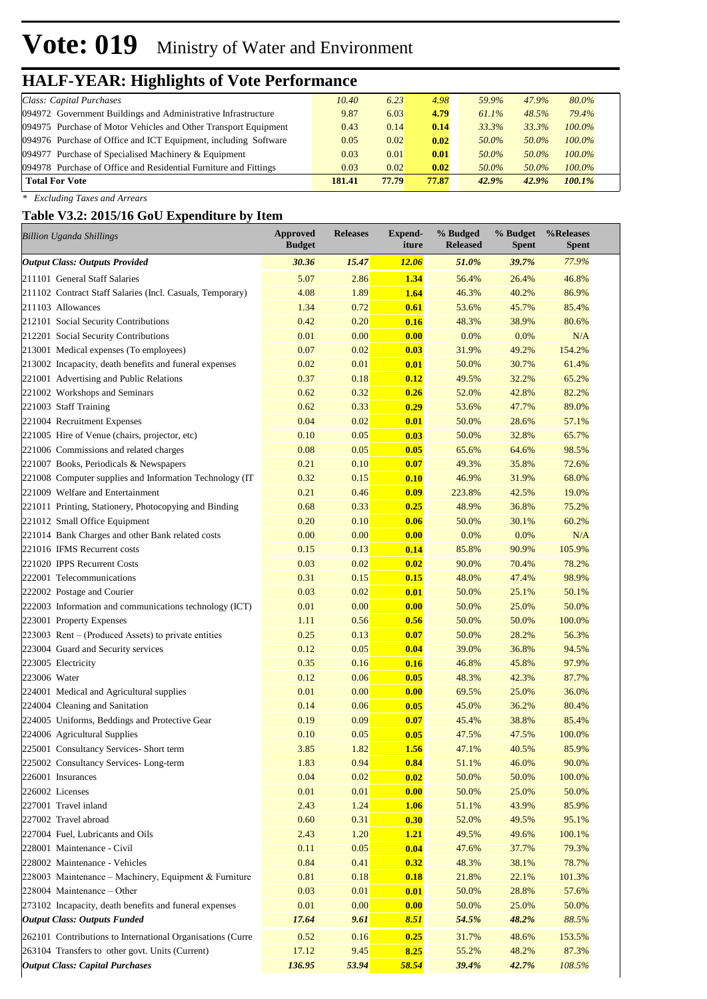# **Vote: 019** Ministry of Water and Environment

### **HALF-YEAR: Highlights of Vote Performance**

| Class: Capital Purchases                                         | 10.40  | 6.23  | 4.98  | 59.9%    | 47.9% | 80.0%     |  |
|------------------------------------------------------------------|--------|-------|-------|----------|-------|-----------|--|
| 094972 Government Buildings and Administrative Infrastructure    | 9.87   | 6.03  | 4.79  | $61.1\%$ | 48.5% | 79.4%     |  |
| 094975 Purchase of Motor Vehicles and Other Transport Equipment  | 0.43   | 0.14  | 0.14  | 33.3%    | 33.3% | $100.0\%$ |  |
| 094976 Purchase of Office and ICT Equipment, including Software  | 0.05   | 0.02  | 0.02  | 50.0%    | 50.0% | $100.0\%$ |  |
| 094977 Purchase of Specialised Machinery & Equipment             | 0.03   | 0.01  | 0.01  | 50.0%    | 50.0% | $100.0\%$ |  |
| 094978 Purchase of Office and Residential Furniture and Fittings | 0.03   | 0.02  | 0.02  | 50.0%    | 50.0% | $100.0\%$ |  |
| <b>Total For Vote</b>                                            | 181.41 | 77.79 | 77.87 | 42.9%    | 42.9% | $100.1\%$ |  |
|                                                                  |        |       |       |          |       |           |  |

*\* Excluding Taxes and Arrears*

#### **Table V3.2: 2015/16 GoU Expenditure by Item**

| <b>Billion Uganda Shillings</b>                            | <b>Approved</b><br><b>Budget</b> | <b>Releases</b> | <b>Expend-</b><br>iture | % Budged<br><b>Released</b> | % Budget<br><b>Spent</b> | %Releases<br><b>Spent</b> |
|------------------------------------------------------------|----------------------------------|-----------------|-------------------------|-----------------------------|--------------------------|---------------------------|
| <b>Output Class: Outputs Provided</b>                      | 30.36                            | 15.47           | <b>12.06</b>            | 51.0%                       | 39.7%                    | 77.9%                     |
| 211101 General Staff Salaries                              | 5.07                             | 2.86            | 1.34                    | 56.4%                       | 26.4%                    | 46.8%                     |
| 211102 Contract Staff Salaries (Incl. Casuals, Temporary)  | 4.08                             | 1.89            | 1.64                    | 46.3%                       | 40.2%                    | 86.9%                     |
| 211103 Allowances                                          | 1.34                             | 0.72            | 0.61                    | 53.6%                       | 45.7%                    | 85.4%                     |
| 212101 Social Security Contributions                       | 0.42                             | 0.20            | 0.16                    | 48.3%                       | 38.9%                    | 80.6%                     |
| 212201 Social Security Contributions                       | 0.01                             | 0.00            | 0.00                    | 0.0%                        | 0.0%                     | N/A                       |
| 213001 Medical expenses (To employees)                     | 0.07                             | 0.02            | 0.03                    | 31.9%                       | 49.2%                    | 154.2%                    |
| 213002 Incapacity, death benefits and funeral expenses     | 0.02                             | 0.01            | 0.01                    | 50.0%                       | 30.7%                    | 61.4%                     |
| 221001 Advertising and Public Relations                    | 0.37                             | 0.18            | 0.12                    | 49.5%                       | 32.2%                    | 65.2%                     |
| 221002 Workshops and Seminars                              | 0.62                             | 0.32            | 0.26                    | 52.0%                       | 42.8%                    | 82.2%                     |
| 221003 Staff Training                                      | 0.62                             | 0.33            | 0.29                    | 53.6%                       | 47.7%                    | 89.0%                     |
| 221004 Recruitment Expenses                                | 0.04                             | 0.02            | 0.01                    | 50.0%                       | 28.6%                    | 57.1%                     |
| 221005 Hire of Venue (chairs, projector, etc)              | 0.10                             | 0.05            | 0.03                    | 50.0%                       | 32.8%                    | 65.7%                     |
| 221006 Commissions and related charges                     | 0.08                             | 0.05            | 0.05                    | 65.6%                       | 64.6%                    | 98.5%                     |
| 221007 Books, Periodicals & Newspapers                     | 0.21                             | 0.10            | 0.07                    | 49.3%                       | 35.8%                    | 72.6%                     |
| 221008 Computer supplies and Information Technology (IT)   | 0.32                             | 0.15            | 0.10                    | 46.9%                       | 31.9%                    | 68.0%                     |
| 221009 Welfare and Entertainment                           | 0.21                             | 0.46            | 0.09                    | 223.8%                      | 42.5%                    | 19.0%                     |
| 221011 Printing, Stationery, Photocopying and Binding      | 0.68                             | 0.33            | 0.25                    | 48.9%                       | 36.8%                    | 75.2%                     |
| 221012 Small Office Equipment                              | 0.20                             | 0.10            | 0.06                    | 50.0%                       | 30.1%                    | 60.2%                     |
| 221014 Bank Charges and other Bank related costs           | 0.00                             | 0.00            | 0.00                    | 0.0%                        | 0.0%                     | N/A                       |
| 221016 IFMS Recurrent costs                                | 0.15                             | 0.13            | 0.14                    | 85.8%                       | 90.9%                    | 105.9%                    |
| 221020 IPPS Recurrent Costs                                | 0.03                             | 0.02            | 0.02                    | 90.0%                       | 70.4%                    | 78.2%                     |
| 222001 Telecommunications                                  | 0.31                             | 0.15            | 0.15                    | 48.0%                       | 47.4%                    | 98.9%                     |
| 222002 Postage and Courier                                 | 0.03                             | 0.02            | 0.01                    | 50.0%                       | 25.1%                    | 50.1%                     |
| 222003 Information and communications technology (ICT)     | 0.01                             | 0.00            | 0.00                    | 50.0%                       | 25.0%                    | 50.0%                     |
| 223001 Property Expenses                                   | 1.11                             | 0.56            | 0.56                    | 50.0%                       | 50.0%                    | 100.0%                    |
| 223003 Rent – (Produced Assets) to private entities        | 0.25                             | 0.13            | 0.07                    | 50.0%                       | 28.2%                    | 56.3%                     |
| 223004 Guard and Security services                         | 0.12                             | 0.05            | 0.04                    | 39.0%                       | 36.8%                    | 94.5%                     |
| 223005 Electricity                                         | 0.35                             | 0.16            | 0.16                    | 46.8%                       | 45.8%                    | 97.9%                     |
| 223006 Water                                               | 0.12                             | 0.06            | 0.05                    | 48.3%                       | 42.3%                    | 87.7%                     |
| 224001 Medical and Agricultural supplies                   | 0.01                             | 0.00            | 0.00                    | 69.5%                       | 25.0%                    | 36.0%                     |
| 224004 Cleaning and Sanitation                             | 0.14                             | 0.06            | 0.05                    | 45.0%                       | 36.2%                    | 80.4%                     |
| 224005 Uniforms, Beddings and Protective Gear              | 0.19                             | 0.09            | 0.07                    | 45.4%                       | 38.8%                    | 85.4%                     |
| 224006 Agricultural Supplies                               | 0.10                             | 0.05            | 0.05                    | 47.5%                       | 47.5%                    | 100.0%                    |
| 225001 Consultancy Services- Short term                    | 3.85                             | 1.82            | 1.56                    | 47.1%                       | 40.5%                    | 85.9%                     |
| 225002 Consultancy Services-Long-term                      | 1.83                             | 0.94            | 0.84                    | 51.1%                       | 46.0%                    | 90.0%                     |
| 226001 Insurances                                          | 0.04                             | 0.02            | 0.02                    | 50.0%                       | 50.0%                    | 100.0%                    |
| 226002 Licenses                                            | 0.01                             | 0.01            | 0.00                    | 50.0%                       | 25.0%                    | 50.0%                     |
| 227001 Travel inland                                       | 2.43                             | 1.24            | 1.06                    | 51.1%                       | 43.9%                    | 85.9%                     |
| 227002 Travel abroad                                       | 0.60                             | 0.31            | 0.30                    | 52.0%                       | 49.5%                    | 95.1%                     |
| 227004 Fuel, Lubricants and Oils                           | 2.43                             | 1.20            | <b>1.21</b>             | 49.5%                       | 49.6%                    | 100.1%                    |
| 228001 Maintenance - Civil                                 | 0.11                             | 0.05            | 0.04                    | 47.6%                       | 37.7%                    | 79.3%                     |
| 228002 Maintenance - Vehicles                              | 0.84                             | 0.41            | 0.32                    | 48.3%                       | 38.1%                    | 78.7%                     |
| 228003 Maintenance – Machinery, Equipment & Furniture      | 0.81                             | 0.18            | 0.18                    | 21.8%                       | 22.1%                    | 101.3%                    |
| 228004 Maintenance - Other                                 | 0.03                             | 0.01            | 0.01                    | 50.0%                       | 28.8%                    | 57.6%                     |
| 273102 Incapacity, death benefits and funeral expenses     | 0.01                             | 0.00            | 0.00                    | 50.0%                       | 25.0%                    | 50.0%                     |
| <b>Output Class: Outputs Funded</b>                        | 17.64                            | 9.61            | 8.51                    | 54.5%                       | 48.2%                    | 88.5%                     |
| 262101 Contributions to International Organisations (Curre | 0.52                             | 0.16            | 0.25                    |                             | 48.6%                    | 153.5%                    |
| 263104 Transfers to other govt. Units (Current)            | 17.12                            | 9.45            | 8.25                    | 31.7%<br>55.2%              | 48.2%                    | 87.3%                     |
| <b>Output Class: Capital Purchases</b>                     | 136.95                           | 53.94           | 58.54                   | 39.4%                       | 42.7%                    | 108.5%                    |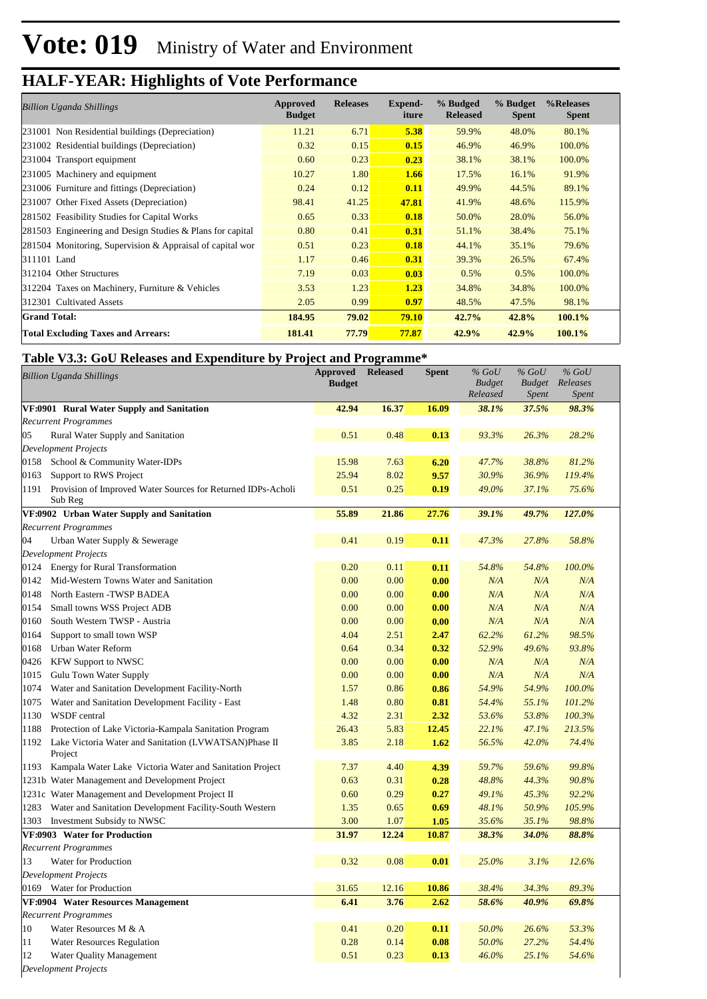| <b>Billion Uganda Shillings</b>                           | Approved<br><b>Budget</b> | <b>Releases</b> | Expend-<br>iture | % Budged<br><b>Released</b> | % Budget<br><b>Spent</b> | %Releases<br><b>Spent</b> |
|-----------------------------------------------------------|---------------------------|-----------------|------------------|-----------------------------|--------------------------|---------------------------|
| 231001 Non Residential buildings (Depreciation)           | 11.21                     | 6.71            | 5.38             | 59.9%                       | 48.0%                    | 80.1%                     |
| 231002 Residential buildings (Depreciation)               | 0.32                      | 0.15            | 0.15             | 46.9%                       | 46.9%                    | 100.0%                    |
| 231004 Transport equipment                                | 0.60                      | 0.23            | 0.23             | 38.1%                       | 38.1%                    | 100.0%                    |
| 231005 Machinery and equipment                            | 10.27                     | 1.80            | 1.66             | 17.5%                       | 16.1%                    | 91.9%                     |
| 231006 Furniture and fittings (Depreciation)              | 0.24                      | 0.12            | 0.11             | 49.9%                       | 44.5%                    | 89.1%                     |
| 231007 Other Fixed Assets (Depreciation)                  | 98.41                     | 41.25           | 47.81            | 41.9%                       | 48.6%                    | 115.9%                    |
| 281502 Feasibility Studies for Capital Works              | 0.65                      | 0.33            | 0.18             | 50.0%                       | 28.0%                    | 56.0%                     |
| 281503 Engineering and Design Studies & Plans for capital | 0.80                      | 0.41            | 0.31             | 51.1%                       | 38.4%                    | 75.1%                     |
| 281504 Monitoring, Supervision & Appraisal of capital wor | 0.51                      | 0.23            | 0.18             | 44.1%                       | 35.1%                    | 79.6%                     |
| 311101 Land                                               | 1.17                      | 0.46            | 0.31             | 39.3%                       | 26.5%                    | 67.4%                     |
| 312104 Other Structures                                   | 7.19                      | 0.03            | 0.03             | 0.5%                        | 0.5%                     | 100.0%                    |
| 312204 Taxes on Machinery, Furniture & Vehicles           | 3.53                      | 1.23            | 1.23             | 34.8%                       | 34.8%                    | 100.0%                    |
| 312301 Cultivated Assets                                  | 2.05                      | 0.99            | 0.97             | 48.5%                       | 47.5%                    | 98.1%                     |
| <b>Grand Total:</b>                                       | 184.95                    | <b>79.02</b>    | <b>79.10</b>     | 42.7%                       | 42.8%                    | $100.1\%$                 |
| <b>Total Excluding Taxes and Arrears:</b>                 | 181.41                    | <b>77.79</b>    | 77.87            | 42.9%                       | 42.9%                    | 100.1%                    |

#### **Table V3.3: GoU Releases and Expenditure by Project and Programme\***

| <b>Billion Uganda Shillings</b> |                                                                         | <b>Approved</b><br><b>Budget</b> | <b>Released</b> | <b>Spent</b> | $%$ GoU<br><b>Budget</b> | $%$ GoU<br><b>Budget</b> | $%$ GoU<br>Releases |  |
|---------------------------------|-------------------------------------------------------------------------|----------------------------------|-----------------|--------------|--------------------------|--------------------------|---------------------|--|
|                                 |                                                                         |                                  |                 |              | Released<br>38.1%        | <b>Spent</b>             | <b>Spent</b>        |  |
|                                 | VF:0901 Rural Water Supply and Sanitation                               | 42.94                            | 16.37           | 16.09        |                          | 37.5%                    | 98.3%               |  |
|                                 | <b>Recurrent Programmes</b>                                             |                                  |                 |              |                          |                          |                     |  |
| 05                              | Rural Water Supply and Sanitation                                       | 0.51                             | 0.48            | 0.13         | 93.3%                    | 26.3%                    | 28.2%               |  |
|                                 | <b>Development Projects</b>                                             |                                  |                 |              |                          |                          |                     |  |
| 0158                            | School & Community Water-IDPs                                           | 15.98<br>25.94                   | 7.63<br>8.02    | 6.20         | 47.7%                    | 38.8%                    | 81.2%<br>119.4%     |  |
| 0163                            | Support to RWS Project                                                  |                                  |                 | 9.57         | 30.9%                    | 36.9%                    |                     |  |
| 1191                            | Provision of Improved Water Sources for Returned IDPs-Acholi<br>Sub Reg | 0.51                             | 0.25            | 0.19         | 49.0%                    | 37.1%                    | 75.6%               |  |
|                                 | VF:0902 Urban Water Supply and Sanitation                               | 55.89                            | 21.86           | 27.76        | 39.1%                    | 49.7%                    | 127.0%              |  |
|                                 | <b>Recurrent Programmes</b>                                             |                                  |                 |              |                          |                          |                     |  |
| 04                              | Urban Water Supply & Sewerage                                           | 0.41                             | 0.19            | 0.11         | 47.3%                    | 27.8%                    | 58.8%               |  |
|                                 | <b>Development Projects</b>                                             |                                  |                 |              |                          |                          |                     |  |
|                                 | 0124 Energy for Rural Transformation                                    | 0.20                             | 0.11            | 0.11         | 54.8%                    | 54.8%                    | 100.0%              |  |
| 0142                            | Mid-Western Towns Water and Sanitation                                  | 0.00                             | 0.00            | 0.00         | N/A                      | N/A                      | N/A                 |  |
| 0148                            | North Eastern -TWSP BADEA                                               | 0.00                             | 0.00            | 0.00         | N/A                      | N/A                      | N/A                 |  |
| 0154                            | Small towns WSS Project ADB                                             | 0.00                             | 0.00            | 0.00         | N/A                      | N/A                      | N/A                 |  |
| 0160                            | South Western TWSP - Austria                                            | 0.00                             | 0.00            | 0.00         | N/A                      | N/A                      | N/A                 |  |
| 0164                            | Support to small town WSP                                               | 4.04                             | 2.51            | 2.47         | 62.2%                    | 61.2%                    | 98.5%               |  |
| 0168                            | Urban Water Reform                                                      | 0.64                             | 0.34            | 0.32         | 52.9%                    | 49.6%                    | 93.8%               |  |
| 0426                            | <b>KFW Support to NWSC</b>                                              | 0.00                             | 0.00            | 0.00         | N/A                      | N/A                      | N/A                 |  |
| 1015                            | Gulu Town Water Supply                                                  | 0.00                             | 0.00            | 0.00         | N/A                      | N/A                      | N/A                 |  |
| 1074                            | Water and Sanitation Development Facility-North                         | 1.57                             | 0.86            | 0.86         | 54.9%                    | 54.9%                    | 100.0%              |  |
| 1075                            | Water and Sanitation Development Facility - East                        | 1.48                             | 0.80            | 0.81         | 54.4%                    | 55.1%                    | 101.2%              |  |
| 1130                            | WSDF central                                                            | 4.32                             | 2.31            | 2.32         | 53.6%                    | 53.8%                    | 100.3%              |  |
| 1188                            | Protection of Lake Victoria-Kampala Sanitation Program                  | 26.43                            | 5.83            | 12.45        | 22.1%                    | 47.1%                    | 213.5%              |  |
| 1192                            | Lake Victoria Water and Sanitation (LVWATSAN)Phase II                   | 3.85                             | 2.18            | 1.62         | 56.5%                    | 42.0%                    | 74.4%               |  |
|                                 | Project                                                                 |                                  |                 |              |                          |                          |                     |  |
|                                 | 1193 Kampala Water Lake Victoria Water and Sanitation Project           | 7.37                             | 4.40            | 4.39         | 59.7%                    | 59.6%                    | 99.8%               |  |
|                                 | 1231b Water Management and Development Project                          | 0.63                             | 0.31            | 0.28         | 48.8%                    | 44.3%                    | 90.8%               |  |
|                                 | 1231c Water Management and Development Project II                       | 0.60                             | 0.29            | 0.27         | 49.1%                    | 45.3%                    | 92.2%               |  |
| 1283                            | Water and Sanitation Development Facility-South Western                 | 1.35                             | 0.65            | 0.69         | 48.1%                    | 50.9%                    | 105.9%              |  |
| 1303                            | Investment Subsidy to NWSC                                              | 3.00                             | 1.07            | 1.05         | 35.6%                    | 35.1%                    | 98.8%               |  |
|                                 | VF:0903 Water for Production                                            | 31.97                            | 12.24           | 10.87        | 38.3%                    | 34.0%                    | 88.8%               |  |
|                                 | <b>Recurrent Programmes</b>                                             |                                  |                 |              |                          |                          |                     |  |
| 13                              | Water for Production                                                    | 0.32                             | 0.08            | 0.01         | 25.0%                    | 3.1%                     | 12.6%               |  |
|                                 | <b>Development Projects</b>                                             |                                  |                 |              |                          |                          |                     |  |
|                                 | 0169 Water for Production                                               | 31.65                            | 12.16           | 10.86        | 38.4%                    | 34.3%                    | 89.3%               |  |
|                                 | VF:0904 Water Resources Management                                      | 6.41                             | 3.76            | 2.62         | 58.6%                    | 40.9%                    | 69.8%               |  |
|                                 | <b>Recurrent Programmes</b>                                             |                                  |                 |              |                          |                          |                     |  |
| 10                              | Water Resources M & A                                                   | 0.41                             | 0.20            | 0.11         | 50.0%                    | 26.6%                    | 53.3%               |  |
| 11                              | <b>Water Resources Regulation</b>                                       | 0.28                             | 0.14            | 0.08         | 50.0%                    | 27.2%                    | 54.4%               |  |
| 12                              | Water Quality Management                                                | 0.51                             | 0.23            | 0.13         | 46.0%                    | 25.1%                    | 54.6%               |  |
|                                 | <b>Development Projects</b>                                             |                                  |                 |              |                          |                          |                     |  |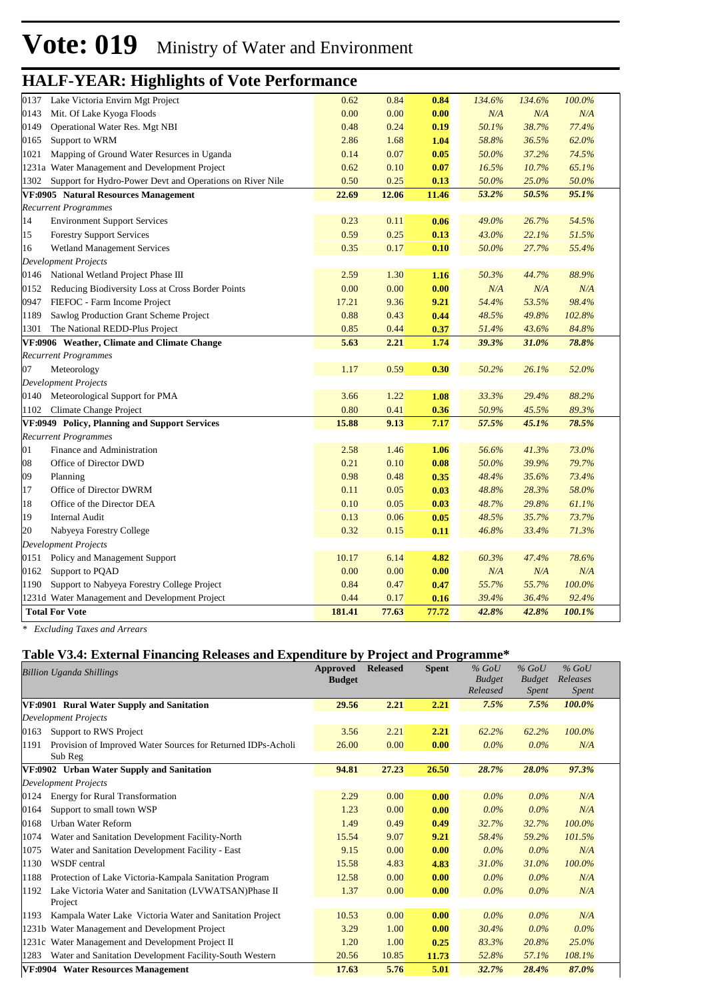| 0137 | Lake Victoria Envirn Mgt Project                          | 0.62   | 0.84  | 0.84  | 134.6% | 134.6% | 100.0% |  |
|------|-----------------------------------------------------------|--------|-------|-------|--------|--------|--------|--|
| 0143 | Mit. Of Lake Kyoga Floods                                 | 0.00   | 0.00  | 0.00  | N/A    | N/A    | N/A    |  |
| 0149 | Operational Water Res. Mgt NBI                            | 0.48   | 0.24  | 0.19  | 50.1%  | 38.7%  | 77.4%  |  |
| 0165 | Support to WRM                                            | 2.86   | 1.68  | 1.04  | 58.8%  | 36.5%  | 62.0%  |  |
| 1021 | Mapping of Ground Water Resurces in Uganda                | 0.14   | 0.07  | 0.05  | 50.0%  | 37.2%  | 74.5%  |  |
|      | 1231a Water Management and Development Project            | 0.62   | 0.10  | 0.07  | 16.5%  | 10.7%  | 65.1%  |  |
| 1302 | Support for Hydro-Power Devt and Operations on River Nile | 0.50   | 0.25  | 0.13  | 50.0%  | 25.0%  | 50.0%  |  |
|      | VF:0905 Natural Resources Management                      | 22.69  | 12.06 | 11.46 | 53.2%  | 50.5%  | 95.1%  |  |
|      | <b>Recurrent Programmes</b>                               |        |       |       |        |        |        |  |
| 14   | <b>Environment Support Services</b>                       | 0.23   | 0.11  | 0.06  | 49.0%  | 26.7%  | 54.5%  |  |
| 15   | <b>Forestry Support Services</b>                          | 0.59   | 0.25  | 0.13  | 43.0%  | 22.1%  | 51.5%  |  |
| 16   | <b>Wetland Management Services</b>                        | 0.35   | 0.17  | 0.10  | 50.0%  | 27.7%  | 55.4%  |  |
|      | <b>Development Projects</b>                               |        |       |       |        |        |        |  |
|      | 0146 National Wetland Project Phase III                   | 2.59   | 1.30  | 1.16  | 50.3%  | 44.7%  | 88.9%  |  |
| 0152 | Reducing Biodiversity Loss at Cross Border Points         | 0.00   | 0.00  | 0.00  | N/A    | N/A    | N/A    |  |
| 0947 | FIEFOC - Farm Income Project                              | 17.21  | 9.36  | 9.21  | 54.4%  | 53.5%  | 98.4%  |  |
| 1189 | Sawlog Production Grant Scheme Project                    | 0.88   | 0.43  | 0.44  | 48.5%  | 49.8%  | 102.8% |  |
| 1301 | The National REDD-Plus Project                            | 0.85   | 0.44  | 0.37  | 51.4%  | 43.6%  | 84.8%  |  |
|      | VF:0906 Weather, Climate and Climate Change               | 5.63   | 2.21  | 1.74  | 39.3%  | 31.0%  | 78.8%  |  |
|      | <b>Recurrent Programmes</b>                               |        |       |       |        |        |        |  |
| 07   | Meteorology                                               | 1.17   | 0.59  | 0.30  | 50.2%  | 26.1%  | 52.0%  |  |
|      | <b>Development Projects</b>                               |        |       |       |        |        |        |  |
| 0140 | Meteorological Support for PMA                            | 3.66   | 1.22  | 1.08  | 33.3%  | 29.4%  | 88.2%  |  |
| 1102 | Climate Change Project                                    | 0.80   | 0.41  | 0.36  | 50.9%  | 45.5%  | 89.3%  |  |
|      | VF:0949 Policy, Planning and Support Services             | 15.88  | 9.13  | 7.17  | 57.5%  | 45.1%  | 78.5%  |  |
|      | <b>Recurrent Programmes</b>                               |        |       |       |        |        |        |  |
| 01   | Finance and Administration                                | 2.58   | 1.46  | 1.06  | 56.6%  | 41.3%  | 73.0%  |  |
| 08   | Office of Director DWD                                    | 0.21   | 0.10  | 0.08  | 50.0%  | 39.9%  | 79.7%  |  |
| 09   | Planning                                                  | 0.98   | 0.48  | 0.35  | 48.4%  | 35.6%  | 73.4%  |  |
| 17   | Office of Director DWRM                                   | 0.11   | 0.05  | 0.03  | 48.8%  | 28.3%  | 58.0%  |  |
| 18   | Office of the Director DEA                                | 0.10   | 0.05  | 0.03  | 48.7%  | 29.8%  | 61.1%  |  |
| 19   | <b>Internal Audit</b>                                     | 0.13   | 0.06  | 0.05  | 48.5%  | 35.7%  | 73.7%  |  |
| 20   | Nabyeya Forestry College                                  | 0.32   | 0.15  | 0.11  | 46.8%  | 33.4%  | 71.3%  |  |
|      | <b>Development Projects</b>                               |        |       |       |        |        |        |  |
| 0151 | Policy and Management Support                             | 10.17  | 6.14  | 4.82  | 60.3%  | 47.4%  | 78.6%  |  |
| 0162 | Support to PQAD                                           | 0.00   | 0.00  | 0.00  | N/A    | N/A    | N/A    |  |
| 1190 | Support to Nabyeya Forestry College Project               | 0.84   | 0.47  | 0.47  | 55.7%  | 55.7%  | 100.0% |  |
|      | 1231d Water Management and Development Project            | 0.44   | 0.17  | 0.16  | 39.4%  | 36.4%  | 92.4%  |  |
|      | <b>Total For Vote</b>                                     | 181.41 | 77.63 | 77.72 | 42.8%  | 42.8%  | 100.1% |  |
|      |                                                           |        |       |       |        |        |        |  |

*\* Excluding Taxes and Arrears*

#### **Table V3.4: External Financing Releases and Expenditure by Project and Programme\***

| <b>Billion Uganda Shillings</b> |                                                                         | Approved<br><b>Budget</b> | <b>Released</b> | <b>Spent</b> | $%$ GoU<br><b>Budget</b><br>Released | $%$ GoU<br><b>Budget</b><br><i>Spent</i> | $%$ GoU<br>Releases<br><i>Spent</i> |  |
|---------------------------------|-------------------------------------------------------------------------|---------------------------|-----------------|--------------|--------------------------------------|------------------------------------------|-------------------------------------|--|
|                                 | VF:0901 Rural Water Supply and Sanitation                               | 29.56                     | 2.21            | 2.21         | 7.5%                                 | 7.5%                                     | 100.0%                              |  |
|                                 | <b>Development Projects</b>                                             |                           |                 |              |                                      |                                          |                                     |  |
| 0163                            | Support to RWS Project                                                  | 3.56                      | 2.21            | 2.21         | 62.2%                                | 62.2%                                    | 100.0%                              |  |
| 1191                            | Provision of Improved Water Sources for Returned IDPs-Acholi<br>Sub Reg | 26.00                     | 0.00            | 0.00         | $0.0\%$                              | $0.0\%$                                  | N/A                                 |  |
|                                 | VF:0902 Urban Water Supply and Sanitation                               | 94.81                     | 27.23           | 26.50        | 28.7%                                | 28.0%                                    | 97.3%                               |  |
|                                 | <b>Development Projects</b>                                             |                           |                 |              |                                      |                                          |                                     |  |
| 0124                            | <b>Energy for Rural Transformation</b>                                  | 2.29                      | 0.00            | 0.00         | $0.0\%$                              | $0.0\%$                                  | N/A                                 |  |
| 0164                            | Support to small town WSP                                               | 1.23                      | 0.00            | 0.00         | $0.0\%$                              | $0.0\%$                                  | N/A                                 |  |
| 0168                            | Urban Water Reform                                                      | 1.49                      | 0.49            | 0.49         | 32.7%                                | 32.7%                                    | 100.0%                              |  |
| 1074                            | Water and Sanitation Development Facility-North                         | 15.54                     | 9.07            | 9.21         | 58.4%                                | 59.2%                                    | 101.5%                              |  |
| 1075                            | Water and Sanitation Development Facility - East                        | 9.15                      | 0.00            | 0.00         | $0.0\%$                              | $0.0\%$                                  | N/A                                 |  |
| 1130                            | WSDF central                                                            | 15.58                     | 4.83            | 4.83         | 31.0%                                | 31.0%                                    | 100.0%                              |  |
| 1188                            | Protection of Lake Victoria-Kampala Sanitation Program                  | 12.58                     | 0.00            | 0.00         | $0.0\%$                              | $0.0\%$                                  | N/A                                 |  |
| 1192                            | Lake Victoria Water and Sanitation (LVWATSAN)Phase II<br>Project        | 1.37                      | 0.00            | 0.00         | $0.0\%$                              | $0.0\%$                                  | N/A                                 |  |
| 1193                            | Kampala Water Lake Victoria Water and Sanitation Project                | 10.53                     | 0.00            | 0.00         | $0.0\%$                              | $0.0\%$                                  | N/A                                 |  |
|                                 | 1231b Water Management and Development Project                          | 3.29                      | 1.00            | 0.00         | 30.4%                                | $0.0\%$                                  | $0.0\%$                             |  |
|                                 | 1231c Water Management and Development Project II                       | 1.20                      | 1.00            | 0.25         | 83.3%                                | 20.8%                                    | $25.0\%$                            |  |
| 1283                            | Water and Sanitation Development Facility-South Western                 | 20.56                     | 10.85           | 11.73        | 52.8%                                | 57.1%                                    | 108.1%                              |  |
|                                 | VF:0904 Water Resources Management                                      | 17.63                     | 5.76            | 5.01         | 32.7%                                | 28.4%                                    | 87.0%                               |  |